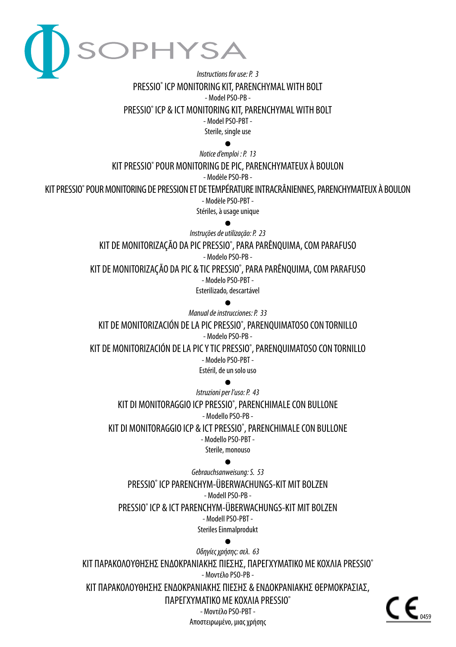

# *Instructions for use: P. 3* PRESSIO® ICP MONITORING KIT, PARENCHYMAL WITH BOLT - Model PSO-PB -

PRESSIO® ICP & ICT MONITORING KIT, PARENCHYMAL WITH BOLT

- Model PSO-PBT -

Sterile, single use  $\bullet$ 

*Notice d'emploi : P. 13*

KIT PRESSIO® POUR MONITORING DE PIC, PARENCHYMATEUX À BOULON

- Modèle PSO-PB -

KIT PRESSIO® POUR MONITORING DE PRESSION ET DE TEMPÉRATURE INTRACRÂNIENNES, PARENCHYMATEUX À BOULON - Modèle PSO-PBT -

Stériles, à usage unique

*Instruções de utilização: P. 23* KIT DE MONITORIZAÇÃO DA PIC PRESSIO® , PARA PARÊNQUIMA, COM PARAFUSO - Modelo PSO-PB -

KIT DE MONITORIZAÇÃO DA PIC & TIC PRESSIO® , PARA PARÊNQUIMA, COM PARAFUSO - Modelo PSO-PBT - Esterilizado, descartável

*Manual de instrucciones: P. 33* KIT DE MONITORIZACIÓN DE LA PIC PRESSIO® , PARENQUIMATOSO CON TORNILLO - Modelo PSO-PB - KIT DE MONITORIZACIÓN DE LA PIC Y TIC PRESSIO® , PARENQUIMATOSO CON TORNILLO

- Modelo PSO-PBT -

Estéril, de un solo uso

*Istruzioni per l'uso: P. 43* KIT DI MONITORAGGIO ICP PRESSIO® , PARENCHIMALE CON BULLONE - Modello PSO-PB -

KIT DI MONITORAGGIO ICP & ICT PRESSIO® , PARENCHIMALE CON BULLONE

- Modello PSO-PBT -

Sterile, monouso

*Gebrauchsanweisung: S. 53* PRESSIO® ICP PARENCHYM-ÜBERWACHUNGS-KIT MIT BOLZEN - Modell PSO-PB - PRESSIO® ICP & ICT PARENCHYM-ÜBERWACHUNGS-KIT MIT BOLZEN

- Modell PSO-PBT -

Steriles Einmalprodukt

*Οδηγίες χρήσης: σελ. 63* ΚΙΤ ΠΑΡΑΚΟΛΟΥΘΗΣΗΣ ΕΝΔΟΚΡΑΝΙΑΚΗΣ ΠΙΕΣΗΣ, ΠΑΡΕΓΧΥΜΑΤΙΚΟ ΜΕ ΚΟΧΛΙΑ PRESSIO® - Μοντέλο PSO-PB - ΚΙΤ ΠΑΡΑΚΟΛΟΥΘΗΣΗΣ ΕΝΔΟΚΡΑΝΙΑΚΗΣ ΠΙΕΣΗΣ & ΕΝΔΟΚΡΑΝΙΑΚΗΣ ΘΕΡΜΟΚΡΑΣΙΑΣ, ΠΑΡΕΓΧΥΜΑΤΙΚΟ ΜΕ ΚΟΧΛΙΑ PRESSIO® - Μοντέλο PSO-PBT -

Αποστειρωμένο, μιας χρήσης

0459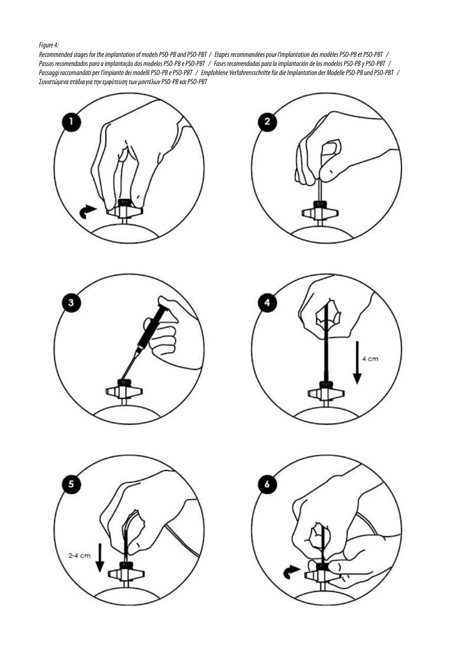#### *Figure 4:*

*Recommended stages for the implantation of models PSO-PB and PSO-PBT / Etapes recommandées pour l'implantation des modèles PSO-PB et PSO-PBT / Passos recomendados para a implantação dos modelos PSO-PB e PSO-PBT / Fases recomendadas para la implantación de los modelos PSO-PB y PSO-PBT / Passaggi raccomandati per l'impianto dei modelli PSO-PB e PSO-PBT / Empfohlene Verfahrensschritte für die Implantation der Modelle PSO-PB und PSO-PBT / Συνιστώμενα στάδια για την εμφύτευση των μοντέλων PSO-PB και PSO-PBT*











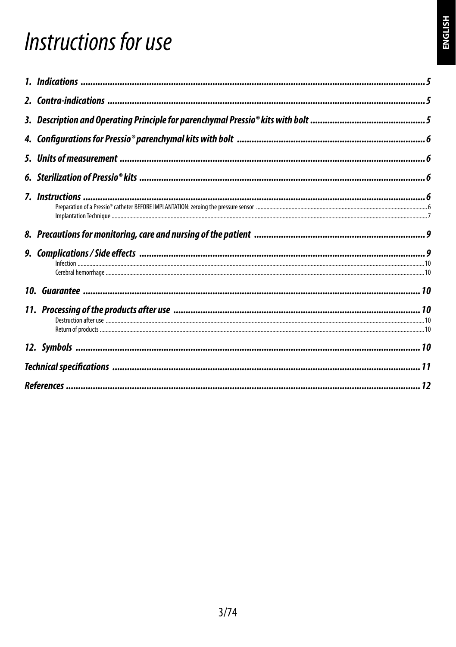# Instructions for use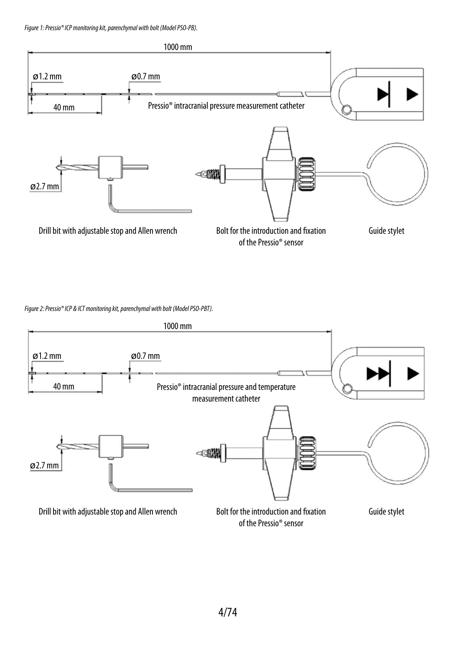*Figure 1: Pressio® ICP monitoring kit, parenchymal with bolt (Model PSO-PB).*



*Figure 2: Pressio® ICP & ICT monitoring kit, parenchymal with bolt (Model PSO-PBT).*

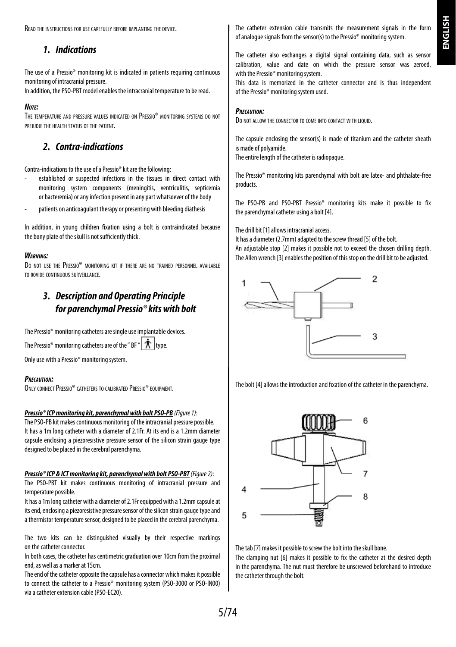**HSITDNE ENGLISH**

Read the instructions for use carefully before implanting the device.

# *1. Indications*

The use of a Pressio® monitoring kit is indicated in patients requiring continuous monitoring of intracranial pressure.

In addition, the PSO-PBT model enables the intracranial temperature to be read.

#### *Note:*

The temperature and pressure values indicated on Pressio® monitoring systems do not prejudje the health status of the patient.

# *2. Contra-indications*

Contra-indications to the use of a Pressio® kit are the following:

- established or suspected infections in the tissues in direct contact with monitoring system components (meningitis, ventriculitis, septicemia or bacteremia) or any infection present in any part whatsoever of the body
- patients on anticoagulant therapy or presenting with bleeding diathesis

In addition, in young children fixation using a bolt is contraindicated because the bony plate of the skull is not sufficiently thick.

#### *Warning:*

Do not use the Pressio® monitoring kit if there are no trained personnel available to rovide continuous surveillance.

# *3. Description and Operating Principle for parenchymal Pressio® kits with bolt*

The Pressio® monitoring catheters are single use implantable devices.

The Pressio® monitoring catheters are of the " BF "  $\|\mathbf{\dot{x}}\|$  type.

Only use with a Pressio® monitoring system.

#### *Precaution:*

ONLY CONNECT PRESSIO® CATHETERS TO CALIBRATED PRESSIO® FOUIPMENT.

#### *Pressio® ICP monitoring kit, parenchymal with bolt PSO-PB (Figure 1)*:

The PSO-PB kit makes continuous monitoring of the intracranial pressure possible. It has a 1m long catheter with a diameter of 2.1Fr. At its end is a 1.2mm diameter capsule enclosing a piezoresistive pressure sensor of the silicon strain gauge type designed to be placed in the cerebral parenchyma.

#### *Pressio® ICP & ICT monitoring kit, parenchymal with bolt PSO-PBT(Figure 2)*:

The PSO-PBT kit makes continuous monitoring of intracranial pressure and temperature possible.

It has a 1m long catheter with a diameter of 2.1Fr equipped with a 1.2mm capsule at its end, enclosing a piezoresistive pressure sensor of the silicon strain gauge type and a thermistor temperature sensor, designed to be placed in the cerebral parenchyma.

The two kits can be distinguished visually by their respective markings on the catheter connector.

In both cases, the catheter has centimetric graduation over 10cm from the proximal end, as well as a marker at 15cm.

The end of the catheter opposite the capsule has a connector which makes it possible to connect the catheter to a Pressio® monitoring system (PSO-3000 or PSO-IN00) via a catheter extension cable (PSO-EC20).

The catheter extension cable transmits the measurement signals in the form of analogue signals from the sensor(s) to the Pressio® monitoring system.

The catheter also exchanges a digital signal containing data, such as sensor calibration, value and date on which the pressure sensor was zeroed, with the Pressio® monitoring system.

This data is memorized in the catheter connector and is thus independent of the Pressio® monitoring system used.

#### *Precaution:*

Do not allow the connector to come into contact with Liquid.

The capsule enclosing the sensor(s) is made of titanium and the catheter sheath is made of polyamide.

The entire length of the catheter is radiopaque.

The Pressio® monitoring kits parenchymal with bolt are latex- and phthalate-free products.

The PSO-PB and PSO-PBT Pressio® monitoring kits make it possible to fix the parenchymal catheter using a bolt [4].

The drill bit [1] allows intracranial access.

It has a diameter (2.7mm) adapted to the screw thread [5] of the bolt. An adjustable stop [2] makes it possible not to exceed the chosen drilling depth. The Allen wrench [3] enables the position of this stop on the drill bit to be adjusted.



The bolt [4] allows the introduction and fixation of the catheter in the parenchyma.



The tab [7] makes it possible to screw the bolt into the skull bone.

The clamping nut [6] makes it possible to fix the catheter at the desired depth in the parenchyma. The nut must therefore be unscrewed beforehand to introduce the catheter through the bolt.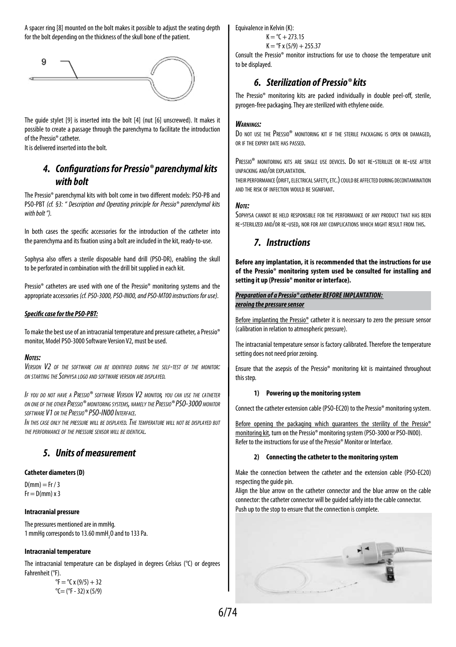A spacer ring [8] mounted on the bolt makes it possible to adjust the seating depth for the bolt depending on the thickness of the skull bone of the patient.



The guide stylet [9] is inserted into the bolt [4] (nut [6] unscrewed). It makes it possible to create a passage through the parenchyma to facilitate the introduction of the Pressio® catheter.

It is delivered inserted into the bolt.

# *4. Configurations for Pressio® parenchymal kits with bolt*

The Pressio® parenchymal kits with bolt come in two different models: PSO-PB and PSO-PBT *(cf. §3: " Description and Operating principle for Pressio® parenchymal kits with bolt ").*

In both cases the specific accessories for the introduction of the catheter into the parenchyma and its fixation using a bolt are included in the kit, ready-to-use.

Sophysa also offers a sterile disposable hand drill (PSO-DR), enabling the skull to be perforated in combination with the drill bit supplied in each kit.

Pressio® catheters are used with one of the Pressio® monitoring systems and the appropriate accessories *(cf. PSO-3000, PSO-IN00, and PSO-MT00 instructions for use).*

#### *Specific case for the PSO-PBT:*

To make the best use of an intracranial temperature and pressure catheter, a Pressio® monitor, Model PSO-3000 Software Version V2, must be used.

#### *Notes:*

*Version V2 of the software can be identified during the self-test of the monitor: on starting the Sophysa logo and software version are displayed.*

*If you do not have a Pressio® software Version V2 monitor, you can use the catheter on one of the otherPressio® monitoring systems, namelythePressio® PSO-3000 monitor software V1 or thePressio® PSO-IN00 Interface.*

*In this case only the pressure will be displayed. The temperature will not be displayed but the performance of the pressure sensor will be identical.*

# *5. Units of measurement*

#### **Catheter diameters (D)**

 $D(mm) = Fr / 3$  $Fr = D(mm) \times 3$ 

#### **Intracranial pressure**

The pressures mentioned are in mmHg. 1 mmHg corresponds to 13.60 mmH<sub>2</sub>O and to 133 Pa.

#### **Intracranial temperature**

The intracranial temperature can be displayed in degrees Celsius (°C) or degrees Fahrenheit (°F).

 ${}^{\circ}$ F =  ${}^{\circ}$ C x (9/5) + 32  $°C = (°F - 32) \times (5/9)$  Equivalence in Kelvin (K):

 $K = {}^{o}C + 273.15$  $K = PF x (5/9) + 255.37$ 

Consult the Pressio® monitor instructions for use to choose the temperature unit to be displayed.

# *6. Sterilization of Pressio® kits*

The Pressio® monitoring kits are packed individually in double peel-off, sterile, pyrogen-free packaging. They are sterilized with ethylene oxide.

#### *Warnings:*

DO NOT USE THE PRESSIO<sup>®</sup> MONITORING KIT IF THE STERILE PACKAGING IS OPEN OR DAMAGED. or if the expiry date has passed.

Pressio® monitoring kits are single use devices. Do not re-sterilize or re-use after unpacking and/or explantation.

their performance (drift, electricalsafety, etc.) could be affected during decontamination and the risk of infection would be signifiant.

#### *Note:*

Sophysa cannot be held responsible for the performance of any product that has been re-sterilized and/or re-used, nor for any complications which might result from this.

## *7. Instructions*

**Before any implantation, it is recommended that the instructions for use of the Pressio® monitoring system used be consulted for installing and setting it up (Pressio® monitor or interface).**

#### *Preparation of a Pressio® catheter BEFORE IMPLANTATION: zeroing the pressure sensor*

Before implanting the Pressio® catheter it is necessary to zero the pressure sensor (calibration in relation to atmospheric pressure).

The intracranial temperature sensor is factory calibrated. Therefore the temperature setting does not need prior zeroing.

Ensure that the asepsis of the Pressio® monitoring kit is maintained throughout this step.

#### **1) Powering up the monitoring system**

Connect the catheter extension cable (PSO-EC20) to the Pressio® monitoring system.

Before opening the packaging which guarantees the sterility of the Pressio® monitoring kit, turn on the Pressio® monitoring system (PSO-3000 or PSO-IN00). Refer to the instructions for use of the Pressio® Monitor or Interface.

#### **2) Connecting the catheter to the monitoring system**

Make the connection between the catheter and the extension cable (PSO-EC20) respecting the guide pin.

Align the blue arrow on the catheter connector and the blue arrow on the cable connector: the catheter connector will be guided safely into the cable connector. Push up to the stop to ensure that the connection is complete.

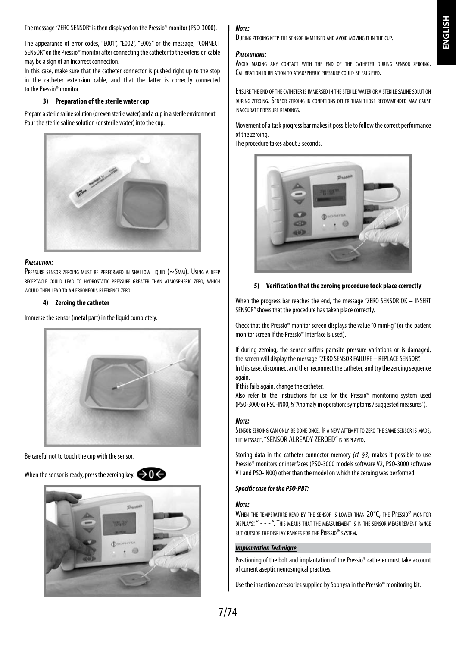The message "ZERO SENSOR" is then displayed on the Pressio® monitor (PSO-3000).

The appearance of error codes, "E001", "E002", "E005" or the message, "CONNECT SENSOR" on the Pressio® monitor after connecting the catheter to the extension cable may be a sign of an incorrect connection.

In this case, make sure that the catheter connector is pushed right up to the stop in the catheter extension cable, and that the latter is correctly connected to the Pressio® monitor.

#### **3) Preparation of the sterile water cup**

Prepare a sterile saline solution (or even sterile water) and a cup in a sterile environment. Pour the sterile saline solution (or sterile water) into the cup.



#### *Precaution:*

PRESSURE SENSOR ZEROING MUST BE PERFORMED IN SHALLOW LIQUID (~5MM). USING A DEEP receptacle could lead to hydrostatic pressure greater than atmospheric zero, which would then lead to an erroneous reference zero.

#### **4) Zeroing the catheter**

Immerse the sensor (metal part) in the liquid completely.



Be careful not to touch the cup with the sensor.

When the sensor is ready, press the zeroing key.  $\bullet$ 



#### *Note:*

During zeroing keep the sensor immersed and avoid moving it in the cup.

#### *Precautions:*

Avoid making any contact with the end of the catheter during sensor zeroing Calibration in relation to atmospheric pressure could be falsified.

Ensure the end of the catheter is immersed in the sterile water or <sup>a</sup> sterile saline solution during zeroing. Sensor zeroing in conditions other than those recommended may cause inaccurate pressure readings.

Movement of a task progress bar makes it possible to follow the correct performance of the zeroing.

The procedure takes about 3 seconds.



#### **5) Verification that the zeroing procedure took place correctly**

When the progress bar reaches the end, the message "ZERO SENSOR OK – INSERT SENSOR" shows that the procedure has taken place correctly.

Check that the Pressio® monitor screen displays the value "0 mmHg" (or the patient monitor screen if the Pressio® interface is used).

If during zeroing, the sensor suffers parasite pressure variations or is damaged, the screen will display the message "ZERO SENSOR FAILURE – REPLACE SENSOR". In this case, disconnect and then reconnect the catheter, and try the zeroing sequence again

If this fails again, change the catheter.

Also refer to the instructions for use for the Pressio® monitoring system used (PSO-3000 or PSO-IN00, § "Anomaly in operation: symptoms / suggested measures").

#### *Note:*

SENSOR ZEROING CAN ONLY BE DONE ONCE. IF A NEW ATTEMPT TO ZERO THE SAME SENSOR IS MADE. THE MESSAGE, "SENSOR ALREADY ZEROED" IS DISPLAYED.

Storing data in the catheter connector memory *(cf. §3)* makes it possible to use Pressio® monitors or interfaces (PSO-3000 models software V2, PSO-3000 software V1 and PSO-IN00) other than the model on which the zeroing was performed.

#### *Specific case for the PSO-PBT:*

#### *Note:*

WHEN THE TEMPERATURE READ BY THE SENSOR IS LOWER THAN 20°C, THE PRESSIO® MONITOR displays: " - - - ". This means that the measurement is in the sensor measurement range but outside the display ranges for thePressio® system.

#### *Implantation Technique*

Positioning of the bolt and implantation of the Pressio® catheter must take account of current aseptic neurosurgical practices.

Use the insertion accessories supplied by Sophysa in the Pressio® monitoring kit.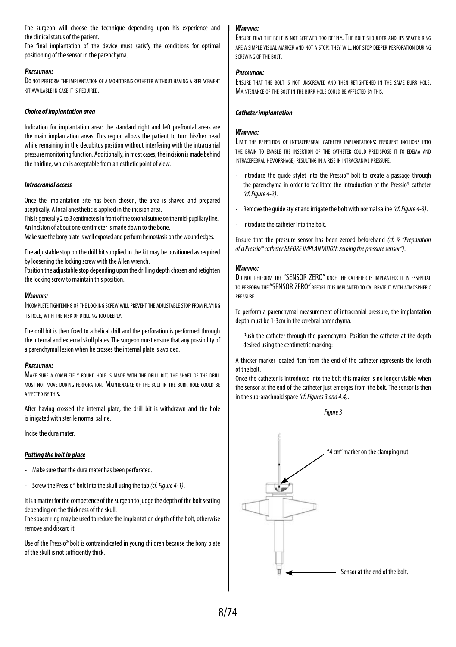The surgeon will choose the technique depending upon his experience and the clinical status of the patient.

The final implantation of the device must satisfy the conditions for optimal positioning of the sensor in the parenchyma.

#### *Precaution:*

Do not perform the implantation of a monitoring catheter without having a replacement kit available in case it is required.

#### *Choice of implantation area*

Indication for implantation area: the standard right and left prefrontal areas are the main implantation areas. This region allows the patient to turn his/her head while remaining in the decubitus position without interfering with the intracranial pressure monitoring function. Additionally, in most cases, the incision is made behind the hairline, which is acceptable from an esthetic point of view.

#### *Intracranial access*

Once the implantation site has been chosen, the area is shaved and prepared aseptically. A local anesthetic is applied in the incision area.

This is generally 2 to 3 centimeters in front of the coronal suture on the mid-pupillary line. An incision of about one centimeter is made down to the bone.

Make sure the bony plate is well exposed and perform hemostasis on the wound edges.

The adjustable stop on the drill bit supplied in the kit may be positioned as required by loosening the locking screw with the Allen wrench.

Position the adjustable stop depending upon the drilling depth chosen and retighten the locking screw to maintain this position.

#### *Warning:*

Incomplete tightening of the locking screw will prevent the adjustable stop from playing its role, with the risk of drilling too deeply.

The drill bit is then fixed to a helical drill and the perforation is performed through the internal and external skull plates. The surgeon must ensure that any possibility of a parenchymal lesion when he crosses the internal plate is avoided.

#### *Precaution:*

Make sure <sup>a</sup> completely round hole is made with the drill bit: the shaft of the drill must not move during perforation. Maintenance of the bolt in the burr hole could be affected by this.

After having crossed the internal plate, the drill bit is withdrawn and the hole is irrigated with sterile normal saline.

Incise the dura mater.

#### *Putting the bolt in place*

- Make sure that the dura mater has been perforated.
- Screw the Pressio® bolt into the skull using the tab *(cf. Figure 4-1)*.

It is a matter for the competence of the surgeon to judge the depth of the bolt seating depending on the thickness of the skull.

The spacer ring may be used to reduce the implantation depth of the bolt, otherwise remove and discard it.

Use of the Pressio® bolt is contraindicated in young children because the bony plate of the skull is not sufficiently thick.

#### *Warning:*

Ensure that the bolt is not screwed too deeply. The bolt shoulder and its spacer ring are a simple visual marker and not a stop: they will not stop deeper perforation during screwing of the bolt.

#### *Precaution:*

Ensure that the bolt is not unscrewed and then retightened in the same burr hole. MAINTENANCE OF THE BOLT IN THE BURR HOLE COULD BE AFFECTED BY THIS.

#### *Catheter implantation*

#### *Warning:*

LIMIT THE REPETITION OF INTRACEREBRAL CATHETER IMPLANTATIONS: FREQUENT INCISIONS INTO the brain to enable the insertion of the catheter could predispose it to edema and intracerebral hemorrhage, resulting in a rise in intracranial pressure.

- Introduce the guide stylet into the Pressio® bolt to create a passage through the parenchyma in order to facilitate the introduction of the Pressio® catheter *(cf. Figure 4-2)*.
- Remove the guide stylet and irrigate the bolt with normal saline *(cf. Figure 4-3)*.
- Introduce the catheter into the bolt.

Ensure that the pressure sensor has been zeroed beforehand *(cf. § "Preparation of a Pressio® catheter BEFORE IMPLANTATION: zeroing the pressure sensor")*.

#### *Warning:*

Do not perform the "SENSOR ZERO" once the catheter is implanted; it is essential to perform the "SENSOR ZERO" before it is implanted to calibrate it with atmospheric pressure.

To perform a parenchymal measurement of intracranial pressure, the implantation depth must be 1-3cm in the cerebral parenchyma.

Push the catheter through the parenchyma. Position the catheter at the depth desired using the centimetric marking:

A thicker marker located 4cm from the end of the catheter represents the length of the bolt.

Once the catheter is introduced into the bolt this marker is no longer visible when the sensor at the end of the catheter just emerges from the bolt. The sensor is then in the sub-arachnoid space *(cf. Figures 3 and 4.4)*.



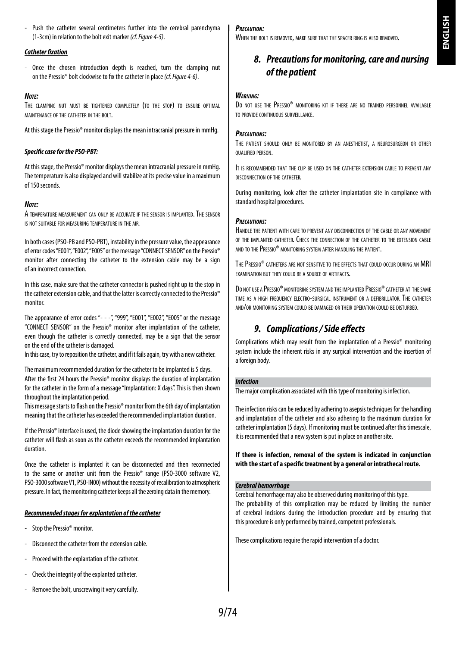- Push the catheter several centimeters further into the cerebral parenchyma (1-3cm) in relation to the bolt exit marker *(cf. Figure 4-5)*.

### *Catheter fixation*

Once the chosen introduction depth is reached, turn the clamping nut on the Pressio® bolt clockwise to fix the catheter in place *(cf. Figure 4-6)*.

#### *Note:*

The clamping nut must be tightened completely (to the stop) to ensure optimal maintenance of the catheter in the bolt.

At this stage the Pressio® monitor displays the mean intracranial pressure in mmHg.

#### *Specific case for the PSO-PBT:*

At this stage, the Pressio® monitor displays the mean intracranial pressure in mmHg. The temperature is also displayed and will stabilize at its precise value in a maximum of 150 seconds.

#### *Note:*

A temperature measurement can only be accurate if the sensor is implanted. The sensor is not suitable for measuring temperature in the air.

In both cases (PSO-PB and PSO-PBT), instability in the pressure value, the appearance of error codes "E001", "E002", "E005" or the message "CONNECT SENSOR" on the Pressio® monitor after connecting the catheter to the extension cable may be a sign of an incorrect connection.

In this case, make sure that the catheter connector is pushed right up to the stop in the catheter extension cable, and that the latter is correctly connected to the Pressio® monitor.

The appearance of error codes "- - -", "999", "E001", "E002", "E005" or the message "CONNECT SENSOR" on the Pressio® monitor after implantation of the catheter, even though the catheter is correctly connected, may be a sign that the sensor on the end of the catheter is damaged.

In this case, try to reposition the catheter, and if it fails again, try with a new catheter.

The maximum recommended duration for the catheter to be implanted is 5 days. After the first 24 hours the Pressio® monitor displays the duration of implantation for the catheter in the form of a message "Implantation: X days". This is then shown throughout the implantation period.

This message starts to flash on the Pressio® monitor from the 6th day of implantation meaning that the catheter has exceeded the recommended implantation duration.

If the Pressio® interface is used, the diode showing the implantation duration for the catheter will flash as soon as the catheter exceeds the recommended implantation duration.

Once the catheter is implanted it can be disconnected and then reconnected to the same or another unit from the Pressio® range (PSO-3000 software V2, PSO-3000 software V1, PSO-IN00) without the necessity of recalibration to atmospheric pressure. In fact, the monitoring catheter keeps all the zeroing data in the memory.

#### *Recommended stages for explantation of the catheter*

- Stop the Pressio® monitor
- Disconnect the catheter from the extension cable.
- Proceed with the explantation of the catheter.
- Check the integrity of the explanted catheter.
- Remove the bolt, unscrewing it very carefully.

#### *Precaution:*

When the bolt is removed, make sure that the spacer ring is also removed.

# *8. Precautions for monitoring, care and nursing of the patient*

#### *Warning:*

Do not use the Pressio® monitoring kit if there are no trained personnel available to provide continuous surveillance.

#### *Precautions:*

The patient should only be monitored by an anesthetist, a neurosurgeon or other qualified person.

It is recommended that the clip be used on the catheter extension cable to prevent any disconnection of the catheter.

During monitoring, look after the catheter implantation site in compliance with standard hospital procedures.

#### *Precautions:*

Handle the patient with care to prevent any disconnection of the cable or any movement of the implanted catheter. Check the connection of the catheter to the extension cable and to the Pressio® monitoring system after handling the patient.

THE PRESSIO<sup>®</sup> CATHETERS ARE NOT SENSITIVE TO THE EFFECTS THAT COULD OCCUR DURING AN MRI examination but they could be a source of artifacts.

DO NOT USE A PRESSIO<sup>®</sup> MONITORING SYSTEM AND THE IMPLANTED PRESSIO<sup>®</sup> CATHETER AT THE SAME time as a high frequency electro-surgical instrument or a defibrillator. The catheter and/or monitoring system could be damaged or their operation could be disturbed.

# *9. Complications / Side effects*

Complications which may result from the implantation of a Pressio® monitoring system include the inherent risks in any surgical intervention and the insertion of a foreign body

#### *Infection*

The major complication associated with this type of monitoring is infection.

The infection risks can be reduced by adhering to asepsis techniques for the handling and implantation of the catheter and also adhering to the maximum duration for catheter implantation (5 days). If monitoring must be continued after this timescale, it is recommended that a new system is put in place on another site.

#### **If there is infection, removal of the system is indicated in conjunction with the start of a specific treatment by a general or intrathecal route.**

### *Cerebral hemorrhage*

Cerebral hemorrhage may also be observed during monitoring of this type. The probability of this complication may be reduced by limiting the number of cerebral incisions during the introduction procedure and by ensuring that this procedure is only performed by trained, competent professionals.

These complications require the rapid intervention of a doctor.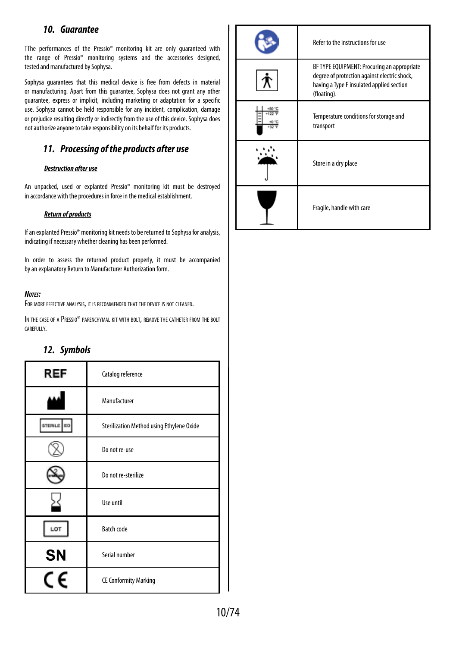## *10. Guarantee*

TThe performances of the Pressio® monitoring kit are only guaranteed with the range of Pressio® monitoring systems and the accessories designed, tested and manufactured by Sophysa.

Sophysa guarantees that this medical device is free from defects in material or manufacturing. Apart from this guarantee, Sophysa does not grant any other guarantee, express or implicit, including marketing or adaptation for a specific use. Sophysa cannot be held responsible for any incident, complication, damage or prejudice resulting directly or indirectly from the use of this device. Sophysa does not authorize anyone to take responsibility on its behalf for its products.

# *11. Processing of the products after use*

#### *Destruction after use*

An unpacked, used or explanted Pressio® monitoring kit must be destroyed in accordance with the procedures in force in the medical establishment.

#### *Return of products*

If an explanted Pressio® monitoring kit needs to be returned to Sophysa for analysis, indicating if necessary whether cleaning has been performed.

In order to assess the returned product properly, it must be accompanied by an explanatory Return to Manufacturer Authorization form.

#### *Notes:*

For more effective analysis, it is recommended that the device is not cleaned.

IN THE CASE OF A PRESSIO® PARENCHYMAL KIT WITH BOLT, REMOVE THE CATHETER FROM THE BOLT carefully.

# *12. Symbols*

| REF        | Catalog reference                         |
|------------|-------------------------------------------|
|            | Manufacturer                              |
| STERILE DO | Sterilization Method using Ethylene Oxide |
|            | Do not re-use                             |
|            | Do not re-sterilize                       |
|            | Use until                                 |
| LOT        | <b>Batch code</b>                         |
| <b>SN</b>  | Serial number                             |
|            | <b>CE Conformity Marking</b>              |

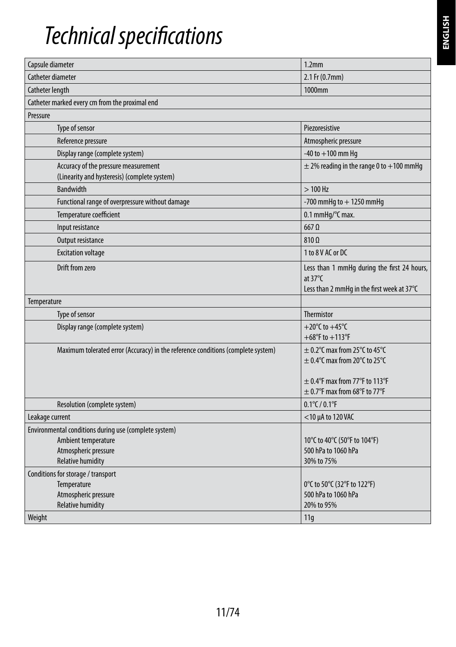# *Technical specifications*

| Capsule diameter                                                                     | 1.2 <sub>mm</sub>                                                                                              |
|--------------------------------------------------------------------------------------|----------------------------------------------------------------------------------------------------------------|
| Catheter diameter                                                                    | 2.1 Fr (0.7mm)                                                                                                 |
| Catheter length                                                                      | 1000mm                                                                                                         |
| Catheter marked every cm from the proximal end                                       |                                                                                                                |
| Pressure                                                                             |                                                                                                                |
| Type of sensor                                                                       | Piezoresistive                                                                                                 |
| Reference pressure                                                                   | Atmospheric pressure                                                                                           |
| Display range (complete system)                                                      | $-40$ to $+100$ mm Hq                                                                                          |
| Accuracy of the pressure measurement<br>(Linearity and hysteresis) (complete system) | $\pm$ 2% reading in the range 0 to +100 mmHg                                                                   |
| <b>Bandwidth</b>                                                                     | $>100$ Hz                                                                                                      |
| Functional range of overpressure without damage                                      | -700 mmHq to $+1250$ mmHq                                                                                      |
| Temperature coefficient                                                              | 0.1 mmHq/°C max.                                                                                               |
| Input resistance                                                                     | $667$ $\Omega$                                                                                                 |
| Output resistance                                                                    | $810 \Omega$                                                                                                   |
| <b>Excitation voltage</b>                                                            | 1 to 8 V AC or DC                                                                                              |
| Drift from zero                                                                      | Less than 1 mmHq during the first 24 hours,<br>at $37^{\circ}$ C<br>Less than 2 mmHq in the first week at 37°C |
| Temperature                                                                          |                                                                                                                |
| Type of sensor                                                                       | Thermistor                                                                                                     |
| Display range (complete system)                                                      | +20 $^{\circ}$ C to +45 $^{\circ}$ C<br>$+68^{\circ}$ F to $+113^{\circ}$ F                                    |
| Maximum tolerated error (Accuracy) in the reference conditions (complete system)     | $\pm$ 0.2°C max from 25°C to 45°C<br>$\pm$ 0.4°C max from 20°C to 25°C                                         |
|                                                                                      | $\pm$ 0.4°F max from 77°F to 113°F<br>$\pm$ 0.7°F max from 68°F to 77°F                                        |
| Resolution (complete system)                                                         | $0.1^{\circ}$ C / $0.1^{\circ}$ F                                                                              |
| Leakage current                                                                      | $<$ 10 µA to 120 VAC                                                                                           |
| Environmental conditions during use (complete system)                                |                                                                                                                |
| Ambient temperature                                                                  | 10°C to 40°C (50°F to 104°F)                                                                                   |
| Atmospheric pressure                                                                 | 500 hPa to 1060 hPa                                                                                            |
| <b>Relative humidity</b>                                                             | 30% to 75%                                                                                                     |
| Conditions for storage / transport<br>Temperature                                    | 0°C to 50°C (32°F to 122°F)                                                                                    |
| Atmospheric pressure                                                                 | 500 hPa to 1060 hPa                                                                                            |
| <b>Relative humidity</b>                                                             | 20% to 95%                                                                                                     |
| Weight                                                                               | 11q                                                                                                            |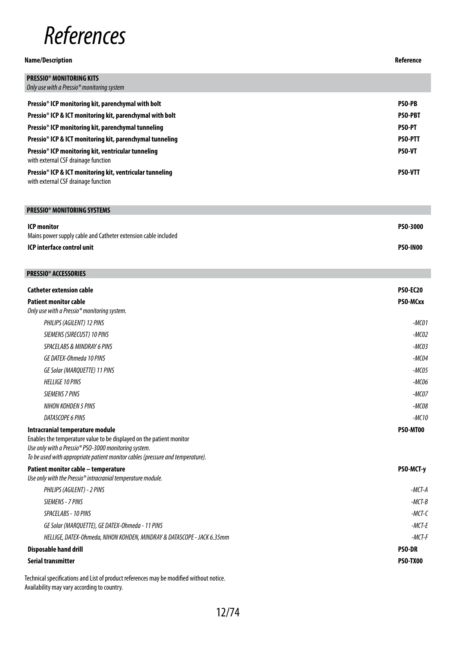

### **Name/Description Reference PRESSIO® MONITORING KITS** *Only use with a Pressio® monitoring system* **Pressio® ICP monitoring kit, parenchymal with bolt PSO-PB Pressio® ICP & ICT monitoring kit, parenchymal with bolt PSO-PBT Pressio® ICP monitoring kit, parenchymal tunneling PSO-PT Pressio® ICP & ICT monitoring kit, parenchymal tunneling PSO-PTT Pressio® ICP monitoring kit, ventricular tunneling**  with external CSF drainage function **PSO-VT Pressio® ICP & ICT monitoring kit, ventricular tunneling**  with external CSF drainage function **PSO-VTT**

| <b>PRESSIO<sup>®</sup> MONITORING SYSTEMS</b>                                        |                 |
|--------------------------------------------------------------------------------------|-----------------|
| <b>ICP monitor</b><br>Mains power supply cable and Catheter extension cable included | PS0-3000        |
| ICP interface control unit                                                           | <b>PSO-IN00</b> |

| <b>PRESSIO<sup>®</sup> ACCESSORIES</b>                                                                         |                 |
|----------------------------------------------------------------------------------------------------------------|-----------------|
| <b>Catheter extension cable</b>                                                                                | <b>PSO-EC20</b> |
| <b>Patient monitor cable</b>                                                                                   | PSO-MCxx        |
| Only use with a Pressio <sup>®</sup> monitoring system.                                                        |                 |
| PHILIPS (AGILENT) 12 PINS                                                                                      | -MC01           |
| SIEMENS (SIRECUST) 10 PINS                                                                                     | $-MCO2$         |
| <b>SPACELABS &amp; MINDRAY 6 PINS</b>                                                                          | $-MCO3$         |
| GE DATEX-Ohmeda 10 PINS                                                                                        | $-MCO4$         |
| GE Solar (MARQUETTE) 11 PINS                                                                                   | $-MCO5$         |
| <b>HELLIGE 10 PINS</b>                                                                                         | $-MCO6$         |
| <b>SIEMENS 7 PINS</b>                                                                                          | $-MCOZ$         |
| NIHON KOHDEN 5 PINS                                                                                            | $-MCO8$         |
| DATASCOPE 6 PINS                                                                                               | $-MC10$         |
| Intracranial temperature module                                                                                | PSO-MT00        |
| Enables the temperature value to be displayed on the patient monitor                                           |                 |
| Use only with a Pressio® PSO-3000 monitoring system.                                                           |                 |
| To be used with appropriate patient monitor cables (pressure and temperature).                                 |                 |
| Patient monitor cable - temperature<br>Use only with the Pressio <sup>®</sup> intracranial temperature module. | PSO-MCT-y       |
| PHILIPS (AGILENT) - 2 PINS                                                                                     | $-MCT-A$        |
| SIEMENS - 7 PINS                                                                                               | $-MCT-B$        |
| SPACELABS - 10 PINS                                                                                            | $-MCT-C$        |
| GE Solar (MARQUETTE), GE DATEX-Ohmeda - 11 PINS                                                                | $-MCT-F$        |
| HELLIGE, DATEX-Ohmeda, NIHON KOHDEN, MINDRAY & DATASCOPE - JACK 6.35mm                                         | $-MCT-F$        |
| <b>Disposable hand drill</b>                                                                                   | <b>PSO-DR</b>   |
| <b>Serial transmitter</b>                                                                                      | <b>PSO-TX00</b> |
|                                                                                                                |                 |

Technical specifications and List of product references may be modified without notice. Availability may vary according to country.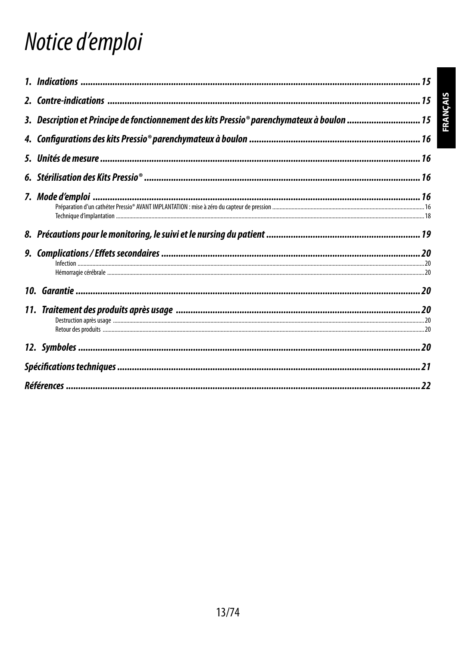# Notice d'emploi

| 3. Description et Principe de fonctionnement des kits Pressio® parenchymateux à boulon  15 |  |
|--------------------------------------------------------------------------------------------|--|
|                                                                                            |  |
|                                                                                            |  |
|                                                                                            |  |
|                                                                                            |  |
|                                                                                            |  |
|                                                                                            |  |
|                                                                                            |  |
|                                                                                            |  |
|                                                                                            |  |
|                                                                                            |  |
|                                                                                            |  |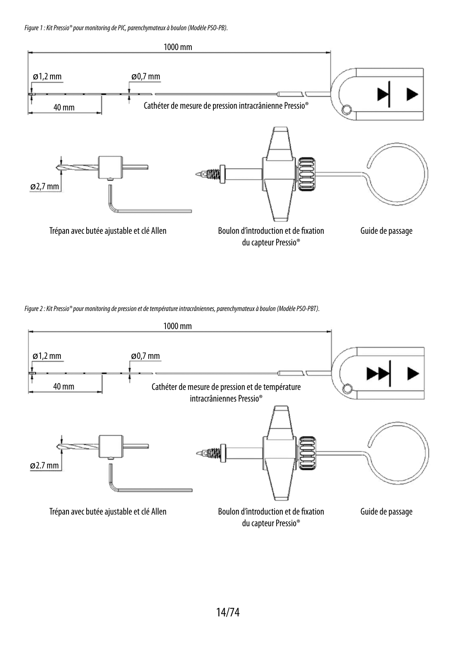*Figure 1: Kit Pressio® pour monitoring de PIC, parenchymateux à boulon (Modèle PSO-PB).*



*Figure 2: Kit Pressio® pour monitoring de pression et de température intracrâniennes, parenchymateux à boulon (Modèle PSO-PBT).*

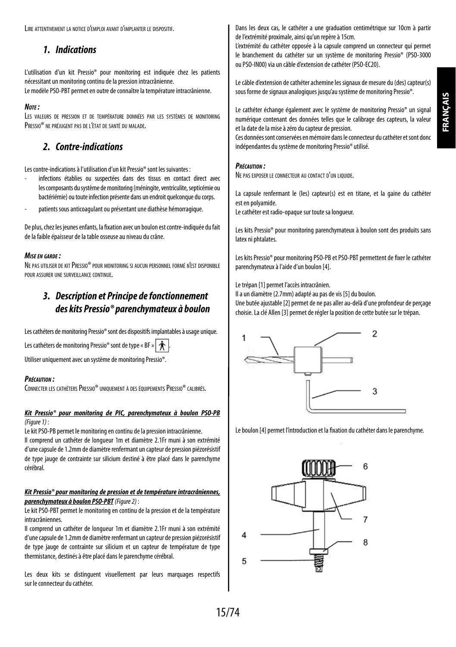Lire attentivement la notice d'emploi avant d'implanter le dispositif.

# *1. Indications*

L'utilisation d'un kit Pressio® pour monitoring est indiquée chez les patients nécessitant un monitoring continu de la pression intracrânienne. Le modèle PSO-PBT permet en outre de connaître la température intracrânienne.

#### *Note :*

Les valeurs de pression et de température données par les systèmes de monitoring PRESSIO<sup>®</sup> NE PRÉJUGENT PAS DE L'ÉTAT DE SANTÉ DU MALADE.

# *2. Contre-indications*

Les contre-indications à l'utilisation d'un kit Pressio® sont les suivantes :

- infections établies ou suspectées dans des tissus en contact direct avec les composants du système de monitoring (méningite, ventriculite, septicémie ou bactériémie) ou toute infection présente dans un endroit quelconque du corps.
- patients sous anticoagulant ou présentant une diathèse hémorragique.

De plus, chez les jeunes enfants, la fixation avec un boulon est contre-indiquée du fait de la faible épaisseur de la table osseuse au niveau du crâne.

### *Mise en garde :*

Ne pas utiliser de kitPressio® pour monitoring si aucun personnel formé n'est disponible pour assurer une surveillance continue.

# *3. Description et Principe de fonctionnement des kits Pressio® parenchymateux à boulon*

Les cathéters de monitoring Pressio® sont des dispositifs implantables à usage unique.

Les cathéters de monitoring Pressio<sup>®</sup> sont de type « BF »

Utiliser uniquement avec un système de monitoring Pressio®.

#### *Précaution :*

CONNECTER LES CATHÉTERS PRESSIO® UNIQUEMENT À DES ÉQUIPEMENTS PRESSIO® CALIBRÉS.

#### *Kit Pressio® pour monitoring de PIC, parenchymateux à boulon PSO-PB (Figure 1)* :

Le kit PSO-PB permet le monitoring en continu de la pression intracrânienne.

Il comprend un cathéter de longueur 1m et diamètre 2.1Fr muni à son extrémité d'une capsule de 1.2mm de diamètre renfermant un capteur de pression piézorésistif de type jauge de contrainte sur silicium destiné à être placé dans le parenchyme cérébral.

#### *Kit Pressio® pour monitoring de pression et de température intracrâniennes, parenchymateux à boulon PSO-PBT(Figure 2)* :

Le kit PSO-PBT permet le monitoring en continu de la pression et de la température intracrâniennes.

Il comprend un cathéter de longueur 1m et diamètre 2.1Fr muni à son extrémité d'une capsule de 1.2mm de diamètre renfermant un capteur de pression piézorésistif de type jauge de contrainte sur silicium et un capteur de température de type thermistance, destinés à être placé dans le parenchyme cérébral.

Les deux kits se distinguent visuellement par leurs marquages respectifs sur le connecteur du cathéter.

Dans les deux cas, le cathéter a une graduation centimétrique sur 10cm à partir de l'extrémité proximale, ainsi qu'un repère à 15cm.

L'extrémité du cathéter opposée à la capsule comprend un connecteur qui permet le branchement du cathéter sur un système de monitoring Pressio® (PSO-3000 ou PSO-IN00) via un câble d'extension de cathéter (PSO-EC20).

Le câble d'extension de cathéter achemine les signaux de mesure du (des) capteur(s) sous forme de signaux analogiques jusqu'au système de monitoring Pressio®.

Le cathéter échange également avec le système de monitoring Pressio® un signal numérique contenant des données telles que le calibrage des capteurs, la valeur et la date de la mise à zéro du capteur de pression.

Ces données sont conservées en mémoire dans le connecteur du cathéter et sont donc indépendantes du système de monitoring Pressio® utilisé.

#### *Précaution :*

Ne pas exposer le connecteur au contact d'un liquide.

La capsule renfermant le (les) capteur(s) est en titane, et la gaine du cathéter est en polyamide.

Le cathéter est radio-opaque sur toute sa longueur.

Les kits Pressio® pour monitoring parenchymateux à boulon sont des produits sans latex ni phtalates.

Les kits Pressio® pour monitoring PSO-PB et PSO-PBT permettent de fixer le cathéter parenchymateux à l'aide d'un boulon [4].

Le trépan [1] permet l'accès intracrânien.

Il a un diamètre (2.7mm) adapté au pas de vis [5] du boulon. Une butée ajustable [2] permet de ne pas aller au-delà d'une profondeur de perçage choisie. La clé Allen [3] permet de régler la position de cette butée sur le trépan.



Le boulon [4] permet l'introduction et la fixation du cathéter dans le parenchyme.

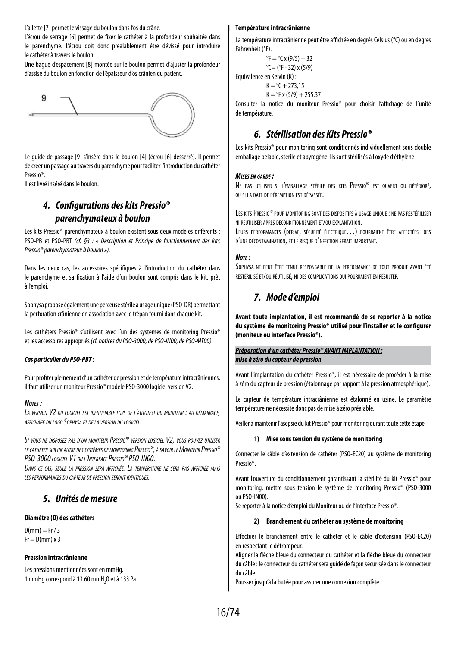L'ailette [7] permet le vissage du boulon dans l'os du crâne.

L'écrou de serrage [6] permet de fixer le cathéter à la profondeur souhaitée dans le parenchyme. L'écrou doit donc préalablement être dévissé pour introduire le cathéter à travers le boulon.

Une bague d'espacement [8] montée sur le boulon permet d'ajuster la profondeur d'assise du boulon en fonction de l'épaisseur d'os crânien du patient.



Le guide de passage [9] s'insère dans le boulon [4] (écrou [6] desserré). Il permet de créer un passage au travers du parenchyme pour faciliter l'introduction du cathéter Pressio®.

Il est livré inséré dans le boulon.

# *4. Configurations des kits Pressio® parenchymateux à boulon*

Les kits Pressio® parenchymateux à boulon existent sous deux modèles différents : PSO-PB et PSO-PBT *(cf. §3 : « Description et Principe de fonctionnement des kits Pressio® parenchymateux à boulon »).*

Dans les deux cas, les accessoires spécifiques à l'introduction du cathéter dans le parenchyme et sa fixation à l'aide d'un boulon sont compris dans le kit, prêt àl'emploi.

Sophysa propose également une perceuse stérile à usage unique (PSO-DR) permettant la perforation crânienne en association avec le trépan fourni dans chaque kit.

Les cathéters Pressio® s'utilisent avec l'un des systèmes de monitoring Pressio® et les accessoires appropriés *(cf. notices du PSO-3000, de PSO-IN00, de PSO-MT00).*

#### *Cas particulier du PSO-PBT:*

Pour profiter pleinement d'un cathéter de pression et de température intracrâniennes, il faut utiliser un moniteur Pressio® modèle PSO-3000 logiciel version V2.

#### *Notes :*

*La version V2 du logiciel est identifiable lors de l'autotest du moniteur : au démarrage, affichage du logo Sophysa et de la version du logiciel.*

*Si vous ne disposez pas d'un moniteur Pressio® version logiciel V2, vous pouvez utiliser lecathétersur un autre des systèmes de monitoring Pressio®, à savoirleMoniteurPressio® PSO-3000 logiciel V1 ou l'InterfacePressio® PSO-IN00.*

*Dans ce cas, seule la pression sera affichée. La température ne sera pas affichée mais les performances du capteur de pression seront identiques.*

## *5. Unités de mesure*

#### **Diamètre (D) des cathéters**

 $D(mm) = Fr / 3$  $Fr = D(mm) \times 3$ 

#### **Pression intracrânienne**

Les pressions mentionnées sont en mmHg. 1 mmHg correspond à 13.60 mmH<sub>2</sub>0 et à 133 Pa.

#### **Température intracrânienne**

La température intracrânienne peut être affichée en degrés Celsius (°C) ou en degrés Fahrenheit (°F).

 ${}^{\circ}$ F =  ${}^{\circ}$ C x (9/5) + 32  $°C = (°F - 32) \times (5/9)$ Equivalence en Kelvin (K) :  $K = {}^{6}C + 273.15$  $K = {}^{o}F x (5/9) + 25537$ 

Consulter la notice du moniteur Pressio® pour choisir l'affichage de l'unité de température.

# *6. Stérilisation des Kits Pressio®*

Les kits Pressio® pour monitoring sont conditionnés individuellement sous double emballage pelable, stérile et apyrogène. Ils sont stérilisés à l'oxyde d'éthylène.

#### *Mises en garde :*

Ne pas utiliser si l'emballage stérile des kits Pressio® est ouvert ou détérioré, ou si la date de péremption est dépassée.

LES KITS PRESSIO<sup>®</sup> pour monitoring sont des dispositifs à usage unique : ne pas restériliser ni réutiliser après déconditionnement et/ou explantation.

Leurs performances (dérive, sécurité électrique…) pourraient être affectées lors d'une décontamination, et le risque d'infection serait important.

#### *Note :*

Sophysa ne peut être tenue responsable de la performance de tout produit ayant été restérilisé et/ou réutilisé, ni des complications qui pourraient en résulter.

# *7. Mode d'emploi*

**Avant toute implantation, il est recommandé de se reporter à la notice du système de monitoring Pressio® utilisé pour l'installer et le configurer (moniteur ou interface Pressio®).**

#### *Préparation d'un cathéter Pressio® AVANT IMPLANTATION : mise à zéro du capteur de pression*

Avant l'implantation du cathéter Pressio®, il est nécessaire de procéder à la mise à zéro du capteur de pression (étalonnage par rapport à la pression atmosphérique).

Le capteur de température intracrânienne est étalonné en usine. Le paramètre température ne nécessite donc pas de mise à zéro préalable.

Veiller à maintenir l'asepsie du kit Pressio® pour monitoring durant toute cette étape.

#### **1) Mise sous tension du système de monitoring**

Connecter le câble d'extension de cathéter (PSO-EC20) au système de monitoring Pressio®.

Avant l'ouverture du conditionnement garantissant la stérilité du kit Pressio® pour monitoring, mettre sous tension le système de monitoring Pressio® (PSO-3000 ou PSO-IN00).

Se reporter à la notice d'emploi du Moniteur ou de l'Interface Pressio®.

#### **2) Branchement du cathéter au système de monitoring**

Effectuer le branchement entre le cathéter et le câble d'extension (PSO-EC20) en respectant le détrompeur.

Aligner la flèche bleue du connecteur du cathéter et la flèche bleue du connecteur du câble : le connecteur du cathéter sera guidé de façon sécurisée dans le connecteur du câble.

Pousser jusqu'à la butée pour assurer une connexion complète.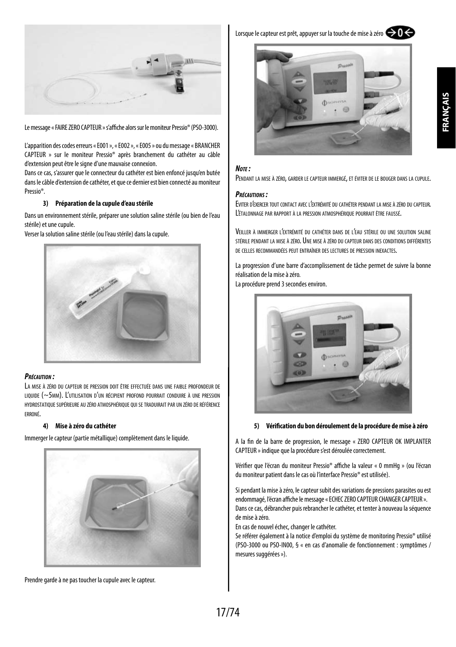



Le message «FAIRE ZERO CAPTEUR » s'affiche alors sur le moniteur Pressio® (PSO-3000).

L'apparition des codes erreurs «E001», «E002», «E005» ou du message « BRANCHER CAPTEUR » sur le moniteur Pressio® après branchement du cathéter au câble d'extension peut être le signe d'une mauvaise connexion.

Dans ce cas, s'assurer que le connecteur du cathéter est bien enfoncé jusqu'en butée dans le câble d'extension de cathéter, et que ce dernier est bien connecté au moniteur Pressio®.

#### **3) Préparation de la cupule d'eau stérile**

Dans un environnement stérile, préparer une solution saline stérile (ou bien de l'eau stérile) et une cupule.

Verser la solution saline stérile (ou l'eau stérile) dans la cupule.



#### *Précaution :*

La mise à zéro du capteur de pression doit être effectuée dans une faible profondeur de liquide (~5mm). L'utilisation d'un récipient profond pourrait conduire à une pression hydrostatique supérieure au zéro atmosphérique qui se traduiraitpar un zéro de référence erroné.

#### **4) Mise à zéro du cathéter**

Immerger le capteur (partie métallique) complètement dans le liquide.



Prendre garde à ne pas toucher la cupule avec le capteur.

Lorsque le capteur est prêt, appuyer sur la touche de mise à zéro  $\bigodot$ 



#### *Note :*

Pendant la mise <sup>à</sup> zéro, garder le capteur immergé, et éviter de le bouger dans la cupule.

#### *Précautions :*

Eviter d'exercer tout contact avec l'extrémité du cathéter pendant la mise <sup>à</sup> zéro du capteur. L'étalonnage par rapport <sup>à</sup> la pression atmosphérique pourrait être faussé.

Veiller à immerger l'extrémité du cathéter dans de l'eau stérile ou une solution saline stérile pendant la mise à zéro. Une mise à zéro du capteur dans des conditions différentes de celles recommandées peut entraîner des lectures de pression inexactes.

La progression d'une barre d'accomplissement de tâche permet de suivre la bonne réalisation de la mise à zéro.

La procédure prend 3 secondes environ.



#### **5) Vérification du bon déroulement de la procédure de mise à zéro**

A la fin de la barre de progression, le message « ZERO CAPTEUR OK IMPLANTER CAPTEUR » indique que la procédure s'est déroulée correctement.

Vérifier que l'écran du moniteur Pressio® affiche la valeur « 0 mmHg » (ou l'écran du moniteur patient dans le cas où l'interface Pressio® est utilisée).

Si pendant la mise à zéro, le capteur subit des variations de pressions parasites ou est endommagé, l'écran affiche le message « ECHEC ZERO CAPTEUR CHANGER CAPTEUR ». Dans ce cas, débrancher puis rebrancher le cathéter, et tenter à nouveau la séquence de mise à zéro.

En cas de nouvel échec, changer le cathéter.

Se référer également à la notice d'emploi du système de monitoring Pressio® utilisé (PSO-3000 ou PSO-IN00, § « en cas d'anomalie de fonctionnement : symptômes / mesures suggérées»).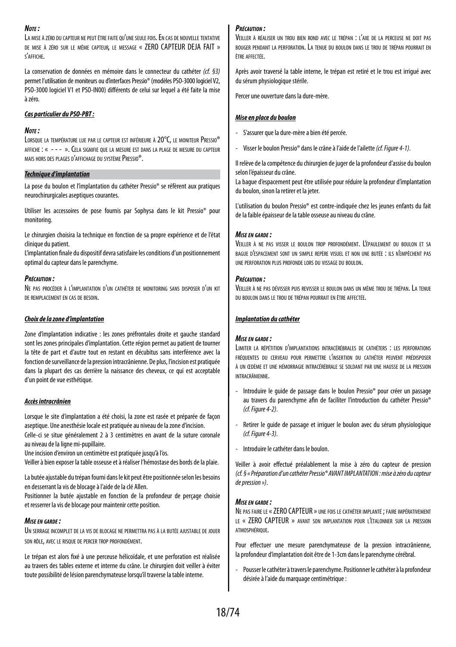#### *Note :*

LA MISE À ZÉRO DU CAPTEUR NE PEUT ÊTRE FAITE QU'UNE SEULE FOIS. EN CAS DE NOUVELLE TENTATIVE de mise à zéro sur le même capteur, le message « ZERO CAPTEUR DEJA FAIT » s'affiche.

La conservation de données en mémoire dans le connecteur du cathéter *(cf. §3)* permet l'utilisation de moniteurs ou d'interfaces Pressio® (modèles PSO-3000 logiciel V2, PSO-3000 logiciel V1 et PSO-IN00) différents de celui sur lequel a été faite la mise à zéro.

#### *Cas particulier du PSO-PBT:*

#### *Note :*

Lorsque la température lue par le capteur est inférieure à 20°C, le moniteur Pressio® affiche : « - - - ». Cela signifie que la mesure est dans la plage de mesure du capteur mais hors des plages d'affichage du systèmePressio®.

#### *Technique d'implantation*

La pose du boulon et l'implantation du cathéter Pressio® se réfèrent aux pratiques neurochirurgicales aseptiques courantes.

Utiliser les accessoires de pose fournis par Sophysa dans le kit Pressio® pour monitoring.

Le chirurgien choisira la technique en fonction de sa propre expérience et de l'état clinique du patient.

L'implantation finale du dispositif devra satisfaire les conditions d'un positionnement optimal du capteur dans le parenchyme.

#### *Précaution :*

Ne pas procéder <sup>à</sup> l'implantation d'un cathéter de monitoring sans disposer d'un kit DE REMPLACEMENT EN CAS DE RESOIN.

#### *Choix de la zone d'implantation*

Zone d'implantation indicative : les zones préfrontales droite et gauche standard sont les zones principales d'implantation. Cette région permet au patient de tourner la tête de part et d'autre tout en restant en décubitus sans interférence avec la fonction de surveillance de la pression intracrânienne. De plus, l'incision est pratiquée dans la plupart des cas derrière la naissance des cheveux, ce qui est acceptable d'un point de vue esthétique.

#### *Accès intracrânien*

Lorsque le site d'implantation a été choisi, la zone est rasée et préparée de façon aseptique. Une anesthésie locale est pratiquée au niveau de la zone d'incision. Celle-ci se situe généralement 2 à 3 centimètres en avant de la suture coronale au niveau de la ligne mi-pupillaire.

Une incision d'environ un centimètre est pratiquée jusqu'à l'os.

Veiller à bien exposer la table osseuse et à réaliser l'hémostase des bords de la plaie.

La butée ajustable du trépan fourni dans le kit peut être positionnée selon les besoins en desserrant la vis de blocage à l'aide de la clé Allen.

Positionner la butée ajustable en fonction de la profondeur de perçage choisie et resserrer la vis de blocage pour maintenir cette position.

#### *Mise en garde :*

UN SERRAGE INCOMPLET DE LA VIS DE BLOCAGE NE PERMETTRA PAS À LA BUTÉE AJUSTABLE DE JOUER son rôle, avec le risque de percer trop profondément.

Le trépan est alors fixé à une perceuse hélicoïdale, et une perforation est réalisée au travers des tables externe et interne du crâne. Le chirurgien doit veiller à éviter toute possibilité de lésion parenchymateuse lorsqu'il traverse la table interne.

#### *Précaution :*

Veiller <sup>à</sup> réaliser un trou bien rond avec le trépan : l'axe de la perceuse ne doit pas bouger pendant la perforation. La tenue du boulon dans le trou de trépan pourrait en être affectée.

Après avoir traversé la table interne, le trépan est retiré et le trou est irrigué avec du sérum physiologique stérile.

Percer une ouverture dans la dure-mère.

#### *Mise en place du boulon*

- S'assurer que la dure-mère a bien été percée.
- Visser le boulon Pressio® dans le crâne à l'aide de l'ailette *(cf. Figure 4-1)*.

Il relève de la compétence du chirurgien de juger de la profondeur d'assise du boulon selon l'épaisseur du crâne.

La bague d'espacement peut être utilisée pour réduire la profondeur d'implantation du boulon, sinon la retirer et la jeter.

L'utilisation du boulon Pressio® est contre-indiquée chez les jeunes enfants du fait de la faible épaisseur de la table osseuse au niveau du crâne.

#### *Mise en garde :*

Veiller <sup>à</sup> ne pas visser le boulon trop profondément. L'épaulement du boulon et sa bague d'espacement sont un simple repère visuel et non une butée : ils n'empêchent pas une perforation plus profonde lors du vissage du boulon.

#### *Précaution :*

Veiller <sup>à</sup> ne pas dévisser puis revisser le boulon dans un même trou de trépan. La tenue du boulon dans le trou de trépan pourrait en être affectée.

### *Implantation du cathéter*

#### *Mise en garde :*

Limiter la répétition d'implantations intracérébrales de cathéters : les perforations fréquentes du cerveau pour permettre l'insertion du cathéter peuvent prédisposer à un œdème et une hémorragie intracérébrale se soldant par une hausse de la pression intracrânienne.

- Introduire le guide de passage dans le boulon Pressio® pour créer un passage au travers du parenchyme afin de faciliter l'introduction du cathéter Pressio® *(cf. Figure 4-2)*.
- Retirer le guide de passage et irriguer le boulon avec du sérum physiologique *(cf. Figure 4-3)*.
- Introduire le cathéter dans le boulon.

Veiller à avoir effectué préalablement la mise à zéro du capteur de pression *(cf. § « Préparation d'un cathéter Pressio® AVANT IMPLANTATION : mise à zéro du capteur de pression»)*.

#### *Mise en garde :*

Ne pas faire le « ZERO CAPTEUR » une fois le cathéter implanté ; faire impérativement le « ZERO CAPTEUR » avant son implantation pour l'étalonner sur la pression atmosphérique.

Pour effectuer une mesure parenchymateuse de la pression intracrânienne, la profondeur d'implantation doit être de 1-3cm dans le parenchyme cérébral.

- Pousser le cathéter à travers le parenchyme. Positionner le cathéter à la profondeur désirée à l'aide du marquage centimétrique :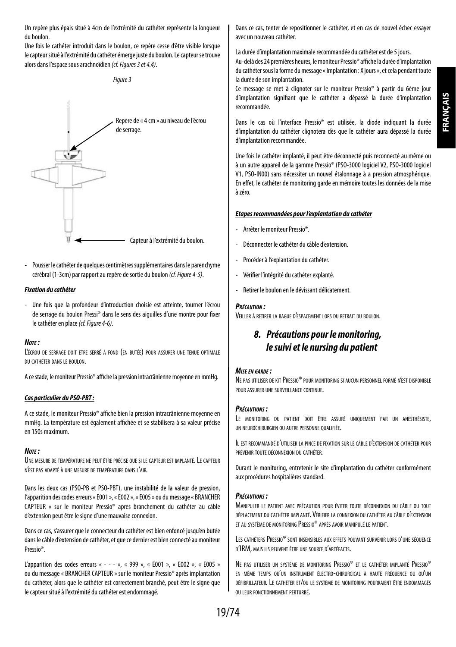Un repère plus épais situé à 4cm de l'extrémité du cathéter représente la longueur du boulon.

Une fois le cathéter introduit dans le boulon, ce repère cesse d'être visible lorsque le capteur situé à l'extrémité du cathéter émerge juste du boulon. Le capteur se trouve alors dans l'espace sous arachnoïdien *(cf. Figures 3 et 4.4)*.



Repère de «4 cm » au niveau de l'écrou de serrage. Capteur à l'extrémité du boulon.

Pousser le cathéter de quelques centimètres supplémentaires dans le parenchyme cérébral (1-3cm) par rapport au repère de sortie du boulon *(cf. Figure 4-5)*.

#### *Fixation du cathéter*

- Une fois que la profondeur d'introduction choisie est atteinte, tourner l'écrou de serrage du boulon Pressi® dans le sens des aiguilles d'une montre pour fixer le cathéter en place *(cf. Figure 4-6)*.

#### *Note :*

L'écrou de serrage doit être serré <sup>à</sup> fond (en butée) pour assurer une tenue optimale du cathéter dans le boulon.

A ce stade, le moniteur Pressio® affiche la pression intracrânienne moyenne en mmHg.

#### *Cas particulier du PSO-PBT:*

A ce stade, le moniteur Pressio® affiche bien la pression intracrânienne moyenne en mmHg. La température est également affichée et se stabilisera à sa valeur précise en 150s maximum.

#### *Note :*

Une mesure de température ne peut être précise que si le capteur est implanté. Le capteur n'est pas adapté à une mesure de température dans l'air.

Dans les deux cas (PSO-PB et PSO-PBT), une instabilité de la valeur de pression, l'apparition des codes erreurs «E001», «E002», «E005» ou du message « BRANCHER CAPTEUR » sur le moniteur Pressio® après branchement du cathéter au câble d'extension peut être le signe d'une mauvaise connexion.

Dans ce cas, s'assurer que le connecteur du cathéter est bien enfoncé jusqu'en butée dans le câble d'extension de cathéter, et que ce dernier est bien connecté au moniteur Pressio®.

L'apparition des codes erreurs « - - - », « 999 », « E001 », « E002 », « E005 » ou du message « BRANCHER CAPTEUR » sur le moniteur Pressio® après implantation du cathéter, alors que le cathéter est correctement branché, peut être le signe que le capteur situé à l'extrémité du cathéter est endommagé.

Dans ce cas, tenter de repositionner le cathéter, et en cas de nouvel échec essayer avec un nouveau cathéter.

La durée d'implantation maximale recommandée du cathéter est de 5 jours.

Au-delà des 24 premières heures, le moniteur Pressio® affiche la durée d'implantation du cathéter sous la forme du message «Implantation : X jours», et cela pendant toute la durée de son implantation.

Ce message se met à clignoter sur le moniteur Pressio® à partir du 6ème jour d'implantation signifiant que le cathéter a dépassé la durée d'implantation recommandée.

Dans le cas où l'interface Pressio® est utilisée, la diode indiquant la durée d'implantation du cathéter clignotera dès que le cathéter aura dépassé la durée d'implantation recommandée.

Une fois le cathéter implanté, il peut être déconnecté puis reconnecté au même ou à un autre appareil de la gamme Pressio® (PSO-3000 logiciel V2, PSO-3000 logiciel V1, PSO-IN00) sans nécessiter un nouvel étalonnage à a pression atmosphérique. En effet, le cathéter de monitoring garde en mémoire toutes les données de la mise à zéro.

#### *Etapes recommandées pour l'explantation du cathéter*

- Arrêter le moniteur Pressio®.
- Déconnecter le cathéter du câble d'extension.
- Procéder à l'explantation du cathéter.
- Vérifier l'intégrité du cathéter explanté.
- Retirer le boulon en le dévissant délicatement

#### *Précaution :*

Veiller <sup>à</sup> retirer la bague d'espacement lors du retrait du boulon.

# *8. Précautions pour le monitoring, le suivi et le nursing du patient*

#### *Mise en garde :*

Ne pas utiliser de kit Pressio® pour monitoring si aucun personnel formé n'est disponible pour assurer une surveillance continue.

#### *Précautions :*

Le monitoring du patient doit être assuré uniquement par un anesthésiste, un neurochirurgien ou autre personne qualifiée.

Il est recommandé d'utiliser la pince de fixation sur le câble d'extension de cathéter pour prévenir toute déconnexion du cathéter.

Durant le monitoring, entretenir le site d'implantation du cathéter conformément aux procédures hospitalières standard.

#### *Précautions :*

Manipuler le patient avec précaution pour éviter toute déconnexion du câble ou tout déplacement du cathéter implanté. Vérifier la connexion du cathéter au câble d'extension et au système de monitoring Pressio® après avoir manipulé le patient.

LES CATHÉTERS PRESSIO<sup>®</sup> SONT INSENSIBLES AUX EFFETS POUVANT SURVENIR LORS D'UNE SÉQUENCE d'IRM, mais ils peuvent être une source d'artéfacts.

Ne pas utiliser un système de monitoring Pressio® et le cathéter implanté Pressio® en même temps qu'un instrument électro-chirurgical à haute fréquence ou qu'un défibrillateur. Le cathéter et/ou le système de monitoring pourraient être endommagés ou leur fonctionnement perturbé.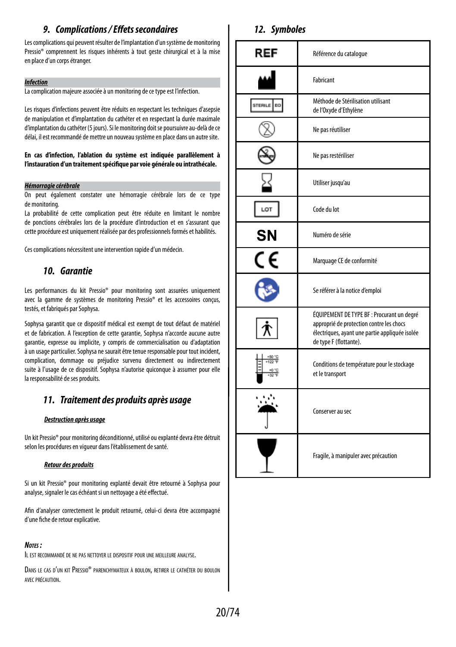# *9. Complications / Effets secondaires*

Les complications qui peuvent résulter de l'implantation d'un système de monitoring Pressio® comprennent les risques inhérents à tout geste chirurgical et à la mise en place d'un corps étranger.

#### *Infection*

La complication majeure associée à un monitoring de ce type est l'infection.

Les risques d'infections peuvent être réduits en respectant les techniques d'asepsie de manipulation et d'implantation du cathéter et en respectant la durée maximale d'implantation du cathéter (5 jours). Si le monitoring doit se poursuivre au-delà de ce délai, il est recommandé de mettre un nouveau système en place dans un autre site.

#### **En cas d'infection, l'ablation du système est indiquée parallèlement à l'instauration d'un traitement spécifique par voie générale ou intrathécale.**

#### *Hémorragie cérébrale*

On peut également constater une hémorragie cérébrale lors de ce type de monitoring.

La probabilité de cette complication peut être réduite en limitant le nombre de ponctions cérébrales lors de la procédure d'introduction et en s'assurant que cette procédure est uniquement réalisée par des professionnels formés et habilités.

Ces complications nécessitent une intervention rapide d'un médecin.

## *10. Garantie*

Les performances du kit Pressio® pour monitoring sont assurées uniquement avec la gamme de systèmes de monitoring Pressio® et les accessoires conçus, testés, et fabriqués par Sophysa.

Sophysa garantit que ce dispositif médical est exempt de tout défaut de matériel et de fabrication. A l'exception de cette garantie, Sophysa n'accorde aucune autre garantie, expresse ou implicite, y compris de commercialisation ou d'adaptation à un usage particulier. Sophysa ne saurait être tenue responsable pour tout incident, complication, dommage ou préjudice survenu directement ou indirectement suite à l'usage de ce dispositif. Sophysa n'autorise quiconque à assumer pour elle la responsabilité de ses produits.

# *11. Traitement des produits après usage*

#### *Destruction après usage*

Un kit Pressio® pour monitoring déconditionné, utilisé ou explanté devra être détruit selon les procédures en vigueur dans l'établissement de santé.

#### *Retour des produits*

Si un kit Pressio® pour monitoring explanté devait être retourné à Sophysa pour analyse, signaler le cas échéant si un nettoyage a été effectué.

Afin d'analyser correctement le produit retourné, celui-ci devra être accompagné d'une fiche de retour explicative.

#### *Notes :*

Il est recommandé de ne pas nettoyer le dispositif pour une meilleure analyse.

Dans le cas d'un kit Pressio® parenchymateux <sup>à</sup> boulon, retirer le cathéter du boulon avec précaution.

## *12. Symboles*

| REF     | Référence du catalogue                                                                                                                                             |
|---------|--------------------------------------------------------------------------------------------------------------------------------------------------------------------|
|         | Fabricant                                                                                                                                                          |
| STERILE | Méthode de Stérilisation utilisant<br>de l'Oxyde d'Ethylène                                                                                                        |
|         | Ne pas réutiliser                                                                                                                                                  |
|         | Ne pas restériliser                                                                                                                                                |
|         | Utiliser jusqu'au                                                                                                                                                  |
| LOT     | Code du lot                                                                                                                                                        |
| SΝ      | Numéro de série                                                                                                                                                    |
| CE      | Marquage CE de conformité                                                                                                                                          |
|         | Se référer à la notice d'emploi                                                                                                                                    |
|         | ÉQUIPEMENT DE TYPE BF : Procurant un degré<br>approprié de protection contre les chocs<br>électriques, ayant une partie appliquée isolée<br>de type F (flottante). |
|         | Conditions de température pour le stockage<br>et le transport                                                                                                      |
|         | Conserver au sec                                                                                                                                                   |
|         | Fragile, à manipuler avec précaution                                                                                                                               |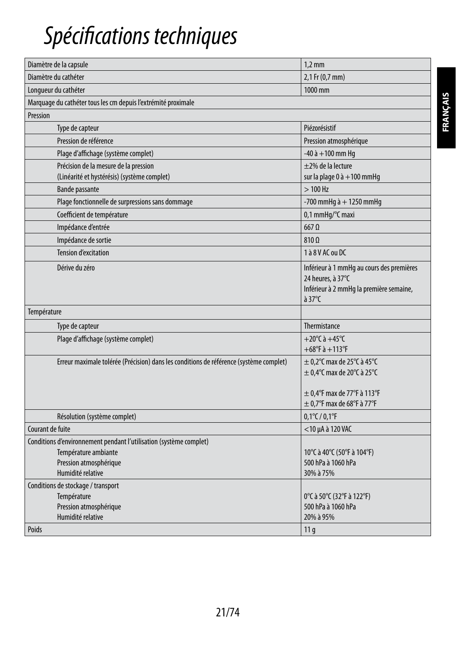# *Spécifications techniques*

| Diamètre du cathéter<br>Longueur du cathéter<br>Marquage du cathéter tous les cm depuis l'extrémité proximale<br>Pression<br>Type de capteur<br>Pression de référence | 2,1 Fr (0,7 mm)<br>1000 mm<br>Piézorésistif<br>Pression atmosphérique<br>$-40$ à $+100$ mm Hq<br>$\pm$ 2% de la lecture<br>sur la plage $0$ à $+100$ mmHg<br>$>100$ Hz |
|-----------------------------------------------------------------------------------------------------------------------------------------------------------------------|------------------------------------------------------------------------------------------------------------------------------------------------------------------------|
|                                                                                                                                                                       |                                                                                                                                                                        |
|                                                                                                                                                                       |                                                                                                                                                                        |
|                                                                                                                                                                       |                                                                                                                                                                        |
|                                                                                                                                                                       |                                                                                                                                                                        |
|                                                                                                                                                                       |                                                                                                                                                                        |
|                                                                                                                                                                       |                                                                                                                                                                        |
| Plage d'affichage (système complet)                                                                                                                                   |                                                                                                                                                                        |
| Précision de la mesure de la pression<br>(Linéarité et hystérésis) (système complet)                                                                                  |                                                                                                                                                                        |
| <b>Bande passante</b>                                                                                                                                                 |                                                                                                                                                                        |
| Plage fonctionnelle de surpressions sans dommage                                                                                                                      | -700 mmHg $\grave{a}$ + 1250 mmHg                                                                                                                                      |
| Coefficient de température                                                                                                                                            | 0,1 mmHq/°C maxi                                                                                                                                                       |
| Impédance d'entrée                                                                                                                                                    | $667$ $\Omega$                                                                                                                                                         |
| Impédance de sortie                                                                                                                                                   | $810\,\Omega$                                                                                                                                                          |
| <b>Tension d'excitation</b>                                                                                                                                           | 1 à 8 V AC ou DC                                                                                                                                                       |
| Dérive du zéro                                                                                                                                                        | Inférieur à 1 mmHg au cours des premières<br>24 heures, à 37°C<br>Inférieur à 2 mmHg la première semaine,<br>$\lambda$ 37°C                                            |
| Température                                                                                                                                                           |                                                                                                                                                                        |
| Type de capteur                                                                                                                                                       | Thermistance                                                                                                                                                           |
| Plage d'affichage (système complet)                                                                                                                                   | +20 $^{\circ}$ C à +45 $^{\circ}$ C<br>$+68^{\circ}$ F à $+113^{\circ}$ F                                                                                              |
| Erreur maximale tolérée (Précision) dans les conditions de référence (système complet)                                                                                | $\pm$ 0.2°C max de 25°C à 45°C<br>$\pm$ 0,4°C max de 20°C à 25°C<br>$\pm$ 0,4°F max de 77°F à 113°F                                                                    |
|                                                                                                                                                                       | $\pm$ 0.7°F max de 68°F à 77°F                                                                                                                                         |
| Résolution (système complet)                                                                                                                                          | $0,1^{\circ}$ C / $0,1^{\circ}$ F                                                                                                                                      |
| Courant de fuite                                                                                                                                                      | <10 µA à 120 VAC                                                                                                                                                       |
| Conditions d'environnement pendant l'utilisation (système complet)<br>Température ambiante<br>Pression atmosphérique<br>Humidité relative                             | 10°C à 40°C (50°F à 104°F)<br>500 hPa à 1060 hPa<br>30% à 75%                                                                                                          |
| Conditions de stockage / transport<br>Température<br>Pression atmosphérique<br>Humidité relative<br>Poids                                                             | 0°C à 50°C (32°F à 122°F)<br>500 hPa à 1060 hPa<br>20% à 95%<br>11q                                                                                                    |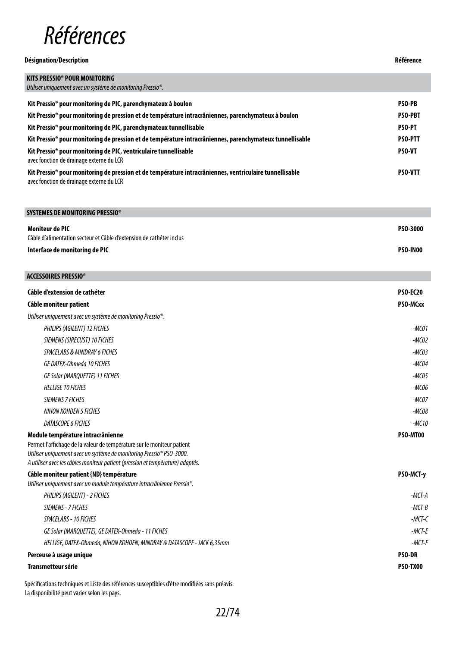

#### **Désignation/Description Référence**

### **KITS PRESSIO® POUR MONITORING** *Utiliser uniquement avec un système de monitoring Pressio®.* **Kit Pressio® pour monitoring de PIC, parenchymateux à boulon PSO-PB Kit Pressio® pour monitoring de pression et de température intracrâniennes, parenchymateux à boulon PSO-PBT Kit Pressio® pour monitoring de PIC, parenchymateux tunnellisable PSO-PT Kit Pressio® pour monitoring de pression et de température intracrâniennes, parenchymateux tunnellisable PSO-PTT Kit Pressio® pour monitoring de PIC, ventriculaire tunnellisable**  avec fonction de drainage externe du LCR **PSO-VT Kit Pressio® pour monitoring de pression et de température intracrâniennes, ventriculaire tunnellisable**  avec fonction de drainage externe du LCR **PSO-VTT**

**SYSTEMES DE MONITORING PRESSIO® Moniteur de PIC** Câble d'alimentation secteur et Câble d'extension de cathéter inclus **PSO-3000 Interface de monitoring de PIC PSO-IN00**

| ACCESSOIRES PRESSIO®                                                                                                                           |                 |
|------------------------------------------------------------------------------------------------------------------------------------------------|-----------------|
| Câble d'extension de cathéter                                                                                                                  | <b>PSO-EC20</b> |
| Câble moniteur patient                                                                                                                         | PSO-MCxx        |
| Utiliser uniquement avec un système de monitoring Pressio <sup>®</sup> .                                                                       |                 |
| PHILIPS (AGILENT) 12 FICHES                                                                                                                    | $-MCO1$         |
| SIEMENS (SIRECUST) 10 FICHES                                                                                                                   | $-MCO2$         |
| <b>SPACELABS &amp; MINDRAY 6 FICHES</b>                                                                                                        | $-MCO3$         |
| GE DATEX-Ohmeda 10 FICHES                                                                                                                      | $-MCO4$         |
| <b>GE Solar (MARQUETTE) 11 FICHES</b>                                                                                                          | $-MCO5$         |
| <b>HELLIGE 10 FICHES</b>                                                                                                                       | $-MCO6$         |
| <b>SIEMENS 7 FICHES</b>                                                                                                                        | $-MCOZ$         |
| NIHON KOHDEN 5 FICHES                                                                                                                          | $-MCO8$         |
| DATASCOPE 6 FICHES                                                                                                                             | $-MC10$         |
| Module température intracrânienne                                                                                                              | PSO-MT00        |
| Permet l'affichage de la valeur de température sur le moniteur patient<br>Utiliser uniquement avec un système de monitoring Pressio® PSO-3000. |                 |
| A utiliser avec les câbles moniteur patient (pression et température) adaptés.                                                                 |                 |
| Câble moniteur patient {ND} température                                                                                                        | PSO-MCT-y       |
| Utiliser uniquement avec un module température intracrânienne Pressio®.                                                                        |                 |
| PHILIPS (AGILENT) - 2 FICHES                                                                                                                   | $-MCT-A$        |
| SIEMENS - 7 FICHES                                                                                                                             | $-MCT-B$        |
| <b>SPACELABS - 10 FICHES</b>                                                                                                                   | $-MCT-C$        |
| GE Solar (MARQUETTE), GE DATEX-Ohmeda - 11 FICHES                                                                                              | $-MCT-F$        |
| HELLIGE, DATEX-Ohmeda, NIHON KOHDEN, MINDRAY & DATASCOPE - JACK 6,35mm                                                                         | $-MCT-F$        |
| Perceuse à usage unique                                                                                                                        | <b>PSO-DR</b>   |
| <b>Transmetteur série</b>                                                                                                                      | <b>PSO-TX00</b> |
|                                                                                                                                                |                 |

Spécifications techniques et Liste des références susceptibles d'être modifiées sans préavis. La disponibilité peut varier selon les pays.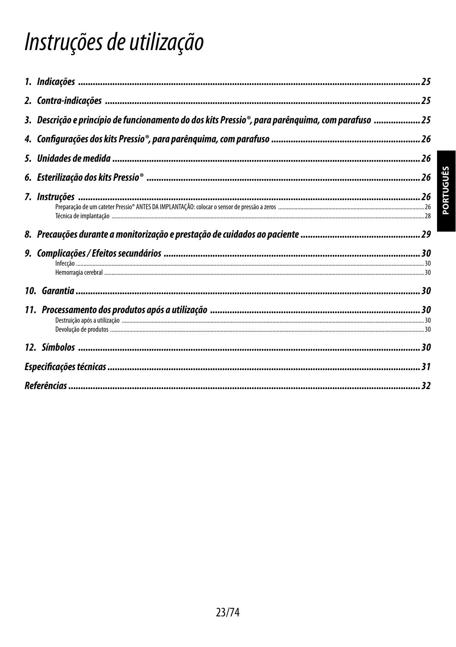# Instruções de utilização

| 3. Descrição e princípio de funcionamento do dos kits Pressio®, para parênquima, com parafuso 25 |  |
|--------------------------------------------------------------------------------------------------|--|
|                                                                                                  |  |
|                                                                                                  |  |
|                                                                                                  |  |
|                                                                                                  |  |
|                                                                                                  |  |
|                                                                                                  |  |
|                                                                                                  |  |
|                                                                                                  |  |
|                                                                                                  |  |
|                                                                                                  |  |
|                                                                                                  |  |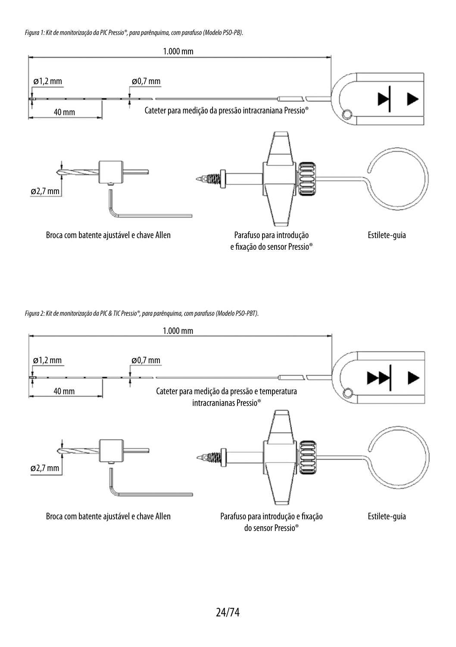*Figura 1: Kit de monitorização da PIC Pressio®, para parênquima, com parafuso (Modelo PSO-PB).*



*Figura 2: Kit de monitorização da PIC & TIC Pressio®, para parênquima, com parafuso (Modelo PSO-PBT).*

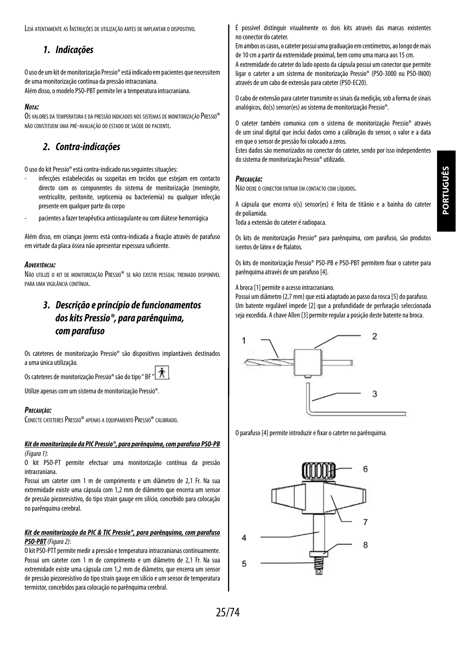Leia atentamente as Instruções de utilização antes de implantar o dispositivo.

# *1. Indicações*

O uso de um kit de monitorização Pressio® está indicado em pacientes que necessitem de uma monitorização contínua da pressão intracraniana.

## Além disso, o modelo PSO-PBT permite ler a temperatura intracraniana.

#### *Nota:*

Os valores da temperatura e da pressão indicados nos sistemas de monitorização Pressio® não constituem uma pré-avaliação do estado de saúde do paciente.

# *2. Contra-indicações*

O uso do kit Pressio® está contra-indicado nas seguintes situações:

- infecções estabelecidas ou suspeitas em tecidos que estejam em contacto directo com os componentes do sistema de monitorização (meningite, ventriculite, peritonite, septicemia ou bacteriemia) ou qualquer infecção presente em qualquer parte do corpo
- pacientes a fazer terapêutica anticoagulante ou com diátese hemorrágica

Além disso, em crianças jovens está contra-indicada a fixação através de parafuso em virtude da placa óssea não apresentar espessura suficiente.

#### *Advertência:*

Não utilize <sup>o</sup> kit de monitorização Pressio® se não existir pessoal treinado disponível para uma vigilância contínua.

# *3. Descrição e princípio de funcionamentos dos kits Pressio®, para parênquima, comparafuso*

Os cateteres de monitorização Pressio® são dispositivos implantáveis destinados auma única utilização.

Os cateteres de monitorização Pressio® são do tipo " BF

Utilize apenas com um sistema de monitorização Pressio®.

#### *Precaução:*

CONECTE CATETERES PRESSIO® APENAS A EQUIPAMENTO PRESSIO® CALIBRADO.

#### *Kit de monitorização da PIC Pressio®, para parênquima, com parafuso PSO-PB*

*(Figura 1)*:

O kit PSO-PT permite efectuar uma monitorização contínua da pressão intracraniana.

Possui um cateter com 1 m de comprimento e um diâmetro de 2,1 Fr. Na sua extremidade existe uma cápsula com 1,2 mm de diâmetro que encerra um sensor de pressão piezoresistivo, do tipo strain gauge em silício, concebido para colocação no parênquima cerebral.

#### *Kit de monitorização da PIC & TIC Pressio®, para parênquima, com parafuso PSO-PBT(Figura 2)*:

O kit PSO-PTT permite medir a pressão e temperatura intracranianas continuamente. Possui um cateter com 1 m de comprimento e um diâmetro de 2,1 Fr. Na sua extremidade existe uma cápsula com 1,2 mm de diâmetro, que encerra um sensor de pressão piezoresistivo do tipo strain gauge em silício e um sensor de temperatura termistor, concebidos para colocação no parênquima cerebral.

É possível distinguir visualmente os dois kits através das marcas existentes no conector do cateter.

Em ambos os casos, o cateter possui uma graduação em centímetros, ao longo demais de 10 cm a partir da extremidade proximal, bem como uma marca aos 15 cm.

A extremidade do cateter do lado oposto da cápsula possui um conector que permite ligar o cateter a um sistema de monitorização Pressio® (PSO-3000 ou PSO-IN00) através de um cabo de extensão para cateter (PSO-EC20).

O cabo de extensão para cateter transmite os sinais da medição, sob a forma de sinais analógicos, do(s) sensor(es) ao sistema de monitorização Pressio®.

O cateter também comunica com o sistema de monitorização Pressio® através de um sinal digital que inclui dados como a calibração do sensor, o valor e a data em que o sensor de pressão foi colocado a zeros.

Estes dados são memorizados no conector do cateter, sendo por isso independentes do sistema de monitorização Pressio® utilizado.

#### *Precaução:*

Não deixe <sup>o</sup> conector entrar em contacto com líquidos.

A cápsula que encerra o(s) sensor(es) é feita de titânio e a bainha do cateter de poliamida.

Toda a extensão do cateter é radiopaca.

Os kits de monitorização Pressio® para parênquima, com parafuso, são produtos isentos de látex e de ftalatos.

Os kits de monitorização Pressio® PSO-PB e PSO-PBT permitem fixar o cateter para parênquima através de um parafuso [4].

A broca [1] permite o acesso intracraniano.

Possui um diâmetro (2,7 mm) que está adaptado ao passo da rosca [5] do parafuso. Um batente regulável impede [2] que a profundidade de perfuração seleccionada seja excedida. A chave Allen [3] permite regular a posição deste batente na broca.



O parafuso [4] permite introduzir e fixar o cateter no parênquima.

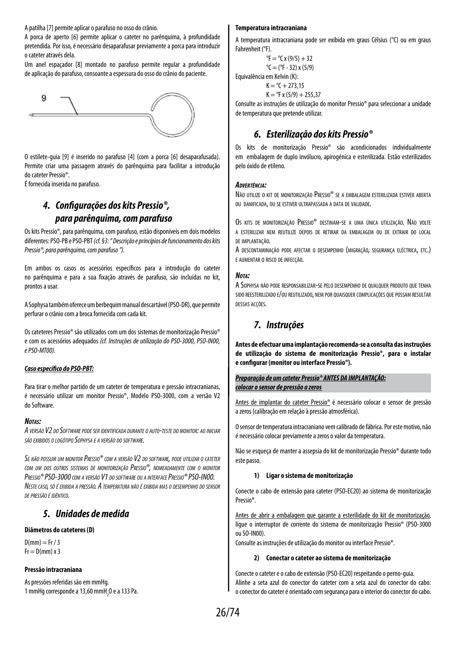A patilha [7] permite aplicar o parafuso no osso do crânio.

A porca de aperto [6] permite aplicar o cateter no parênquima, à profundidade pretendida. Por isso, é necessário desaparafusar previamente a porca para introduzir o cateter através dela.

Um anel espaçador [8] montado no parafuso permite regular a profundidade deaplicação do parafuso, consoante a espessura do osso do crânio do paciente.



O estilete-guia [9] é inserido no parafuso [4] (com a porca [6] desaparafusada). Permite criar uma passagem através do parênquima para facilitar a introdução docateter Pressio®.

É fornecida inserida no parafuso.

# *4. Configurações dos kits Pressio®, para parênquima, com parafuso*

Os kits Pressio®, para parênquima, com parafuso, estão disponíveis em dois modelos diferentes: PSO-PB e PSO-PBT *(cf. §3: " Descrição e princípios de funcionamento dos kits Pressio®, para parênquima, com parafuso ").*

Em ambos os casos os acessórios específicos para a introdução do cateter no parênquima e para a sua fixação através de parafuso, são incluídas no kit, prontos a usar.

A Sophysa também oferece um berbequim manual descartável (PSO-DR), que permite perfurar o crânio com a broca fornecida com cada kit.

Os cateteres Pressio® são utilizados com um dos sistemas de monitorização Pressio® e com os acessórios adequados *(cf. Instruções de utilização do PSO-3000, PSO-IN00, e PSO-MT00).*

#### *Caso específico do PSO-PBT:*

Para tirar o melhor partido de um cateter de temperatura e pressão intracranianas, é necessário utilizar um monitor Pressio®, Modelo PSO-3000, com a versão V2 doSoftware.

#### *Notas:*

*A versão V2 do Software pode ser identificada durante <sup>o</sup> auto-teste do monitor: ao iniciar são exibidos o logótipo Sophysa e a versão do software.*

*Se não possuir um monitor Pressio® com a versão V2 do software, pode utilizar o cateter com um dos outros sistemas de monitorização Pressio®, nomeadamente com o monitor Pressio® PSO-3000 com <sup>a</sup> versão V1 do software ou <sup>a</sup> interfacePressio® PSO-IN00. Neste caso, só <sup>é</sup> exibida <sup>a</sup> pressão. A temperatura não <sup>é</sup> exibida mas <sup>o</sup> desempenho do sensor de pressão é idêntico.*

## *5. Unidades de medida*

#### **Diâmetros do cateteres (D)**

 $D(mm) = Fr / 3$  $Fr = D(mm) \times 3$ 

#### **Pressão intracraniana**

As pressões referidas são em mmHg. 1 mmHg corresponde a 13,60 mmH $_{2}$ O e a 133 Pa.

#### **Temperatura intracraniana**

A temperatura intracraniana pode ser exibida em graus Célsius (°C) ou em graus Fahrenheit (°F).

 ${}^{\circ}$ F =  ${}^{\circ}$ C x (9/5) + 32  $^{\circ}C = (^{\circ}F - 32) \times (5/9)$ Equivalência em Kelvin (K):  $K = {}^{o}C + 273.15$  $K = {}^{o}F x (5/9) + 255.37$ 

Consulte as instruções de utilização do monitor Pressio® para seleccionar a unidade de temperatura que pretende utilizar.

# *6. Esterilização dos kits Pressio®*

Os kits de monitorização Pressio® são acondicionados individualmente em embalagem de duplo invólucro, apirogénica e esterilizada. Estão esterilizados pelo óxido de etileno.

#### *Advertência:*

Não utilize o kit de monitorização Pressio® se a embalagem esterilizada estiver aberta ou danificada, ou se estiver ultrapassada a data de validade.

Os kits de monitorização Pressio® destinam-se a uma única utilização. Não volte a esterilizar nem reutilize depois de retirar da embalagem ou de extrair do local de implantação.

A descontaminação pode afectar <sup>o</sup> desempenho (migração, segurança eléctrica, etc.) e aumentar o risco de infecção.

#### *Nota:*

A Sophysa não pode responsabilizar-se pelo desempenho de qualquer produto que tenha sido reesterilizado e/ou reutilizado, nem por quaisquer complicações que possam resultar dessas acções.

# *7. Instruções*

**Antes de efectuar uma implantação recomenda-se a consulta das instruções de utilização do sistema de monitorização Pressio®, para o instalar e configurar (monitor ou interface Pressio®).**

#### *Preparação de um cateter Pressio® ANTES DA IMPLANTAÇÃO: colocar o sensor de pressão a zeros*

Antes de implantar do cateter Pressio® é necessário colocar o sensor de pressão azeros (calibração em relação à pressão atmosférica).

O sensor de temperatura intracraniano vem calibrado de fábrica. Por este motivo, não é necessário colocar previamente a zeros o valor da temperatura.

Não se esqueça de manter a assepsia do kit de monitorização Pressio® durante todo este passo.

#### **1) Ligar o sistema de monitorização**

Conecte o cabo de extensão para cateter (PSO-EC20) ao sistema de monitorização Pressio®.

Antes de abrir a embalagem que garante a esterilidade do kit de monitorização, ligue o interruptor de corrente do sistema de monitorização Pressio® (PSO-3000 ouSO-IN00).

Consulte as instruções de utilização do monitor ou interface Pressio®.

#### **2) Conectar o cateter ao sistema de monitorização**

Conecte o cateter e o cabo de extensão (PSO-EC20) respeitando o perno-guia. Alinhe a seta azul do conector do cateter com a seta azul do conector do cabo: oconector do cateter é orientado com segurança para o interior do conector do cabo.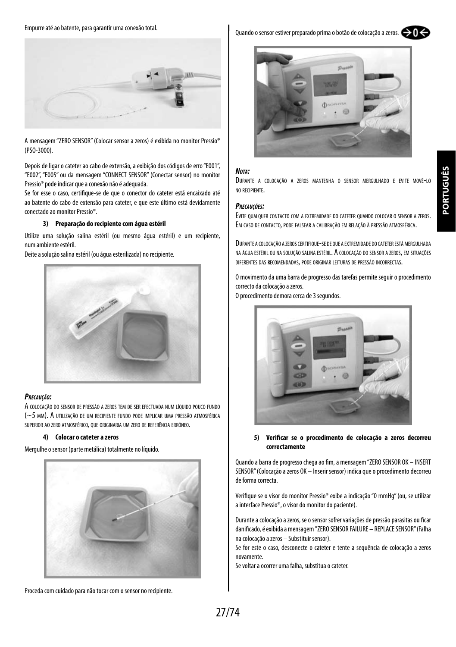Empurre até ao batente, para garantir uma conexão total.



A mensagem "ZERO SENSOR" (Colocar sensor a zeros) é exibida no monitor Pressio® (PSO-3000).

Depois de ligar o cateter ao cabo de extensão, a exibição dos códigos de erro "E001", "E002", "E005" ou da mensagem "CONNECT SENSOR" (Conectar sensor) no monitor Pressio® pode indicar que a conexão não é adequada.

Se for esse o caso, certifique-se de que o conector do cateter está encaixado até ao batente do cabo de extensão para cateter, e que este último está devidamente conectado ao monitor Pressio®.

#### **3) Preparação do recipiente com água estéril**

Utilize uma solução salina estéril (ou mesmo água estéril) e um recipiente, num ambiente estéril.

Deite a solução salina estéril (ou água esterilizada) no recipiente.



#### *Precaução:*

A colocação do sensor de pressão a zeros tem de ser efectuada num líquido pouco fundo (~5 mm). A utilização de um recipiente fundo pode implicar uma pressão atmosférica superior ao zero atmosférico, que originaria um zero de referência erróneo.

#### **4) Colocar o cateter a zeros**

Mergulhe o sensor (parte metálica) totalmente no líquido.



Proceda com cuidado para não tocar com o sensor no recipiente.

Quando o sensor estiver preparado prima o botão de colocação a zeros.  $\bigcirc$  O





#### *Nota:*

Durante <sup>a</sup> colocação <sup>a</sup> zeros mantenha <sup>o</sup> sensor mergulhado <sup>e</sup> evite movê-lo no recipiente.

#### *Precauções:*

Evite qualquer contacto com <sup>a</sup> extremidade do cateter quando colocar <sup>o</sup> sensor <sup>a</sup> zeros. Em caso de contacto, pode falsear <sup>a</sup> calibração em relação <sup>à</sup> pressão atmosférica.

Durante a colocação a zeroscertifique-se de que a extremidade do cateter estámergulhada na água estéril ou na solução salina estéril. A colocação do sensor a zeros, em situações diferentes das recomendadas, pode originar leituras de pressão incorrectas.

O movimento da uma barra de progresso das tarefas permite seguir o procedimento correcto da colocação a zeros.

O procedimento demora cerca de 3 segundos.



#### **5) Verificar se o procedimento de colocação a zeros decorreu correctamente**

Quando a barra de progresso chega ao fim, a mensagem "ZERO SENSOR OK – INSERT SENSOR" (Colocação a zeros OK – Inserir sensor) indica que o procedimento decorreu de forma correcta.

Verifique se o visor do monitor Pressio® exibe a indicação "0 mmHg" (ou, se utilizar a interface Pressio®, o visor do monitor do paciente).

Durante a colocação a zeros, se o sensor sofrer variações de pressão parasitas ou ficar danificado, é exibida a mensagem "ZERO SENSOR FAILURE – REPLACE SENSOR" (Falha na colocação a zeros – Substituir sensor).

Se for este o caso, desconecte o cateter e tente a sequência de colocação a zeros novamente.

Se voltar a ocorrer uma falha, substitua o cateter.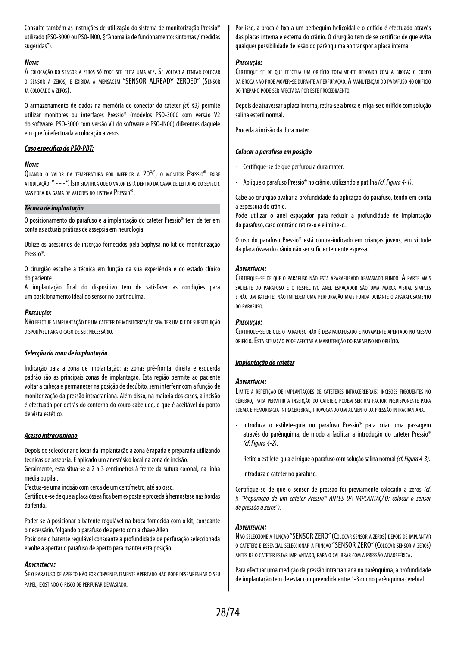Consulte também as instruções de utilização do sistema de monitorização Pressio® utilizado (PSO-3000 ou PSO-IN00, § "Anomalia de funcionamento: sintomas / medidas sugeridas").

#### *Nota:*

A colocação do sensor <sup>a</sup> zeros só pode ser feita uma vez. Se voltar <sup>a</sup> tentar colocar o sensor a zeros, é exibida a mensagem "SENSOR ALREADY ZEROED" (Sensor já colocado <sup>a</sup> zeros).

O armazenamento de dados na memória do conector do cateter *(cf. §3)* permite utilizar monitores ou interfaces Pressio® (modelos PSO-3000 com versão V2 do software, PSO-3000 com versão V1 do software e PSO-IN00) diferentes daquele em que foi efectuada a colocação a zeros.

#### *Caso específico do PSO-PBT:*

#### *Nota:*

Quando <sup>o</sup> valor da temperatura for inferior a 20°C, o monitor Pressio® exibe a indicação: " - - - ". Isto significa que o valor está dentro da gama de leituras do sensor, mas fora da gama de valores do sistema Pressio®.

#### *Técnica de implantação*

O posicionamento do parafuso e a implantação do cateter Pressio® tem de ter em conta as actuais práticas de assepsia em neurologia.

Utilize os acessórios de inserção fornecidos pela Sophysa no kit de monitorização Pressio®.

O cirurgião escolhe a técnica em função da sua experiência e do estado clínico dopaciente.

A implantação final do dispositivo tem de satisfazer as condições para um posicionamento ideal do sensor no parênquima.

#### *Precaução:*

Não efectue a implantação de um cateter de monitorização sem ter um kit de substituição disponível para o caso de ser necessário.

#### *Selecção da zona de implantação*

Indicação para a zona de implantação: as zonas pré-frontal direita e esquerda padrão são as principais zonas de implantação. Esta região permite ao paciente voltar a cabeça e permanecer na posição de decúbito, sem interferir com a função de monitorização da pressão intracraniana. Além disso, na maioria dos casos, a incisão é efectuada por detrás do contorno do couro cabeludo, o que é aceitável do ponto de vista estético.

#### *Acesso intracraniano*

Depois de seleccionar o locar da implantação a zona é rapada e preparada utilizando técnicas de assepsia. É aplicado um anestésico local na zona de incisão.

Geralmente, esta situa-se a 2 a 3 centímetros à frente da sutura coronal, na linha média pupilar.

Efectua-se uma incisão com cerca de um centímetro, até ao osso.

Certifique-se de que a placa óssea fica bem exposta e proceda à hemostase nasbordas da ferida.

Poder-se-á posicionar o batente regulável na broca fornecida com o kit, consoante o necessário, folgando o parafuso de aperto com a chave Allen.

Posicione o batente regulável consoante a profundidade de perfuração seleccionada e volte a apertar o parafuso de aperto para manter esta posição.

#### *Advertência:*

Se o parafuso de aperto não for convenientemente apertado não pode desempenhar o seu papel, existindo <sup>o</sup> risco de perfurar demasiado.

Por isso, a broca é fixa a um berbequim helicoidal e o orifício é efectuado através das placas interna e externa do crânio. O cirurgião tem de se certificar de que evita qualquer possibilidade de lesão do parênquima ao transpor a placa interna.

#### *Precaução:*

Certifique-se de que efectua um orifício totalmente redondo com <sup>a</sup> broca: o corpo da broca não pode mover-se durante a perfuração. A manutenção do parafuso no orifício do trépano pode ser afectada por este procedimento.

Depois de atravessar a placa interna, retira-se a broca e irriga-se o orifício com solução salina estéril normal.

Proceda à incisão da dura mater.

#### *Colocar o parafuso em posição*

- Certifique-se de que perfurou a dura mater.
- Aplique o parafuso Pressio® no crânio, utilizando a patilha *(cf. Figura 4-1)*.

Cabe ao cirurgião avaliar a profundidade da aplicação do parafuso, tendo em conta a espessura do crânio.

Pode utilizar o anel espaçador para reduzir a profundidade de implantação doparafuso, caso contrário retire-o e elimine-o.

O uso do parafuso Pressio® está contra-indicado em crianças jovens, em virtude daplaca óssea do crânio não ser suficientemente espessa.

#### *Advertência:*

Certifique-se de que <sup>o</sup> parafuso não está aparafusado demasiado fundo. A parte mais saliente do parafuso e o respectivo anel espaçador são uma marca visual simples e não um batente: não impedem uma perfuração mais funda durante o aparafusamento do parafuso.

#### *Precaução:*

Certifique-se de que <sup>o</sup> parafuso não <sup>é</sup> desaparafusado <sup>e</sup> novamente apertado no mesmo orifício. Esta situação pode afectar a manutenção do parafuso no orifício.

#### *Implantação do cateter*

#### *Advertência:*

Limite <sup>a</sup> repetição de implantações de cateteres intracerebrais: incisões frequentes no cérebro, para permitir <sup>a</sup> inserção do cateter, podem ser um factor predisponente para edema <sup>e</sup> hemorragia intracerebral, provocando um aumento da pressão intracraniana.

- Introduza o estilete-guia no parafuso Pressio® para criar uma passagem através do parênquima, de modo a facilitar a introdução do cateter Pressio® *(cf. Figura 4-2)*.
- Retire o estilete-guia e irrigue o parafuso com solução salina normal *(cf. Figura 4-3)*.
- Introduza o cateter no parafuso.

Certifique-se de que o sensor de pressão foi previamente colocado a zeros *(cf. § "Preparação de um cateter Pressio® ANTES DA IMPLANTAÇÃO: colocar o sensor de pressão a zeros")*.

#### *Advertência:*

Não seleccione <sup>a</sup> função "SENSOR ZERO" (Colocar sensor <sup>a</sup> zeros) depois de implantar <sup>o</sup> cateter; é essencial seleccionar <sup>a</sup> função "SENSOR ZERO" (Colocar sensor <sup>a</sup> zeros) antes de <sup>o</sup> cateter estar implantado, para <sup>o</sup> calibrar com <sup>a</sup> pressão atmosférica.

Para efectuar uma medição da pressão intracraniana no parênquima, a profundidade de implantação tem de estar compreendida entre 1-3 cm no parênquima cerebral.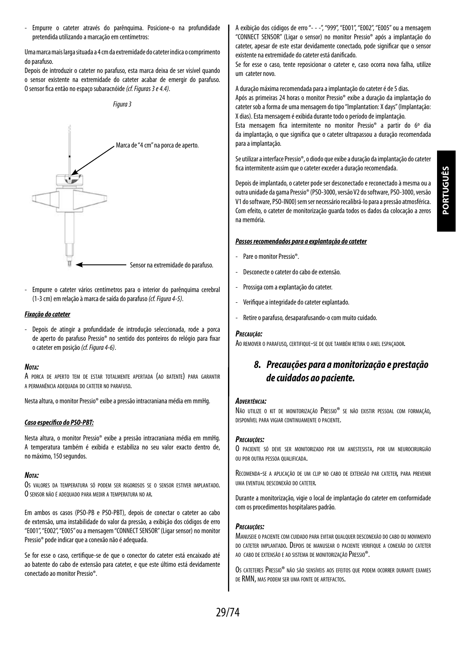- Empurre o cateter através do parênquima. Posicione-o na profundidade pretendida utilizando a marcação em centímetros:

Uma marca mais larga situada a 4 cm da extremidade do cateter indica o comprimento do parafuso.

Depois de introduzir o cateter no parafuso, esta marca deixa de ser visível quando o sensor existente na extremidade do cateter acabar de emergir do parafuso. O sensor fica então no espaço subaracnóide *(cf. Figuras 3 e 4.4)*.





- Empurre o cateter vários centímetros para o interior do parênquima cerebral (1-3 cm) em relação à marca de saída do parafuso *(cf. Figura 4-5)*.

#### *Fixação do cateter*

- Depois de atingir a profundidade de introdução seleccionada, rode a porca de aperto do parafuso Pressio® no sentido dos ponteiros do relógio para fixar ocateter em posição *(cf. Figura 4-6)*.

#### *Nota:*

A porca de aperto tem de estar totalmente apertada (ao batente) para garantir a permanência adequada do cateter no parafuso.

Nesta altura, o monitor Pressio® exibe a pressão intracraniana média em mmHg.

#### *Caso específico do PSO-PBT:*

Nesta altura, o monitor Pressio® exibe a pressão intracraniana média em mmHg. A temperatura também é exibida e estabiliza no seu valor exacto dentro de, no máximo, 150 segundos.

#### *Nota:*

Os valores da temperatura só podem ser rigorosos se <sup>o</sup> sensor estiver implantado. O sensor não <sup>é</sup> adequado para medir <sup>a</sup> temperatura no ar.

Em ambos os casos (PSO-PB e PSO-PBT), depois de conectar o cateter ao cabo de extensão, uma instabilidade do valor da pressão, a exibição dos códigos de erro "E001", "E002", "E005" ou a mensagem "CONNECT SENSOR" (Ligar sensor) no monitor Pressio® pode indicar que a conexão não é adequada.

Se for esse o caso, certifique-se de que o conector do cateter está encaixado até ao batente do cabo de extensão para cateter, e que este último está devidamente conectado ao monitor Pressio®.

A exibição dos códigos de erro "- - -", "999", "E001", "E002", "E005" ou a mensagem "CONNECT SENSOR" (Ligar o sensor) no monitor Pressio® após a implantação do cateter, apesar de este estar devidamente conectado, pode significar que o sensor existente na extremidade do cateter está danificado.

Se for esse o caso, tente reposicionar o cateter e, caso ocorra nova falha, utilize um cateter novo.

A duração máxima recomendada para a implantação do cateter é de 5 dias.

Após as primeiras 24 horas o monitor Pressio® exibe a duração da implantação do cateter sob a forma de uma mensagem do tipo "Implantation: X days" (Implantação: X dias). Esta mensagem é exibida durante todo o período de implantação.

Esta mensagem fica intermitente no monitor Pressio® a partir do 6º dia da implantação, o que significa que o cateter ultrapassou a duração recomendada para a implantação.

Se utilizar a interface Pressio®, o diodo que exibe a duração da implantação do cateter fica intermitente assim que o cateter exceder a duração recomendada.

Depois de implantado, o cateter pode ser desconectado e reconectado à mesma ou a outra unidade da gama Pressio® (PSO-3000, versão V2 do software, PSO-3000, versão V1 do software, PSO-IN00) sem ser necessário recalibrá-lo para a pressão atmosférica. Com efeito, o cateter de monitorização guarda todos os dados da colocação a zeros na memória.

#### *Passos recomendados para a explantação do cateter*

- Pare o monitor Pressio®.
- Desconecte o cateter do cabo de extensão.
- Prossiga com a explantação do cateter.
- Verifique a integridade do cateter explantado.
- Retire o parafuso, desaparafusando-o com muito cuidado.

#### *Precaução:*

Ao remover <sup>o</sup> parafuso, certifique-se de que também retira <sup>o</sup> anel espaçador.

# *8. Precauções para a monitorização e prestação de cuidados ao paciente.*

#### *Advertência:*

Não utilize o kit de monitorização Pressio® se não existir pessoal com formação. disponível para vigiar continuamente o paciente.

#### *Precauções:*

O paciente só deve ser monitorizado por um anestesista, por um neurocirurgião ou por outra pessoa qualificada.

Recomenda-se <sup>a</sup> aplicação de um clip no cabo de extensão par cateter, para prevenir uma eventual desconexão do cateter.

Durante a monitorização, vigie o local de implantação do cateter em conformidade com os procedimentos hospitalares padrão.

#### *Precauções:*

Manuseie <sup>o</sup> paciente com cuidado para evitar qualquer desconexão do cabo ou movimento do cateter implantado. Depois de manusear <sup>o</sup> paciente verifique <sup>a</sup> conexão do cateter ao cabo de extensão <sup>e</sup> ao sistema de monitorização Pressio®.

Os cateteres Pressio® não são sensíveis aos efeitos que podem ocorrer durante exames de RMN, mas podem ser uma fonte de artefactos.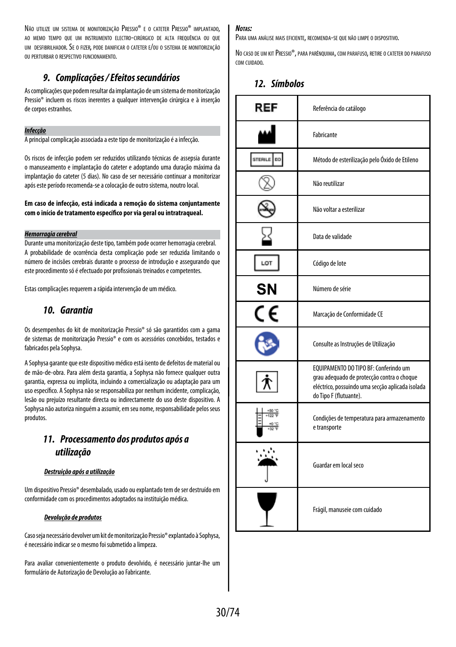Não utilize um sistema de monitorização Pressio® e o cateter Pressio® implantado. ao memo tempo que um instrumento electro-cirúrgico de alta frequência ou que um desfibrilhador. Se o fizer, pode danificar o cateter e/ou o sistema de monitorização ou perturbar o respectivo funcionamento.

# *9. Complicações / Efeitos secundários*

As complicações que podem resultar da implantação de um sistema de monitorização Pressio® incluem os riscos inerentes a qualquer intervenção cirúrgica e à inserção de corpos estranhos.

#### *Infecção*

A principal complicação associada a este tipo de monitorização é a infecção.

Os riscos de infecção podem ser reduzidos utilizando técnicas de assepsia durante o manuseamento e implantação do cateter e adoptando uma duração máxima da implantação do cateter (5 dias). No caso de ser necessário continuar a monitorizar após este período recomenda-se a colocação de outro sistema, noutro local.

#### **Em caso de infecção, está indicada a remoção do sistema conjuntamente com o início de tratamento específico por via geral ou intratraqueal.**

#### *Hemorragia cerebral*

Durante uma monitorização deste tipo, também pode ocorrer hemorragia cerebral. A probabilidade de ocorrência desta complicação pode ser reduzida limitando o número de incisões cerebrais durante o processo de introdução e assegurando que este procedimento só é efectuado por profissionais treinados e competentes.

Estas complicações requerem a rápida intervenção de um médico.

# *10. Garantia*

Os desempenhos do kit de monitorização Pressio® só são garantidos com a gama de sistemas de monitorização Pressio® e com os acessórios concebidos, testados e fabricados pela Sophysa.

A Sophysa garante que este dispositivo médico está isento de defeitos de material ou de mão-de-obra. Para além desta garantia, a Sophysa não fornece qualquer outra garantia, expressa ou implícita, incluindo a comercialização ou adaptação para um uso específico. A Sophysa não se responsabiliza por nenhum incidente, complicação, lesão ou prejuízo resultante directa ou indirectamente do uso deste dispositivo. A Sophysa não autoriza ninguém a assumir, em seu nome, responsabilidade pelos seus produtos.

# *11. Processamento dos produtos após a utilização*

#### *Destruição após a utilização*

Um dispositivo Pressio® desembalado, usado ou explantado tem de ser destruído em conformidade com os procedimentos adoptados na instituição médica.

#### *Devolução de produtos*

Caso seja necessário devolver um kit de monitorização Pressio® explantado à Sophysa, é necessário indicar se o mesmo foi submetido a limpeza.

Para avaliar convenientemente o produto devolvido, é necessário juntar-lhe um formulário de Autorização de Devolução ao Fabricante.

#### *Notas:*

Para uma análise mais eficiente, recomenda-se que não limpe <sup>o</sup> dispositivo.

No caso de um kit Pressio®, para parênquima, com parafuso, retire o cateter do parafuso com cuidado.

# *12. Símbolos*

| REF                  | Referência do catálogo                                                                                                                                            |  |
|----------------------|-------------------------------------------------------------------------------------------------------------------------------------------------------------------|--|
|                      | Fabricante                                                                                                                                                        |  |
| STERILE<br><b>DO</b> | Método de esterilização pelo Óxido de Etileno                                                                                                                     |  |
|                      | Não reutilizar                                                                                                                                                    |  |
|                      | Não voltar a esterilizar                                                                                                                                          |  |
|                      | Data de validade                                                                                                                                                  |  |
| LOT                  | Código de lote                                                                                                                                                    |  |
| <b>SN</b>            | Número de série                                                                                                                                                   |  |
| C٤                   | Marcação de Conformidade CE                                                                                                                                       |  |
|                      | Consulte as Instruções de Utilização                                                                                                                              |  |
|                      | EQUIPAMENTO DO TIPO BF: Conferindo um<br>grau adequado de protecção contra o choque<br>eléctrico, possuindo uma secção aplicada isolada<br>do Tipo F (flutuante). |  |
|                      | Condições de temperatura para armazenamento<br>e transporte                                                                                                       |  |
|                      | Guardar em local seco                                                                                                                                             |  |
|                      | Frágil, manuseie com cuidado                                                                                                                                      |  |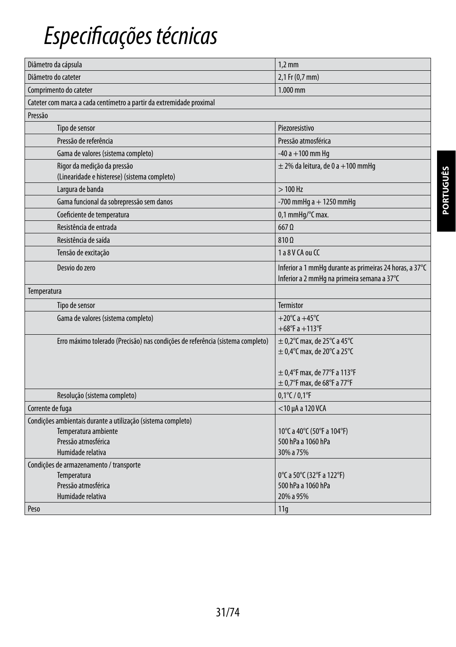# *Especificações técnicas*

| Diâmetro da cápsula                                                            | $1,2$ mm                                                                                               |
|--------------------------------------------------------------------------------|--------------------------------------------------------------------------------------------------------|
| Diâmetro do cateter                                                            | 2,1 Fr (0,7 mm)                                                                                        |
| Comprimento do cateter                                                         | $1.000$ mm                                                                                             |
| Cateter com marca a cada centímetro a partir da extremidade proximal           |                                                                                                        |
| Pressão                                                                        |                                                                                                        |
| Tipo de sensor                                                                 | Piezoresistivo                                                                                         |
| Pressão de referência                                                          | Pressão atmosférica                                                                                    |
| Gama de valores (sistema completo)                                             | $-40a + 100$ mm Hq                                                                                     |
| Rigor da medição da pressão<br>(Linearidade e histerese) (sistema completo)    | $\pm$ 2% da leitura, de 0 a +100 mmHg                                                                  |
| Largura de banda                                                               | $>100$ Hz                                                                                              |
| Gama funcional da sobrepressão sem danos                                       | -700 mmHg $a + 1250$ mmHg                                                                              |
| Coeficiente de temperatura                                                     | 0,1 mmHq/°C max.                                                                                       |
| Resistência de entrada                                                         | $667$ $\Omega$                                                                                         |
| Resistência de saída                                                           | $810\Omega$                                                                                            |
| Tensão de excitação                                                            | 1 a 8 V CA ou CC                                                                                       |
| Desvio do zero                                                                 | Inferior a 1 mmHq durante as primeiras 24 horas, a 37°C<br>Inferior a 2 mmHq na primeira semana a 37°C |
| Temperatura                                                                    |                                                                                                        |
| Tipo de sensor                                                                 | <b>Termistor</b>                                                                                       |
| Gama de valores (sistema completo)                                             | +20 $^{\circ}$ C a +45 $^{\circ}$ C<br>$+68^{\circ}$ F a $+113^{\circ}$ F                              |
| Erro máximo tolerado (Precisão) nas condições de referência (sistema completo) | $\pm$ 0,2 $\degree$ C max, de 25 $\degree$ C a 45 $\degree$ C                                          |
|                                                                                | $\pm$ 0,4°C max, de 20°C a 25°C                                                                        |
|                                                                                |                                                                                                        |
|                                                                                | $\pm$ 0,4°F max, de 77°F a 113°F                                                                       |
|                                                                                | $\pm$ 0,7°F max, de 68°F a 77°F                                                                        |
| Resolução (sistema completo)                                                   | $0,1^{\circ}$ C / $0,1^{\circ}$ F                                                                      |
| Corrente de fuga                                                               | $<$ 10 µA a 120 VCA                                                                                    |
| Condições ambientais durante a utilização (sistema completo)                   |                                                                                                        |
| Temperatura ambiente                                                           | 10°C a 40°C (50°F a 104°F)                                                                             |
| Pressão atmosférica                                                            | 500 hPa a 1060 hPa                                                                                     |
| Humidade relativa                                                              | 30% a 75%                                                                                              |
| Condições de armazenamento / transporte                                        |                                                                                                        |
| Temperatura                                                                    | 0°C a 50°C (32°F a 122°F)                                                                              |
| Pressão atmosférica                                                            | 500 hPa a 1060 hPa                                                                                     |
| Humidade relativa                                                              | 20% a 95%                                                                                              |
| Peso                                                                           | 11q                                                                                                    |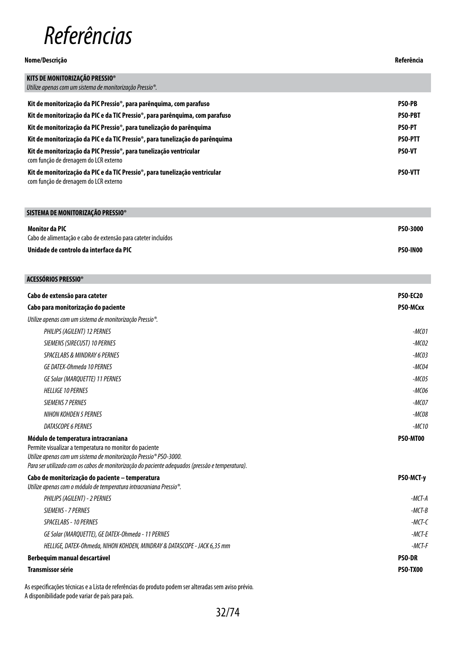# *Referências*

| Nome/Descricão                                                                                                       |                |
|----------------------------------------------------------------------------------------------------------------------|----------------|
| KITS DE MONITORIZAÇÃO PRESSIO®                                                                                       |                |
| Utilize apenas com um sistema de monitorização Pressio <sup>®</sup> .                                                |                |
| Kit de monitorização da PIC Pressio®, para parênguima, com parafuso                                                  | <b>PSO-PB</b>  |
| Kit de monitorização da PIC e da TIC Pressio®, para parênguima, com parafuso                                         | <b>PSO-PBT</b> |
| Kit de monitorização da PIC Pressio®, para tunelização do parênguima                                                 | <b>PSO-PT</b>  |
| Kit de monitorização da PIC e da TIC Pressio®, para tunelização do parênguima                                        | <b>PSO-PTT</b> |
| Kit de monitorização da PIC Pressio®, para tunelização ventricular<br>com função de drenagem do LCR externo          | <b>PSO-VT</b>  |
| Kit de monitorização da PIC e da TIC Pressio®, para tunelização ventricular<br>com função de drenagem do LCR externo | <b>PSO-VTT</b> |

| SISTEMA DE MONITORIZACÃO PRESSIO®                             |                 |
|---------------------------------------------------------------|-----------------|
| Monitor da PIC                                                | <b>PSO-3000</b> |
| Cabo de alimentação e cabo de extensão para cateter incluídos |                 |
| Unidade de controlo da interface da PIC                       | <b>PSO-INOO</b> |

| ACESSÓRIOS PRESSIO®                                                                                                                                                                                                                                                    |                 |
|------------------------------------------------------------------------------------------------------------------------------------------------------------------------------------------------------------------------------------------------------------------------|-----------------|
| Cabo de extensão para cateter                                                                                                                                                                                                                                          | <b>PSO-EC20</b> |
| Cabo para monitorização do paciente                                                                                                                                                                                                                                    | PSO-MCxx        |
| Utilize apenas com um sistema de monitorização Pressio®.                                                                                                                                                                                                               |                 |
| PHILIPS (AGILENT) 12 PERNES                                                                                                                                                                                                                                            | $-MCO1$         |
| SIEMENS (SIRECUST) 10 PERNES                                                                                                                                                                                                                                           | $-MCO2$         |
| <b>SPACELABS &amp; MINDRAY 6 PERNES</b>                                                                                                                                                                                                                                | $-MCO3$         |
| GE DATEX-Ohmeda 10 PERNES                                                                                                                                                                                                                                              | $-MCO4$         |
| <b>GE Solar (MARQUETTE) 11 PERNES</b>                                                                                                                                                                                                                                  | $-MCO5$         |
| <b>HELLIGE 10 PERNES</b>                                                                                                                                                                                                                                               | $-MCO6$         |
| <b>SIEMENS 7 PERNES</b>                                                                                                                                                                                                                                                | $-MCOZ$         |
| <b>NIHON KOHDEN 5 PERNES</b>                                                                                                                                                                                                                                           | $-MCO8$         |
| DATASCOPE 6 PERNES                                                                                                                                                                                                                                                     | $-MC10$         |
| Módulo de temperatura intracraniana<br>Permite visualizar a temperatura no monitor do paciente<br>Utilize apenas com um sistema de monitorização Pressio® PSO-3000.<br>Para ser utilizado com os cabos de monitorização do paciente adequados (pressão e temperatura). | PSO-MT00        |
| Cabo de monitorização do paciente - temperatura<br>Utilize apenas com o módulo de temperatura intracraniana Pressio <sup>®</sup> .                                                                                                                                     | PSO-MCT-y       |
| PHILIPS (AGILENT) - 2 PERNES                                                                                                                                                                                                                                           | $-MCT-A$        |
| SIEMENS - 7 PERNES                                                                                                                                                                                                                                                     | $-MCT-B$        |
| SPACELABS - 10 PERNES                                                                                                                                                                                                                                                  | $-MCT-C$        |
| GE Solar (MARQUETTE), GE DATEX-Ohmeda - 11 PERNES                                                                                                                                                                                                                      | $-MCT-F$        |
| HELLIGE, DATEX-Ohmeda, NIHON KOHDEN, MINDRAY & DATASCOPE - JACK 6,35 mm                                                                                                                                                                                                | $-MCT-F$        |
| Berbequim manual descartável                                                                                                                                                                                                                                           |                 |
| <b>Transmissor série</b>                                                                                                                                                                                                                                               | <b>PSO-TX00</b> |

As especificações técnicas e a Lista de referências do produto podem ser alteradas sem aviso prévio. A disponibilidade pode variar de país para país.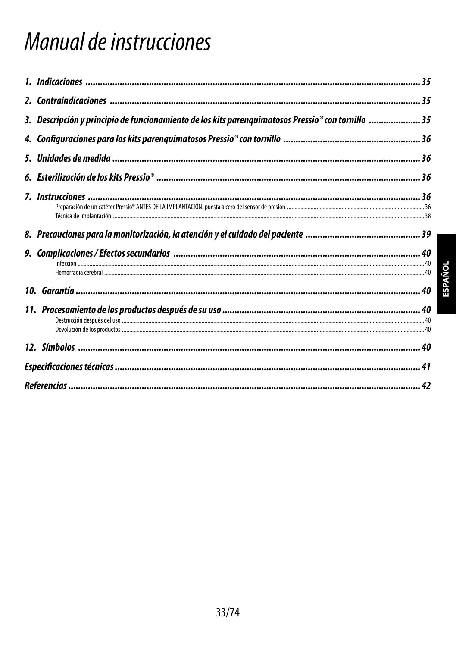# Manual de instrucciones

| 3. Descripción y principio de funcionamiento de los kits parenquimatosos Pressio® con tornillo 35 |  |
|---------------------------------------------------------------------------------------------------|--|
|                                                                                                   |  |
|                                                                                                   |  |
|                                                                                                   |  |
|                                                                                                   |  |
|                                                                                                   |  |
|                                                                                                   |  |
|                                                                                                   |  |
| 11. Procesamiento de los productos después de su uso ………………………………………………………………………… 40              |  |
|                                                                                                   |  |
|                                                                                                   |  |
|                                                                                                   |  |

**ESPAÑOL**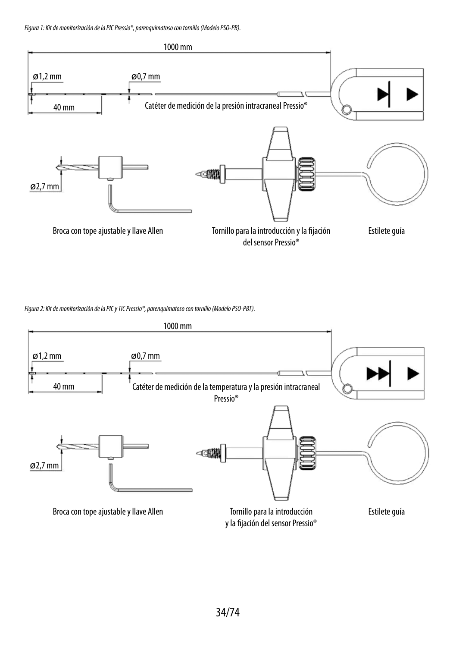*Figura 1: Kit de monitorización de la PIC Pressio®, parenquimatoso con tornillo (Modelo PSO-PB).*



*Figura 2: Kit de monitorización de la PIC y TIC Pressio®, parenquimatoso con tornillo (Modelo PSO-PBT).*

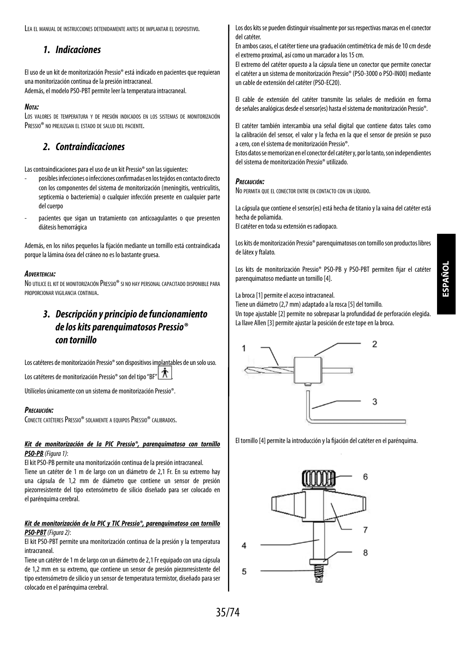Lea el manual de instrucciones detenidamente antes de implantar el dispositivo.

# *1. Indicaciones*

El uso de un kit de monitorización Pressio® está indicado en pacientes que requieran una monitorización continua de la presión intracraneal. Además, el modelo PSO-PBT permite leer la temperatura intracraneal.

### *Nota:*

Los valores de temperatura y de presión indicados en los sistemas de monitorización PRESSIO<sup>®</sup> no prejuzgan el estado de salud del paciente.

# *2. Contraindicaciones*

Las contraindicaciones para el uso de un kit Pressio® son las siguientes:

- posibles infecciones o infecciones confirmadas en los tejidos en contacto directo con los componentes del sistema de monitorización (meningitis, ventriculitis, septicemia o bacteriemia) o cualquier infección presente en cualquier parte del cuerpo
- pacientes que sigan un tratamiento con anticoagulantes o que presenten diátesis hemorrágica

Además, en los niños pequeños la fijación mediante un tornillo está contraindicada porque la lámina ósea del cráneo no es lo bastante gruesa.

### *Advertencia:*

No utilice el kit de monitorización Pressio® si no hay personal capacitado disponible para proporcionar vigilancia continua.

# *3. Descripción y principio de funcionamiento de los kits parenquimatosos Pressio® con tornillo*

Los catéteres de monitorización Pressio® son dispositivos implantables de un solo uso.

Los catéteres de monitorización Pressio® son del tipo "BF"  $\hat{\mathbf{\Lambda}}$ 

Utilícelos únicamente con un sistema de monitorización Pressio®.

### *Precaución:*

CONECTE CATÉTERES PRESSIO® SOLAMENTE A EQUIPOS PRESSIO® CALIBRADOS.

#### *Kit de monitorización de la PIC Pressio®, parenquimatoso con tornillo PSO-PB (Figura 1)*:

El kit PSO-PB permite una monitorización continua de la presión intracraneal. Tiene un catéter de 1 m de largo con un diámetro de 2,1 Fr. En su extremo hay una cápsula de 1,2 mm de diámetro que contiene un sensor de presión piezorresistente del tipo extensómetro de silicio diseñado para ser colocado en el parénquima cerebral.

#### *Kit de monitorización de la PIC y TIC Pressio®, parenquimatoso con tornillo PSO-PBT(Figura 2)*:

El kit PSO-PBT permite una monitorización continua de la presión y la temperatura intracraneal.

Tiene un catéter de 1 m de largo con un diámetro de 2,1 Fr equipado con una cápsula de 1,2 mm en su extremo, que contiene un sensor de presión piezorresistente del tipo extensómetro de silicio y un sensor de temperatura termistor, diseñado para ser colocado en el parénquima cerebral.

Los dos kits se pueden distinguir visualmente por sus respectivas marcas en el conector del catéter.

En ambos casos, el catéter tiene una graduación centimétrica de más de 10 cm desde el extremo proximal, así como un marcador a los 15 cm.

El extremo del catéter opuesto a la cápsula tiene un conector que permite conectar el catéter a un sistema de monitorización Pressio® (PSO-3000 o PSO-IN00) mediante un cable de extensión del catéter (PSO-EC20).

El cable de extensión del catéter transmite las señales de medición en forma de señales analógicas desde el sensor(es) hasta el sistema de monitorización Pressio®.

El catéter también intercambia una señal digital que contiene datos tales como la calibración del sensor, el valor y la fecha en la que el sensor de presión se puso a cero, con el sistema de monitorización Pressio®.

Estos datos se memorizan en el conector del catéter y, por lo tanto, son independientes del sistema de monitorización Pressio® utilizado.

#### *Precaución:*

No permita que el conector entre en contacto con un líquido.

La cápsula que contiene el sensor(es) está hecha de titanio y la vaina del catéter está hecha de poliamida.

El catéter en toda su extensión es radiopaco.

Los kits de monitorización Pressio® parenquimatosos con tornillo son productos libres de látex y ftalato.

Los kits de monitorización Pressio® PSO-PB y PSO-PBT permiten fijar el catéter parenquimatoso mediante un tornillo [4].

La broca [1] permite el acceso intracraneal.

Tiene un diámetro (2,7 mm) adaptado a la rosca [5] del tornillo. Un tope ajustable [2] permite no sobrepasar la profundidad de perforación elegida. La llave Allen [3] permite ajustar la posición de este tope en la broca.



El tornillo [4] permite la introducción y la fijación del catéter en el parénquima.

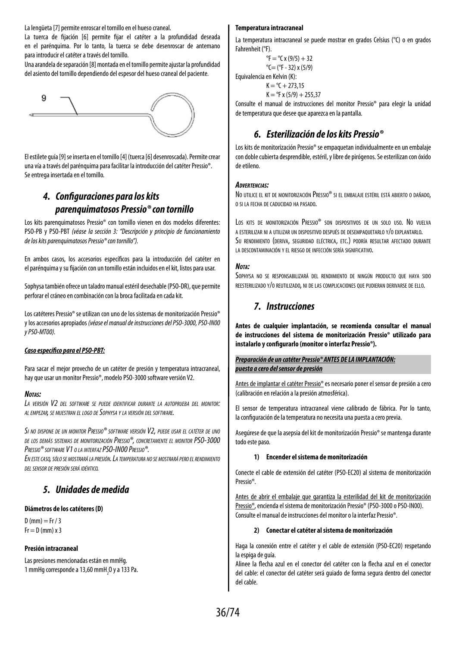La lengüeta [7] permite enroscar el tornillo en el hueso craneal.

La tuerca de fijación [6] permite fijar el catéter a la profundidad deseada en el parénquima. Por lo tanto, la tuerca se debe desenroscar de antemano para introducir el catéter a través del tornillo.

Una arandela de separación [8] montada en el tornillo permite ajustar la profundidad del asiento del tornillo dependiendo del espesor del hueso craneal del paciente.



El estilete guía [9] se inserta en el tornillo [4] (tuerca [6] desenroscada). Permite crear una vía a través del parénquima para facilitar la introducción del catéter Pressio®. Se entrega insertada en el tornillo.

# *4. Configuraciones para los kits parenquimatosos Pressio® con tornillo*

Los kits parenquimatosos Pressio® con tornillo vienen en dos modelos diferentes: PSO-PB y PSO-PBT *(véase la sección 3: "Descripción y principio de funcionamiento de los kits parenquimatosos Pressio® con tornillo").*

En ambos casos, los accesorios específicos para la introducción del catéter en el parénquima y su fijación con un tornillo están incluidos en el kit, listos para usar.

Sophysa también ofrece un taladro manual estéril desechable (PSO-DR), que permite perforar el cráneo en combinación con la broca facilitada en cada kit.

Los catéteres Pressio® se utilizan con uno de los sistemas de monitorización Pressio® y los accesorios apropiados *(véase el manual de instrucciones del PSO-3000, PSO-IN00 y PSO-MT00).*

#### *Caso específico para el PSO-PBT:*

Para sacar el mejor provecho de un catéter de presión y temperatura intracraneal, hay que usar un monitor Pressio®, modelo PSO-3000 software versión V2.

#### *Notas:*

*La versión V2 del software se puede identificar durante la autoprueba del monitor: al empezar, se muestran el logo de Sophysa y la versión del software.*

*Si no dispone de un monitor Pressio® software versión V2, puede usar el catéter de uno de los demás sistemas de monitorización Pressio®, concretamente el monitor PSO-3000 Pressio® software V1 o la interfazPSO-IN00 Pressio®.*

*En estecaso, sólo se mostrará la presión. La temperatura no se mostrará pero elrendimiento del sensor de presión será idéntico.*

# *5. Unidades de medida*

#### **Diámetros de los catéteres (D)**

 $D$  (mm) = Fr / 3  $Fr = D$  (mm)  $x$  3

#### **Presión intracraneal**

Las presiones mencionadas están en mmHg. 1 mmHg corresponde a 13,60 mmH $_{2}$ O y a 133 Pa.

#### **Temperatura intracraneal**

La temperatura intracraneal se puede mostrar en grados Celsius (°C) o en grados Fahrenheit (°F).

 ${}^{\circ}$ F =  ${}^{\circ}$ C x (9/5) + 32  $°C = (°F - 32) \times (5/9)$ Equivalencia en Kelvin (K):  $K = {}^{6}C + 273.15$  $K = {}^{o}F x (5/9) + 255.37$ 

Consulte el manual de instrucciones del monitor Pressio® para elegir la unidad de temperatura que desee que aparezca en la pantalla.

# *6. Esterilización de los kits Pressio®*

Los kits de monitorización Pressio® se empaquetan individualmente en un embalaje con doble cubierta desprendible, estéril, y libre de pirógenos. Se esterilizan con óxido de etileno.

#### *Advertencias:*

No utilice el kit de monitorización Pressio® si el embalaje estéril está abierto o dañado. o si la fecha de caducidad ha pasado.

Los kits de monitorización Pressio® son dispositivos de un solo uso. No vuelva a esterilizar ni a utilizar un dispositivo después de desempaquetarlo y/o explantarlo. Su rendimiento (deriva, seguridad eléctrica, etc.) podría resultar afectado durante la descontaminación y el riesgo de infección sería significativo.

#### *Nota:*

Sophysa no se responsabilizará del rendimiento de ningún producto que haya sido reesterilizado y/o reutilizado, ni de las complicaciones que pudieran derivarse de ello.

# *7. Instrucciones*

**Antes de cualquier implantación, se recomienda consultar el manual de instrucciones del sistema de monitorización Pressio® utilizado para instalarlo y configurarlo (monitor o interfaz Pressio®).**

#### *Preparación de un catéter Pressio® ANTES DE LA IMPLANTACIÓN: puesta a cero del sensor de presión*

Antes de implantar el catéter Pressio® es necesario poner el sensor de presión a cero (calibración en relación a la presión atmosférica).

El sensor de temperatura intracraneal viene calibrado de fábrica. Por lo tanto, la configuración de la temperatura no necesita una puesta a cero previa.

Asegúrese de que la asepsia del kit de monitorización Pressio® se mantenga durante todo este paso.

#### **1) Encender el sistema de monitorización**

Conecte el cable de extensión del catéter (PSO-EC20) al sistema de monitorización Pressio®.

Antes de abrir el embalaje que garantiza la esterilidad del kit de monitorización Pressio®, encienda el sistema de monitorización Pressio® (PSO-3000 o PSO-IN00). Consulte el manual de instrucciones del monitor o la interfaz Pressio®.

#### **2) Conectar el catéter al sistema de monitorización**

Haga la conexión entre el catéter y el cable de extensión (PSO-EC20) respetando la espiga de guía.

Alinee la flecha azul en el conector del catéter con la flecha azul en el conector del cable: el conector del catéter será guiado de forma segura dentro del conector del cable.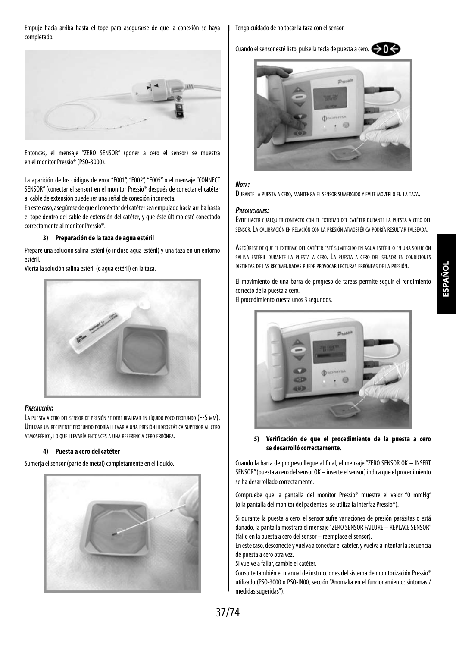Empuje hacia arriba hasta el tope para asegurarse de que la conexión se haya completado.



Entonces, el mensaje "ZERO SENSOR" (poner a cero el sensor) se muestra en el monitor Pressio® (PSO-3000).

La aparición de los códigos de error "E001", "E002", "E005" o el mensaje "CONNECT SENSOR" (conectar el sensor) en el monitor Pressio® después de conectar el catéter al cable de extensión puede ser una señal de conexión incorrecta.

En este caso, asegúrese de que el conector del catéter sea empujado hacia arriba hasta el tope dentro del cable de extensión del catéter, y que éste último esté conectado correctamente al monitor Pressio®.

#### **3) Preparación de la taza de agua estéril**

Prepare una solución salina estéril (o incluso agua estéril) y una taza en un entorno estéril.

Vierta la solución salina estéril (o agua estéril) en la taza.



#### *Precaución:*

LA PUESTA A CERO DEL SENSOR DE PRESIÓN SE DEBE REALIZAR EN LÍQUIDO POCO PROFUNDO (~5 MM). UTILIZAR UN RECIPIENTE PROFUNDO PODRÍA LI EVAR A UNA PRESIÓN HIDROSTÁTICA SUPERIOR AL CERO atmosférico, lo que llevaría entonces <sup>a</sup> una referencia cero errónea.

#### **4) Puesta a cero del catéter**

Sumerja el sensor (parte de metal) completamente en el líquido.



Tenga cuidado de no tocar la taza con el sensor.

Cuando el sensor esté listo, pulse la tecla de puesta a cero.  $\bigodot$  0



#### *Nota:*

Durante la puesta <sup>a</sup> cero, mantenga el sensor sumergido <sup>y</sup> evite moverlo en la taza.

#### *Precauciones:*

Evite hacer cualquier contacto con el extremo del catéter durante la puesta a cero del sensor. La calibración en relación con la presión atmosférica podría resultar falseada.

Asegúrese de que el extremo del catéter esté sumergido en agua estéril o en una solución salina estéril durante la puesta a cero. La puesta a cero del sensor en condiciones distintas de las recomendadas puede provocar lecturas erróneas de la presión.

El movimiento de una barra de progreso de tareas permite seguir el rendimiento correcto de la puesta a cero.

El procedimiento cuesta unos 3 segundos.



**5) Verificación de que el procedimiento de la puesta a cero se desarrolló correctamente.**

Cuando la barra de progreso llegue al final, el mensaje "ZERO SENSOR OK – INSERT SENSOR" (puesta a cero del sensor OK – inserte el sensor) indica que el procedimiento se ha desarrollado correctamente.

Compruebe que la pantalla del monitor Pressio® muestre el valor "0 mmHg" (o la pantalla del monitor del paciente si se utiliza la interfaz Pressio®).

Si durante la puesta a cero, el sensor sufre variaciones de presión parásitas o está dañado, la pantalla mostrará el mensaje "ZERO SENSOR FAILURE – REPLACE SENSOR" (fallo en la puesta a cero del sensor – reemplace el sensor).

En este caso, desconecte y vuelva a conectar el catéter, y vuelva a intentar la secuencia de puesta a cero otra vez.

Si vuelve a fallar, cambie el catéter.

Consulte también el manual de instrucciones del sistema de monitorización Pressio® utilizado (PSO-3000 o PSO-IN00, sección "Anomalía en el funcionamiento: síntomas / medidas sugeridas").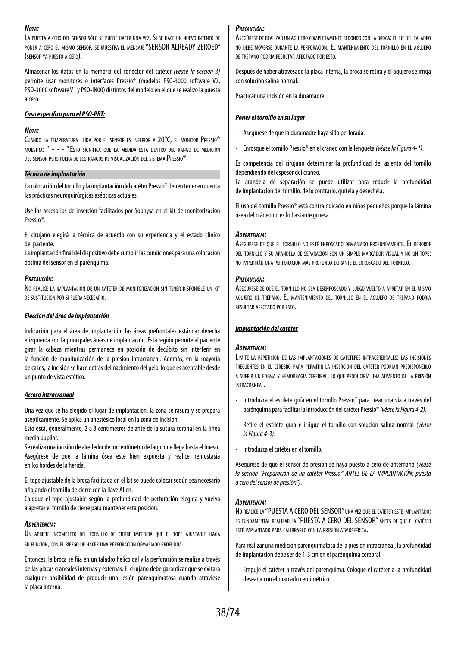#### *Nota:*

La puesta <sup>a</sup> cero del sensor sólo se puede hacer una vez. Si se hace un nuevo intento de poner a cero el mismo sensor, se muestra el mensaje "SENSOR ALREADY ZEROED" (sensor ya puesto <sup>a</sup> cero).

Almacenar los datos en la memoria del conector del catéter *(véase la sección 3)* permite usar monitores o interfaces Pressio® (modelos PSO-3000 software V2, PSO-3000 software V1 y PSO-IN00) distintos del modelo en el que se realizó la puesta a cero.

#### *Caso específico para el PSO-PBT:*

#### *Nota:*

Cuando la temperatura leída por el sensor es inferior a 20°C, el monitor Pressio® muestra: " - - - ".Esto significa que la medida está dentro del rango de medición del sensor pero fuera de los rangos de visualización del sistema Pressio®.

#### *Técnica de implantación*

La colocación del tornillo y la implantación del catéter Pressio® deben tener en cuenta las prácticas neuroquirúrgicas asépticas actuales.

Use los accesorios de inserción facilitados por Sophysa en el kit de monitorización Pressio®.

El cirujano elegirá la técnica de acuerdo con su experiencia y el estado clínico del paciente.

La implantación final del dispositivo debe cumplir las condiciones para una colocación óptima del sensor en el parénquima.

#### *Precaución:*

No realice la implantación de un catéter de monitorización sin tener disponible un kit de sustitución por si fuera necesario.

#### *Elección del área de implantación*

Indicación para el área de implantación: las áreas prefrontales estándar derecha e izquierda son la principales áreas de implantación. Esta región permite al paciente girar la cabeza mientras permanece en posición de decúbito sin interferir en la función de monitorización de la presión intracraneal. Además, en la mayoría de casos, la incisión se hace detrás del nacimiento del pelo, lo que es aceptable desde un punto de vista estético.

#### *Acceso intracraneal*

Una vez que se ha elegido el lugar de implantación, la zona se rasura y se prepara asépticamente. Se aplica un anestésico local en la zona de incisión.

Esto está, generalmente, 2 a 3 centímetros delante de la sutura coronal en la línea media pupilar.

Se realiza una incisión de alrededor de un centímetro de largo que llega hasta el hueso. Asegúrese de que la lámina ósea esté bien expuesta y realice hemostasia en los bordes de la herida.

El tope ajustable de la broca facilitada en el kit se puede colocar según sea necesario aflojando el tornillo de cierre con la llave Allen.

Coloque el tope ajustable según la profundidad de perforación elegida y vuelva a apretar el tornillo de cierre para mantener esta posición.

#### *Advertencia:*

Un apriete incompleto del tornillo de cierre impedirá que el tope ajustable haga su función, con el riesgo de hacer una perforación demasiado profunda.

Entonces, la broca se fija en un taladro helicoidal y la perforación se realiza a través de las placas craneales internas y externas. El cirujano debe garantizar que se evitará cualquier posibilidad de producir una lesión parenquimatosa cuando atraviese la placa interna.

#### *Precaución:*

Asegúrese de realizar un agujero completamente redondo con la broca: el eje del taladro no debe moverse durante la perforación. El mantenimiento del tornillo en el agujero de trépano podría resultar afectado por esto.

Después de haber atravesado la placa interna, la broca se retira y el agujero se irriga con solución salina normal.

Practicar una incisión en la duramadre.

#### *Poner el tornillo en su lugar*

- Asegúrese de que la duramadre haya sido perforada.
- Enrosque el tornillo Pressio® en el cráneo con la lengüeta *(véase la Figura 4-1)*.

Es competencia del cirujano determinar la profundidad del asiento del tornillo dependiendo del espesor del cráneo.

La arandela de separación se puede utilizar para reducir la profundidad de implantación del tornillo, de lo contrario, quítela y deséchela.

El uso del tornillo Pressio® está contraindicado en niños pequeños porque la lámina ósea del cráneo no es lo bastante gruesa.

#### *Advertencia:*

Asegúrese de que el tornillo no esté enroscado demasiado profundamente. El reborde del tornillo y su arandela de separación son un simple marcador visual y no un tope: no impedirán una perforación más profunda durante el enroscado del tornillo.

#### *Precaución:*

Asegúrese de que el tornillo no sea desenroscado y luego vuelto a apretar en el mismo agujero de trépano. El mantenimiento del tornillo en el agujero de trépano podría resultar afectado por esto.

#### *Implantación del catéter*

#### *Advertencia:*

Limite la repetición de las implantaciones de catéteres intracerebrales: las incisiones frecuentes en el cerebro para permitir la inserción del catéter podrían predisponerlo a sufrir un edema y hemorragia cerebral, lo que produciría una aumento de la presión intracraneal.

- Introduzca el estilete guía en el tornillo Pressio® para crear una vía a través del parénquima para facilitar la introducción del catéter Pressio® *(véase la Figura 4-2)*.
- Retire el estilete guía e irrigue el tornillo con solución salina normal *(véase la Figura 4-3)*.
- Introduzca el catéter en el tornillo.

Asegúrese de que el sensor de presión se haya puesto a cero de antemano *(véase la sección "Preparación de un catéter Pressio® ANTES DE LA IMPLANTACIÓN: puesta a cero del sensor de presión")*.

#### *Advertencia:*

NO REALICE LA "PUESTA A CERO DEL SENSOR" UNA VEZ QUE EL CATÉTER ESTÉ IMPLANTADO; es fundamental realizar la "PUESTA A CERO DEL SENSOR" antes de que el catéter esté implantado para calibrarlo con la presión atmosférica.

Para realizar una medición parenquimatosa de la presión intracraneal, la profundidad de implantación debe ser de 1-3 cm en el parénquima cerebral.

- Empuje el catéter a través del parénquima. Coloque el catéter a la profundidad deseada con el marcado centimétrico: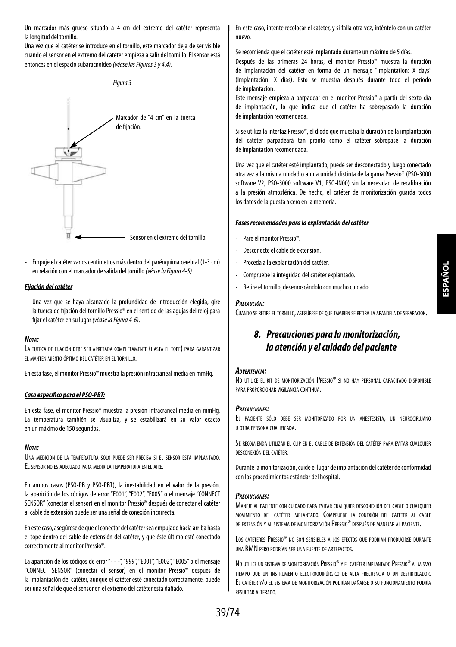Un marcador más grueso situado a 4 cm del extremo del catéter representa la longitud del tornillo.

Una vez que el catéter se introduce en el tornillo, este marcador deja de ser visible cuando el sensor en el extremo del catéter empieza a salir del tornillo. El sensor está entonces en el espacio subaracnoideo *(véase las Figuras 3 y 4.4)*.



- Empuje el catéter varios centímetros más dentro del parénquima cerebral (1-3 cm) en relación con el marcador de salida del tornillo *(véase la Figura 4-5)*.

#### *Fijación del catéter*

- Una vez que se haya alcanzado la profundidad de introducción elegida, gire la tuerca de fijación del tornillo Pressio® en el sentido de las agujas del reloj para fijar el catéter en su lugar *(véase la Figura 4-6)*.

#### *Nota:*

La tuerca de fijación debe ser apretada completamente (hasta el tope) para garantizar el mantenimiento óptimo del catéter en el tornillo.

En esta fase, el monitor Pressio® muestra la presión intracraneal media en mmHg.

#### *Caso específico para el PSO-PBT:*

En esta fase, el monitor Pressio® muestra la presión intracraneal media en mmHg. La temperatura también se visualiza, y se estabilizará en su valor exacto en un máximo de 150 segundos.

#### *Nota:*

Una medición de la temperatura sólo puede ser precisa si el sensor está implantado. El sensor no es adecuado para medir la temperatura en el aire.

En ambos casos (PSO-PB y PSO-PBT), la inestabilidad en el valor de la presión, la aparición de los códigos de error "E001", "E002", "E005" o el mensaje "CONNECT SENSOR" (conectar el sensor) en el monitor Pressio® después de conectar el catéter al cable de extensión puede ser una señal de conexión incorrecta.

En este caso, asegúrese de que el conector del catéter sea empujado hacia arriba hasta el tope dentro del cable de extensión del catéter, y que éste último esté conectado correctamente al monitor Pressio®.

La aparición de los códigos de error "- - -", "999", "E001", "E002", "E005" o el mensaje "CONNECT SENSOR" (conectar el sensor) en el monitor Pressio® después de la implantación del catéter, aunque el catéter esté conectado correctamente, puede ser una señal de que el sensor en el extremo del catéter está dañado.

En este caso, intente recolocar el catéter, y si falla otra vez, inténtelo con un catéter nuevo.

Se recomienda que el catéter esté implantado durante un máximo de 5 días.

Después de las primeras 24 horas, el monitor Pressio® muestra la duración de implantación del catéter en forma de un mensaje "Implantation: X days" (Implantación: X días). Esto se muestra después durante todo el período de implantación.

Este mensaje empieza a parpadear en el monitor Pressio® a partir del sexto día de implantación, lo que indica que el catéter ha sobrepasado la duración de implantación recomendada.

Si se utiliza la interfaz Pressio®, el diodo que muestra la duración de la implantación del catéter parpadeará tan pronto como el catéter sobrepase la duración de implantación recomendada.

Una vez que el catéter esté implantado, puede ser desconectado y luego conectado otra vez a la misma unidad o a una unidad distinta de la gama Pressio® (PSO-3000 software V2, PSO-3000 software V1, PSO-IN00) sin la necesidad de recalibración a la presión atmosférica. De hecho, el catéter de monitorización guarda todos los datos de la puesta a cero en la memoria.

#### *Fases recomendadas para la explantación del catéter*

- Pare el monitor Pressio®.
- Desconecte el cable de extension.
- Proceda a la explantación del catéter.
- Compruebe la integridad del catéter explantado.
- Retire el tornillo, desenroscándolo con mucho cuidado.

#### *Precaución:*

Cuando se retire el tornillo, asegúrese de que también se retira la arandela de separación.

## *8. Precauciones para la monitorización, la atención y el cuidado del paciente*

#### *Advertencia:*

No utilice el kit de monitorización Pressio® si no hay personal capacitado disponible para proporcionar vigilancia continua.

#### *Precauciones:*

El paciente sólo debe ser monitorizado por un anestesista, un neurocirujano u otra persona cualificada.

Se recomienda utilizar el clip en el cable de extensión del catéter para evitar cualquier desconexión del catéter.

Durante la monitorización, cuide el lugar de implantación del catéter de conformidad con los procedimientos estándar del hospital.

#### *Precauciones:*

Maneje al paciente con cuidado para evitar cualquier desconexión del cable o cualquier movimiento del catéter implantado. Compruebe la conexión del catéter al cable de extensión <sup>y</sup> al sistema de monitorización Pressio® después de manejar al paciente.

Los catéteres Pressio® no son sensibles a los efectos que podrían producirse durante una RMN pero podrían ser una fuente de artefactos.

No utilice un sistema de monitorización Pressio® y el catéter implantado Pressio® al mismo tiempo que un instrumento electroquirúrgico de alta frecuencia o un desfibrilador. El catéter y/o el sistema de monitorización podrían dañarse <sup>o</sup> su funcionamiento podría resultar alterado.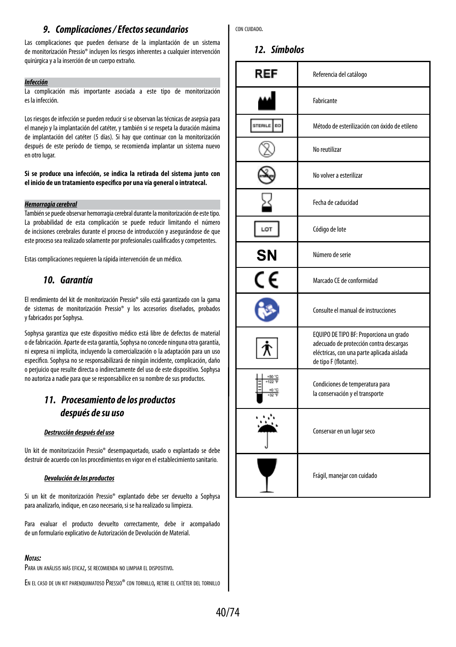## *9. Complicaciones / Efectos secundarios*

Las complicaciones que pueden derivarse de la implantación de un sistema de monitorización Pressio® incluyen los riesgos inherentes a cualquier intervención quirúrgica y a la inserción de un cuerpo extraño.

#### *Infección*

La complicación más importante asociada a este tipo de monitorización es la infección.

Los riesgos de infección se pueden reducir si se observan las técnicas de asepsia para el manejo y la implantación del catéter, y también si se respeta la duración máxima de implantación del catéter (5 días). Si hay que continuar con la monitorización después de este período de tiempo, se recomienda implantar un sistema nuevo en otro lugar.

#### **Si se produce una infección, se indica la retirada del sistema junto con el inicio de un tratamiento específico por una vía general o intratecal.**

#### *Hemorragia cerebral*

También se puede observar hemorragia cerebral durante la monitorización de este tipo. La probabilidad de esta complicación se puede reducir limitando el número de incisiones cerebrales durante el proceso de introducción y asegurándose de que este proceso sea realizado solamente por profesionales cualificados y competentes.

Estas complicaciones requieren la rápida intervención de un médico.

### *10. Garantía*

El rendimiento del kit de monitorización Pressio® sólo está garantizado con la gama de sistemas de monitorización Pressio® y los accesorios diseñados, probados y fabricados por Sophysa.

Sophysa garantiza que este dispositivo médico está libre de defectos de material o de fabricación. Aparte de esta garantía, Sophysa no concede ninguna otra garantía, ni expresa ni implícita, incluyendo la comercialización o la adaptación para un uso específico. Sophysa no se responsabilizará de ningún incidente, complicación, daño o perjuicio que resulte directa o indirectamente del uso de este dispositivo. Sophysa no autoriza a nadie para que se responsabilice en su nombre de sus productos.

## *11. Procesamiento de los productos después de su uso*

#### *Destrucción después del uso*

Un kit de monitorización Pressio® desempaquetado, usado o explantado se debe destruir de acuerdo con los procedimientos en vigor en el establecimiento sanitario.

#### *Devolución de los productos*

Si un kit de monitorización Pressio® explantado debe ser devuelto a Sophysa para analizarlo, indique, en caso necesario, si se ha realizado su limpieza.

Para evaluar el producto devuelto correctamente, debe ir acompañado de un formulario explicativo de Autorización de Devolución de Material.

#### *Notas:*

Para un análisis más eficaz, se recomienda no limpiar el dispositivo.

En el caso de un kit parenquimatoso Pressio® con tornillo, retire el catéter del tornillo

con cuidado.

### *12. Símbolos*

| REF            | Referencia del catálogo                                                                                                                                   |
|----------------|-----------------------------------------------------------------------------------------------------------------------------------------------------------|
|                | Fabricante                                                                                                                                                |
| STERILE<br>EO. | Método de esterilización con óxido de etileno                                                                                                             |
|                | No reutilizar                                                                                                                                             |
|                | No volver a esterilizar                                                                                                                                   |
|                | Fecha de caducidad                                                                                                                                        |
| LOT            | Código de lote                                                                                                                                            |
| SN             | Número de serie                                                                                                                                           |
| CE             | Marcado CE de conformidad                                                                                                                                 |
|                | Consulte el manual de instrucciones                                                                                                                       |
|                | EQUIPO DE TIPO BF: Proporciona un grado<br>adecuado de protección contra descargas<br>eléctricas, con una parte aplicada aislada<br>de tipo F (flotante). |
|                | Condiciones de temperatura para<br>la conservación y el transporte                                                                                        |
|                | Conservar en un lugar seco                                                                                                                                |
|                | Frágil, manejar con cuidado                                                                                                                               |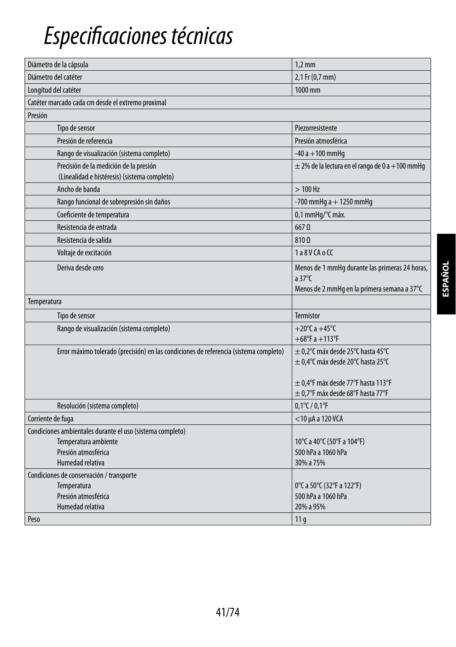## *Especificaciones técnicas*

| Diámetro de la cápsula                                                                 | $1,2$ mm                                                                                                          |  |
|----------------------------------------------------------------------------------------|-------------------------------------------------------------------------------------------------------------------|--|
| Diámetro del catéter                                                                   | 2,1 Fr (0,7 mm)                                                                                                   |  |
| Longitud del catéter                                                                   | 1000 mm                                                                                                           |  |
| Catéter marcado cada cm desde el extremo proximal                                      |                                                                                                                   |  |
| Presión                                                                                |                                                                                                                   |  |
| Tipo de sensor                                                                         | Piezorresistente                                                                                                  |  |
| Presión de referencia                                                                  | Presión atmosférica                                                                                               |  |
| Rango de visualización (sistema completo)                                              | $-40a + 100$ mmHq                                                                                                 |  |
| Precisión de la medición de la presión<br>(Linealidad e histéresis) (sistema completo) | $\pm$ 2% de la lectura en el rango de 0 a +100 mmHg                                                               |  |
| Ancho de banda                                                                         | $>100$ Hz                                                                                                         |  |
| Rango funcional de sobrepresión sin daños                                              | -700 mmHg $a + 1250$ mmHg                                                                                         |  |
| Coeficiente de temperatura                                                             | 0,1 mmHq/°C máx.                                                                                                  |  |
| Resistencia de entrada                                                                 | $667$ $\Omega$                                                                                                    |  |
| Resistencia de salida                                                                  | $810 \Omega$                                                                                                      |  |
| Voltaje de excitación                                                                  | 1a8VCAoCC                                                                                                         |  |
| Deriva desde cero                                                                      | Menos de 1 mmHq durante las primeras 24 horas,<br>a $37^{\circ}$ C<br>Menos de 2 mmHq en la primera semana a 37°C |  |
| Temperatura                                                                            |                                                                                                                   |  |
| Tipo de sensor                                                                         | <b>Termistor</b>                                                                                                  |  |
| Rango de visualización (sistema completo)                                              | +20 $°C$ a +45 $°C$<br>$+68^{\circ}$ F a $+113^{\circ}$ F                                                         |  |
| Error máximo tolerado (precisión) en las condiciones de referencia (sistema completo)  | $\pm$ 0,2°C máx desde 25°C hasta 45°C<br>± 0,4°C máx desde 20°C hasta 25°C                                        |  |
|                                                                                        | $\pm$ 0,4°F máx desde 77°F hasta 113°F<br>$\pm$ 0,7°F máx desde 68°F hasta 77°F                                   |  |
| Resolución (sistema completo)                                                          | $0,1^{\circ}$ C / $0,1^{\circ}$ F                                                                                 |  |
| Corriente de fuga                                                                      | $<$ 10 µA a 120 VCA                                                                                               |  |
| Condiciones ambientales durante el uso (sistema completo)                              |                                                                                                                   |  |
| Temperatura ambiente                                                                   | 10°C a 40°C (50°F a 104°F)                                                                                        |  |
| Presión atmosférica<br>Humedad relativa                                                | 500 hPa a 1060 hPa                                                                                                |  |
|                                                                                        | 30% a 75%                                                                                                         |  |
| Condiciones de conservación / transporte<br>Temperatura                                | 0°C a 50°C (32°F a 122°F)                                                                                         |  |
| Presión atmosférica                                                                    | 500 hPa a 1060 hPa                                                                                                |  |
| Humedad relativa                                                                       | 20% a 95%                                                                                                         |  |
| Peso                                                                                   | 11 <sub>q</sub>                                                                                                   |  |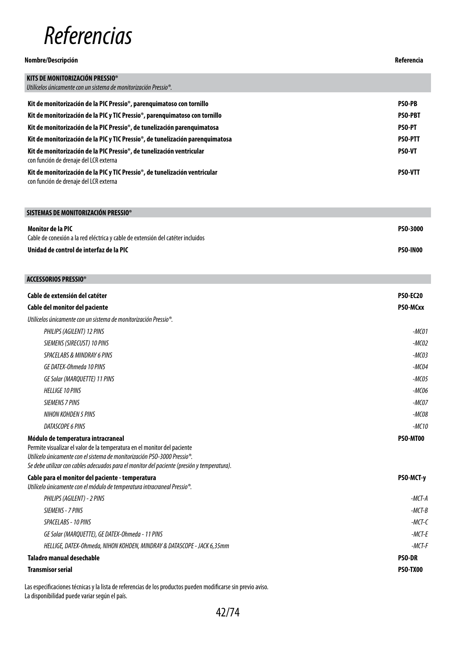## *Referencias*

#### **Nombre/Descripción Referencia**

| KITS DE MONITORIZACIÓN PRESSIO®                                                                                       |                |
|-----------------------------------------------------------------------------------------------------------------------|----------------|
| Utilícelos únicamente con un sistema de monitorización Pressio®.                                                      |                |
| Kit de monitorización de la PIC Pressio®, parenguimatoso con tornillo                                                 | <b>PSO-PB</b>  |
| Kit de monitorización de la PIC y TIC Pressio <sup>®</sup> , parenquimatoso con tornillo                              | <b>PSO-PBT</b> |
| Kit de monitorización de la PIC Pressio®, de tunelización parenguimatosa                                              | <b>PSO-PT</b>  |
| Kit de monitorización de la PIC y TIC Pressio <sup>®</sup> , de tunelización parenguimatosa                           | <b>PSO-PTT</b> |
| Kit de monitorización de la PIC Pressio®, de tunelización ventricular<br>con función de drenaje del LCR externa       | <b>PSO-VT</b>  |
| Kit de monitorización de la PIC y TIC Pressio®, de tunelización ventricular<br>con función de drenaje del LCR externa | <b>PSO-VTT</b> |

| SISTEMAS DE MONITORIZACIÓN PRESSIO®                                             |                 |
|---------------------------------------------------------------------------------|-----------------|
| Monitor de la PIC                                                               | <b>PSO-3000</b> |
| Cable de conexión a la red eléctrica y cable de extensión del catéter incluidos |                 |
| Unidad de control de interfaz de la PIC                                         | <b>PSO-IN00</b> |

Ī

| <b>ACCESSORIOS PRESSIO®</b>                                                                                                                                                                                                                                                                            |                 |
|--------------------------------------------------------------------------------------------------------------------------------------------------------------------------------------------------------------------------------------------------------------------------------------------------------|-----------------|
| Cable de extensión del catéter                                                                                                                                                                                                                                                                         | <b>PSO-EC20</b> |
| Cable del monitor del paciente                                                                                                                                                                                                                                                                         | PSO-MCxx        |
| Utilícelos únicamente con un sistema de monitorización Pressio <sup>®</sup> .                                                                                                                                                                                                                          |                 |
| PHILIPS (AGILENT) 12 PINS                                                                                                                                                                                                                                                                              | $-MCO1$         |
| SIEMENS (SIRECUST) 10 PINS                                                                                                                                                                                                                                                                             | $-MCO2$         |
| SPACELABS & MINDRAY 6 PINS                                                                                                                                                                                                                                                                             | $-MCO3$         |
| GE DATEX-Ohmeda 10 PINS                                                                                                                                                                                                                                                                                | $-MCO4$         |
| GE Solar (MARQUETTE) 11 PINS                                                                                                                                                                                                                                                                           | $-MCO5$         |
| <b>HELLIGE 10 PINS</b>                                                                                                                                                                                                                                                                                 | $-MCO6$         |
| <b>SIEMENS 7 PINS</b>                                                                                                                                                                                                                                                                                  | $-MCOZ$         |
| NIHON KOHDEN 5 PINS                                                                                                                                                                                                                                                                                    | $-MCO8$         |
| DATASCOPE 6 PINS                                                                                                                                                                                                                                                                                       | $-MC10$         |
| Módulo de temperatura intracraneal<br>Permite visualizar el valor de la temperatura en el monitor del paciente<br>Utilícelo únicamente con el sistema de monitorización PSO-3000 Pressio <sup>®</sup> .<br>Se debe utilizar con cables adecuados para el monitor del paciente (presión y temperatura). | PSO-MT00        |
| Cable para el monitor del paciente - temperatura<br>Utilícelo únicamente con el módulo de temperatura intracraneal Pressio <sup>®</sup> .                                                                                                                                                              | PSO-MCT-y       |
| PHILIPS (AGILENT) - 2 PINS                                                                                                                                                                                                                                                                             | $-MCT-A$        |
| SIEMENS - 7 PINS                                                                                                                                                                                                                                                                                       | $-MCT-B$        |
| SPACELABS - 10 PINS                                                                                                                                                                                                                                                                                    | $-MCT-C$        |
| GE Solar (MARQUETTE), GE DATEX-Ohmeda - 11 PINS                                                                                                                                                                                                                                                        | $-MCT-E$        |
| HELLIGE, DATEX-Ohmeda, NIHON KOHDEN, MINDRAY & DATASCOPE - JACK 6,35mm                                                                                                                                                                                                                                 | $-MCT-F$        |
| Taladro manual desechable                                                                                                                                                                                                                                                                              | <b>PSO-DR</b>   |
| <b>Transmisor serial</b>                                                                                                                                                                                                                                                                               | <b>PSO-TX00</b> |

Las especificaciones técnicas y la lista de referencias de los productos pueden modificarse sin previo aviso. La disponibilidad puede variar según el país.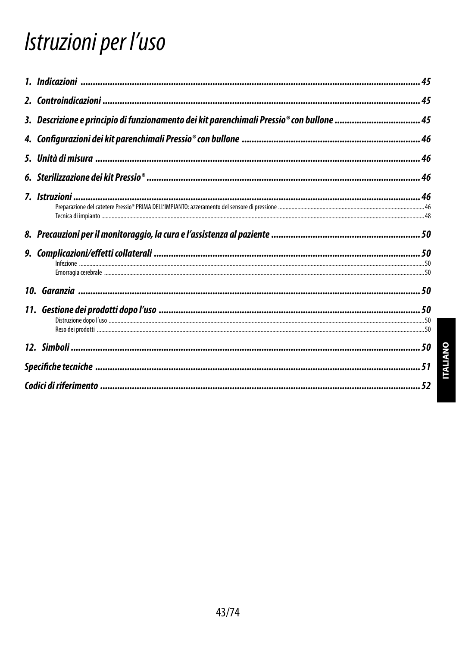## Istruzioni per l'uso

| 3. Descrizione e principio di funzionamento dei kit parenchimali Pressio® con bullone  45 |  |
|-------------------------------------------------------------------------------------------|--|
|                                                                                           |  |
|                                                                                           |  |
|                                                                                           |  |
|                                                                                           |  |
|                                                                                           |  |
|                                                                                           |  |
|                                                                                           |  |
|                                                                                           |  |
|                                                                                           |  |
|                                                                                           |  |
|                                                                                           |  |
|                                                                                           |  |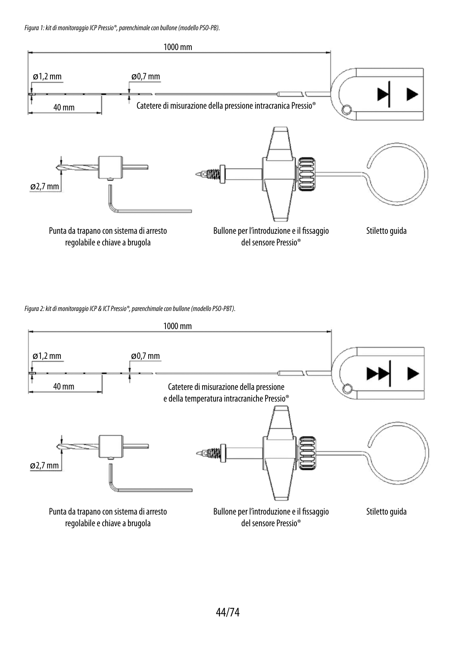*Figura 1: kit di monitoraggio ICP Pressio®, parenchimale con bullone (modello PSO-PB).*



*Figura 2: kit di monitoraggio ICP & ICT Pressio®, parenchimale con bullone (modello PSO-PBT).*

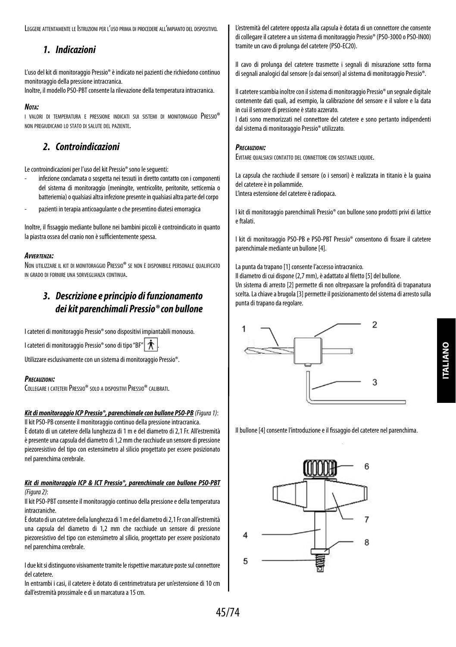Leggere attentamente le Istruzioniper l'uso prima diprocedere all'impianto del dispositivo.

## *1. Indicazioni*

L'uso del kit di monitoraggio Pressio® è indicato nei pazienti che richiedono continuo monitoraggio della pressione intracranica.

Inoltre, il modello PSO-PBT consente la rilevazione della temperatura intracranica.

#### *Nota:*

i valori di temperatura e pressione indicati sui sistemi di monitoraggio Pressio® non pregiudicano lo stato di salute del paziente.

## *2. Controindicazioni*

Le controindicazioni per l'uso del kit Pressio® sono le seguenti:

- infezione conclamata o sospetta nei tessuti in diretto contatto con i componenti del sistema di monitoraggio (meningite, ventricolite, peritonite, setticemia o batteriemia) o qualsiasi altra infezione presente in qualsiasi altra parte del corpo
- pazienti in terapia anticoagulante o che presentino diatesi emorragica

Inoltre, il fissaggio mediante bullone nei bambini piccoli è controindicato in quanto la piastra ossea del cranio non è sufficientemente spessa.

### *Avvertenza:*

Non utilizzare il kit di monitoraggio Pressio® se non <sup>è</sup> disponibile personale qualificato in grado di fornire una sorveglianza continua.

## *3. Descrizione e principio di funzionamento dei kit parenchimali Pressio® con bullone*

I cateteri di monitoraggio Pressio® sono dispositivi impiantabili monouso.

I cateteri di monitoraggio Pressio® sono di tipo "BF" |  $\hat{\mathbf{\mathcal{R}}}$ 

Utilizzare esclusivamente con un sistema di monitoraggio Pressio®.

#### *Precauzioni:*

COLLEGARE I CATETERI PRESSIO® SOLO A DISPOSITIVI PRESSIO® CALIBRATI.

### *Kit di monitoraggio ICP Pressio®, parenchimale con bullone PSO-PB (Figura 1)*:

Il kit PSO-PB consente il monitoraggio continuo della pressione intracranica. È dotato di un catetere della lunghezza di 1 m e del diametro di 2,1 Fr. All'estremità è presente una capsula del diametro di 1,2 mm che racchiude un sensore di pressione piezoresistivo del tipo con estensimetro al silicio progettato per essere posizionato nel parenchima cerebrale.

#### *Kit di monitoraggio ICP & ICT Pressio®, parenchimale con bullone PSO-PBT (Figura 2)*:

Il kit PSO-PBT consente il monitoraggio continuo della pressione e della temperatura intracraniche.

È dotato di un catetere della lunghezza di 1 m e del diametro di 2,1 Fr con all'estremità una capsula del diametro di 1,2 mm che racchiude un sensore di pressione piezoresistivo del tipo con estensimetro al silicio, progettato per essere posizionato nel parenchima cerebrale.

I due kit si distinguono visivamente tramite le rispettive marcature poste sul connettore del catetere.

In entrambi i casi, il catetere è dotato di centrimetratura per un'estensione di 10 cm dall'estremità prossimale e di un marcatura a 15 cm.

L'estremità del catetere opposta alla capsula è dotata di un connettore che consente di collegare il catetere a un sistema di monitoraggio Pressio® (PSO-3000 o PSO-IN00) tramite un cavo di prolunga del catetere (PSO-EC20).

Il cavo di prolunga del catetere trasmette i segnali di misurazione sotto forma di segnali analogici dal sensore (o dai sensori) al sistema di monitoraggio Pressio®.

Il catetere scambia inoltre con il sistema di monitoraggio Pressio® un segnale digitale contenente dati quali, ad esempio, la calibrazione del sensore e il valore e la data in cui il sensore di pressione è stato azzerato.

I dati sono memorizzati nel connettore del catetere e sono pertanto indipendenti dal sistema di monitoraggio Pressio® utilizzato.

#### *Precauzioni:*

Evitare qualsiasi contatto del connettore con sostanze liquide.

La capsula che racchiude il sensore (o i sensori) è realizzata in titanio è la guaina del catetere è in poliammide.

L'intera estensione del catetere è radiopaca.

I kit di monitoraggio parenchimali Pressio® con bullone sono prodotti privi di lattice e ftalati.

I kit di monitoraggio PSO-PB e PSO-PBT Pressio® consentono di fissare il catetere parenchimale mediante un bullone [4].

La punta da trapano [1] consente l'accesso intracranico.

Il diametro di cui dispone (2,7 mm), è adattato al filetto [5] del bullone. Un sistema di arresto [2] permette di non oltrepassare la profondità di trapanatura scelta. La chiave a brugola [3] permette il posizionamento del sistema di arresto sulla punta di trapano da regolare.



Il bullone [4] consente l'introduzione e il fissaggio del catetere nel parenchima.

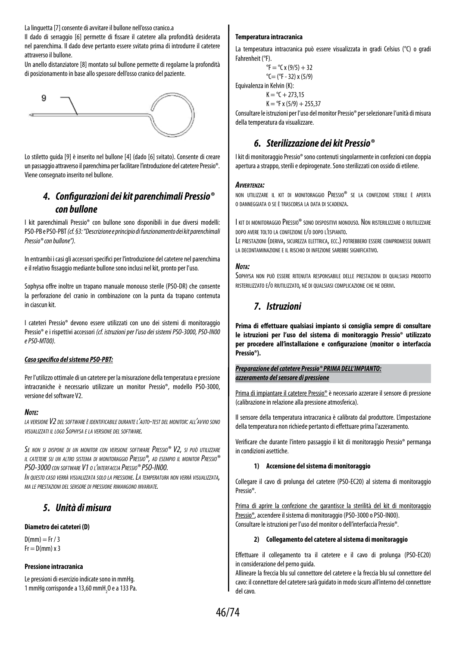La linguetta [7] consente di avvitare il bullone nell'osso cranico.a

Il dado di serraggio [6] permette di fissare il catetere alla profondità desiderata nel parenchima. Il dado deve pertanto essere svitato prima di introdurre il catetere attraverso il bullone.

Un anello distanziatore [8] montato sul bullone permette di regolarne la profondità di posizionamento in base allo spessore dell'osso cranico del paziente.



Lo stiletto guida [9] è inserito nel bullone [4] (dado [6] svitato). Consente di creare un passaggio attraverso il parenchima per facilitare l'introduzione del catetere Pressio®. Viene consegnato inserito nel bullone.

## *4. Configurazioni dei kit parenchimali Pressio® con bullone*

I kit parenchimali Pressio® con bullone sono disponibili in due diversi modelli: PSO-PB e PSO-PBT *(cf. §3: "Descrizione e principio di funzionamento dei kit parenchimali Pressio® con bullone").*

In entrambi i casi gli accessori specifici per l'introduzione del catetere nel parenchima e il relativo fissaggio mediante bullone sono inclusi nel kit, pronto per l'uso.

Sophysa offre inoltre un trapano manuale monouso sterile (PSO-DR) che consente la perforazione del cranio in combinazione con la punta da trapano contenuta in ciascun kit.

I cateteri Pressio® devono essere utilizzati con uno dei sistemi di monitoraggio Pressio® e i rispettivi accessori *(cf. istruzioni per l'uso dei sistemi PSO-3000, PSO-IN00 e PSO-MT00).*

#### *Caso specifico del sistema PSO-PBT:*

Per l'utilizzo ottimale di un catetere per la misurazione della temperatura e pressione intracraniche è necessario utilizzare un monitor Pressio®, modello PSO-3000, versione del software V2.

#### *Note:*

*la versione V2 del software è identificabile durante l'auto-test del monitor: all'avvio sono visualizzati il logo Sophysa e la versione del software.*

*Se non si dispone di un monitor con versione software Pressio® V2, si può utilizzare il catetere su un altro sistema di monitoraggio Pressio®, ad esempio il monitor Pressio® PSO-3000 con software V1 o l'interfaccia Pressio® PSO-IN00.*

*In questo caso verrà visualizzata solo la pressione. La temperatura non verrà visualizzata, ma le prestazioni del sensore di pressione rimangono invariate.*

### *5. Unità di misura*

#### **Diametro dei cateteri (D)**

 $D(mm) = Fr / 3$  $Fr = D(mm) \times 3$ 

#### **Pressione intracranica**

Le pressioni di esercizio indicate sono in mmHg. 1 mmHg corrisponde a 13,60 mmH $_{2}$ O e a 133 Pa.

#### **Temperatura intracranica**

La temperatura intracranica può essere visualizzata in gradi Celsius (°C) o gradi Fahrenheit (°F).

> ${}^{\circ}$ F =  ${}^{\circ}$ C x (9/5) + 32  $^{\circ}$ C= ( $^{\circ}$ F - 32) x (5/9)

Equivalenza in Kelvin (K):  $K = {}^{o}C + 273.15$ 

 $K = PF x (5/9) + 255.37$ 

Consultare le istruzioni per l'uso del monitor Pressio® per selezionare l'unità di misura della temperatura da visualizzare.

## *6. Sterilizzazione dei kit Pressio®*

I kit di monitoraggio Pressio® sono contenuti singolarmente in confezioni con doppia apertura a strappo, sterili e depirogenate. Sono sterilizzati con ossido di etilene.

#### *Avvertenza:*

non utilizzare il kit di monitoraggio Pressio® se la confezione sterile è aperta o danneggiata o se è trascorsa la data di scadenza.

I kit di monitoraggio Pressio® sono dispositivi monouso. Non risterilizzare o riutilizzare dopo avere tolto la confezione e/o dopo l'espianto.

LE PRESTAZIONI (DERIVA, SICUREZZA ELETTRICA, ECC.) POTREBBERO ESSERE COMPROMESSE DURANTE la decontaminazione e il rischio di infezione sarebbe significativo.

#### *Nota:*

Sophysa non può essere ritenuta responsabile delle prestazioni di qualsiasi prodotto risterilizzato e/o riutilizzato, né di qualsiasi complicazione che ne derivi.

## *7. Istruzioni*

**Prima di effettuare qualsiasi impianto si consiglia sempre di consultare le istruzioni per l'uso del sistema di monitoraggio Pressio® utilizzato per procedere all'installazione e configurazione (monitor o interfaccia Pressio®).**

#### *Preparazione del catetere Pressio® PRIMA DELL'IMPIANTO: azzeramento del sensore di pressione*

Prima di impiantare il catetere Pressio® è necessario azzerare il sensore di pressione (calibrazione in relazione alla pressione atmosferica).

Il sensore della temperatura intracranica è calibrato dal produttore. L'impostazione della temperatura non richiede pertanto di effettuare prima l'azzeramento.

Verificare che durante l'intero passaggio il kit di monitoraggio Pressio® permanga in condizioni asettiche.

#### **1) Accensione del sistema di monitoraggio**

Collegare il cavo di prolunga del catetere (PSO-EC20) al sistema di monitoraggio Pressio®.

Prima di aprire la confezione che garantisce la sterilità del kit di monitoraggio Pressio®, accendere il sistema di monitoraggio (PSO-3000 o PSO-IN00). Consultare le istruzioni per l'uso del monitor o dell'interfaccia Pressio®.

#### **2) Collegamento del catetere al sistema di monitoraggio**

Effettuare il collegamento tra il catetere e il cavo di prolunga (PSO-EC20) in considerazione del perno guida.

Allineare la freccia blu sul connettore del catetere e la freccia blu sul connettore del cavo: il connettore del catetere sarà guidato in modo sicuro all'interno del connettore del cavo.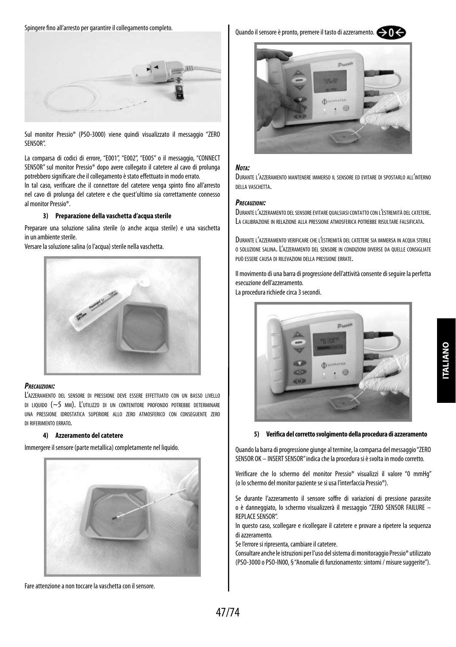Spingere fino all'arresto per garantire il collegamento completo.



Sul monitor Pressio® (PSO-3000) viene quindi visualizzato il messaggio "ZERO SENSOR".

La comparsa di codici di errore, "E001", "E002", "E005" o il messaggio, "CONNECT SENSOR" sul monitor Pressio® dopo avere collegato il catetere al cavo di prolunga potrebbero significare che il collegamento è stato effettuato in modo errato.

In tal caso, verificare che il connettore del catetere venga spinto fino all'arresto nel cavo di prolunga del catetere e che quest'ultimo sia correttamente connesso al monitor Pressio®.

#### **3) Preparazione della vaschetta d'acqua sterile**

Preparare una soluzione salina sterile (o anche acqua sterile) e una vaschetta in un ambiente sterile.

Versare la soluzione salina (o l'acqua) sterile nella vaschetta.



#### *Precauzioni:*

L'azzeramento del sensore di pressione deve essere effettuato con un basso livello di liquido ( $\sim$ 5 mm). L'utilizzo di un contenitore profondo potrebbe determinare una pressione idrostatica superiore allo zero atmosferico con conseguente zero di riferimento errato.

#### **4) Azzeramento del catetere**

Immergere il sensore (parte metallica) completamente nel liquido.



Fare attenzione a non toccare la vaschetta con il sensore.

Quando il sensore è pronto, premere il tasto di azzeramento.



#### *Nota:*

Durante l'azzeramento mantenere immerso il sensore ed evitare di spostarlo all'interno della vaschetta.

#### *Precauzioni:*

DURANTE L'AZZERAMENTO DEL SENSORE EVITARE QUALSIASI CONTATTO CON L'ESTREMITÀ DEL CATETERE. La calibrazione in relazione alla pressione atmosferica potrebbe risultare falsificata.

Durante l'azzeramento verificare che l'estremità del catetere sia immersa in acqua sterile o soluzione salina. L'azzeramento del sensore in condizioni diverse da quelle consigliate può essere causa di rilevazioni della pressione errate.

Il movimento di una barra di progressione dell'attività consente di seguire la perfetta esecuzione dell'azzeramento.

La procedura richiede circa 3 secondi.



#### **5) Verifica del corretto svolgimento della procedura di azzeramento**

Quando la barra di progressione giunge al termine, la comparsa del messaggio "ZERO SENSOR OK – INSERT SENSOR" indica che la procedura si è svolta in modo corretto.

Verificare che lo schermo del monitor Pressio® visualizzi il valore "0 mmHg" (o lo schermo del monitor paziente se si usa l'interfaccia Pressio®).

Se durante l'azzeramento il sensore soffre di variazioni di pressione parassite o è danneggiato, lo schermo visualizzerà il messaggio "ZERO SENSOR FAILURE – REPLACE SENSOR".

In questo caso, scollegare e ricollegare il catetere e provare a ripetere la sequenza di azzeramento.

Se l'errore si ripresenta, cambiare il catetere.

Consultare anche le istruzioni per l'uso del sistema di monitoraggio Pressio® utilizzato (PSO-3000 o PSO-IN00, § "Anomalie di funzionamento: sintomi / misure suggerite").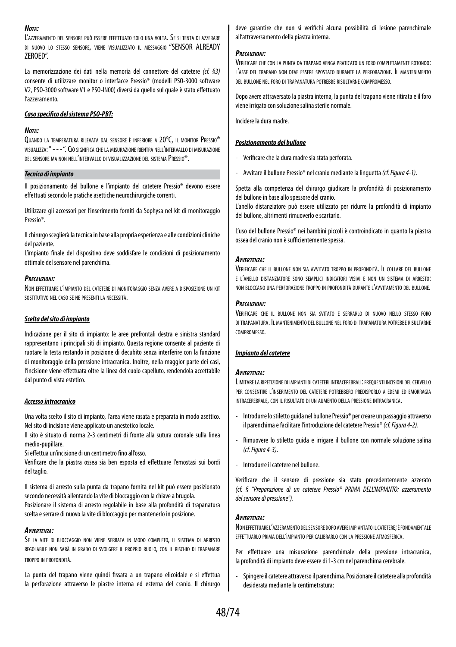#### *Nota:*

L'azzeramento del sensore può essere effettuato solo una volta. Se si tenta di azzerare di nuovo lo stesso sensore, viene visualizzato il messaggio "SENSOR ALREADY ZEROED".

La memorizzazione dei dati nella memoria del connettore del catetere *(cf. §3)* consente di utilizzare monitor o interfacce Pressio® (modelli PSO-3000 software V2, PSO-3000 software V1 e PSO-IN00) diversi da quello sul quale è stato effettuato l'azzeramento.

#### *Caso specifico del sistema PSO-PBT:*

#### *Nota:*

Quando la temperatura rilevata dal sensore <sup>è</sup> inferiore a 20°C, il monitor Pressio® visualizza: " - - - ". Ciò significa che la misurazione rientra nell'intervallo di misurazione del sensore ma non nell'intervallo di visualizzazione del sistema Pressio®.

#### *Tecnica di impianto*

Il posizionamento del bullone e l'impianto del catetere Pressio® devono essere effettuati secondo le pratiche asettiche neurochirurgiche correnti.

Utilizzare gli accessori per l'inserimento forniti da Sophysa nel kit di monitoraggio Pressio®.

Il chirurgo sceglierà la tecnica in base alla propria esperienza e alle condizioni cliniche del paziente.

L'impianto finale del dispositivo deve soddisfare le condizioni di posizionamento ottimale del sensore nel parenchima.

#### *Precauzioni:*

Non effettuare l'impianto del catetere di monitoraggio senza avere <sup>a</sup> disposizione un kit sostitutivo nel caso se ne presenti la necessità.

#### *Scelta del sito di impianto*

Indicazione per il sito di impianto: le aree prefrontali destra e sinistra standard rappresentano i principali siti di impianto. Questa regione consente al paziente di ruotare la testa restando in posizione di decubito senza interferire con la funzione di monitoraggio della pressione intracranica. Inoltre, nella maggior parte dei casi, l'incisione viene effettuata oltre la linea del cuoio capelluto, rendendola accettabile dal punto di vista estetico.

#### *Accesso intracranico*

Una volta scelto il sito di impianto, l'area viene rasata e preparata in modo asettico. Nel sito di incisione viene applicato un anestetico locale.

Il sito è situato di norma 2-3 centimetri di fronte alla sutura coronale sulla linea medio-pupillare.

Si effettua un'incisione di un centimetro fino all'osso.

Verificare che la piastra ossea sia ben esposta ed effettuare l'emostasi sui bordi del taglio.

Il sistema di arresto sulla punta da trapano fornita nel kit può essere posizionato secondo necessità allentando la vite di bloccaggio con la chiave a brugola. Posizionare il sistema di arresto regolabile in base alla profondità di trapanatura

scelta e serrare di nuovo la vite di bloccaggio per mantenerlo in posizione.

#### *Avvertenza:*

Se la vite di bloccaggio non viene serrata in modo completo, il sistema di arresto regolabile non sarà in grado di svolgere il proprio ruolo, con il rischio di trapanare troppo in profondità.

La punta del trapano viene quindi fissata a un trapano elicoidale e si effettua la perforazione attraverso le piastre interna ed esterna del cranio. Il chirurgo deve garantire che non si verifichi alcuna possibilità di lesione parenchimale all'attraversamento della piastra interna.

#### *Precauzioni:*

Verificare che con la punta da trapano venga praticato un foro completamente rotondo: l'asse del trapano non deve essere spostato durante la perforazione. Il mantenimento del bullone nel foro di trapanatura potrebbe risultarne compromesso.

Dopo avere attraversato la piastra interna, la punta del trapano viene ritirata e il foro viene irrigato con soluzione salina sterile normale.

Incidere la dura madre.

#### *Posizionamento del bullone*

- Verificare che la dura madre sia stata perforata.
- Avvitare il bullone Pressio® nel cranio mediante la linguetta *(cf. Figura 4-1)*.

Spetta alla competenza del chirurgo giudicare la profondità di posizionamento del bullone in base allo spessore del cranio.

L'anello distanziatore può essere utilizzato per ridurre la profondità di impianto del bullone, altrimenti rimuoverlo e scartarlo.

L'uso del bullone Pressio® nei bambini piccoli è controindicato in quanto la piastra ossea del cranio non è sufficientemente spessa.

#### *Avvertenza:*

Verificare che il bullone non sia avvitato troppo in profondità. Il collare del bullone e l'anello distanziatore sono semplici indicatori visivi e non un sistema di arresto: non bloccano una perforazione troppo in profondità durante l'avvitamento del bullone.

#### *Precauzioni:*

Verificare che il bullone non sia svitato e serrarlo di nuovo nello stesso foro di trapanatura. Il mantenimento del bullone nel foro di trapanatura potrebbe risultarne compromesso.

#### *Impianto del catetere*

#### *Avvertenza:*

Limitarela ripetizione di impianti dicateteri intracerebrali: frequenti incisioni delcervello per consentire l'inserimento del catetere potrebbero predisporlo <sup>a</sup> edemi ed emorragia intracerebrale, con il risultato di un aumento della pressione intracranica.

- Introdurre lo stiletto guida nel bullone Pressio® per creare un passaggio attraverso il parenchima e facilitare l'introduzione del catetere Pressio® *(cf. Figura 4-2)*.
- Rimuovere lo stiletto guida e irrigare il bullone con normale soluzione salina *(cf. Figura 4-3)*.
- Introdurre il catetere nel bullone.

Verificare che il sensore di pressione sia stato precedentemente azzerato *(cf. § "Preparazione di un catetere Pressio® PRIMA DELL'IMPIANTO: azzeramento del sensore di pressione")*.

#### *Avvertenza:*

Noneffettuarel'azzeramento delsensore dopo avereimpiantato ilcatetere; èfondamentale effettuarlo prima dell'impianto per calibrarlo con la pressione atmosferica.

Per effettuare una misurazione parenchimale della pressione intracranica, la profondità di impianto deve essere di 1-3 cm nel parenchima cerebrale.

- Spingere il catetere attraverso il parenchima. Posizionare il catetere alla profondità desiderata mediante la centimetratura: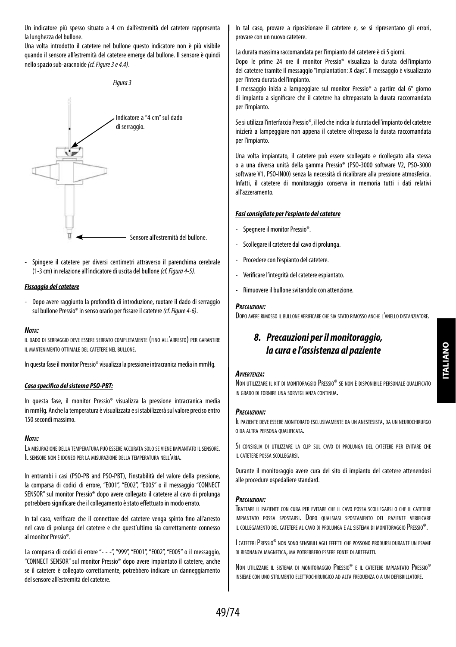Un indicatore più spesso situato a 4 cm dall'estremità del catetere rappresenta la lunghezza del bullone.

Una volta introdotto il catetere nel bullone questo indicatore non è più visibile quando il sensore all'estremità del catetere emerge dal bullone. Il sensore è quindi nello spazio sub-aracnoide *(cf. Figure 3 e 4.4)*.



- Spingere il catetere per diversi centimetri attraverso il parenchima cerebrale (1-3 cm) in relazione all'indicatore di uscita del bullone *(cf. Figura 4-5)*.

#### *Fissaggio del catetere*

- Dopo avere raggiunto la profondità di introduzione, ruotare il dado di serraggio sul bullone Pressio® in senso orario per fissare il catetere *(cf. Figure 4-6)*.

#### *Nota:*

il dado di serraggio deve essere serrato completamente (fino all'arresto) per garantire il mantenimento ottimale del catetere nel bullone.

In questa fase il monitor Pressio® visualizza la pressione intracranica media in mmHg.

#### *Caso specifico del sistema PSO-PBT:*

In questa fase, il monitor Pressio® visualizza la pressione intracranica media in mmHg. Anche la temperatura è visualizzata e si stabilizzerà sul valore preciso entro 150 secondi massimo.

#### *Nota:*

La misurazione della temperatura può essere accurata solo se viene impiantato il sensore. Il sensore non <sup>è</sup> idoneo per la misurazione della temperatura nell'aria.

In entrambi i casi (PSO-PB and PSO-PBT), l'instabilità del valore della pressione, la comparsa di codici di errore, "E001", "E002", "E005" o il messaggio "CONNECT SENSOR" sul monitor Pressio® dopo avere collegato il catetere al cavo di prolunga potrebbero significare che il collegamento è stato effettuato in modo errato.

In tal caso, verificare che il connettore del catetere venga spinto fino all'arresto nel cavo di prolunga del catetere e che quest'ultimo sia correttamente connesso al monitor Pressio®.

La comparsa di codici di errore "- - -", "999", "E001", "E002", "E005" o il messaggio, "CONNECT SENSOR" sul monitor Pressio® dopo avere impiantato il catetere, anche se il catetere è collegato correttamente, potrebbero indicare un danneggiamento del sensore all'estremità del catetere.

In tal caso, provare a riposizionare il catetere e, se si ripresentano gli errori, provare con un nuovo catetere.

La durata massima raccomandata per l'impianto del catetere è di 5 giorni.

Dopo le prime 24 ore il monitor Pressio® visualizza la durata dell'impianto del catetere tramite il messaggio "Implantation: X days". Il messaggio è visualizzato per l'intera durata dell'impianto.

Il messaggio inizia a lampeggiare sul monitor Pressio® a partire dal 6° giorno di impianto a significare che il catetere ha oltrepassato la durata raccomandata per l'impianto.

Se si utilizza l'interfaccia Pressio®, il led che indica la durata dell'impianto del catetere inizierà a lampeggiare non appena il catetere oltrepassa la durata raccomandata per l'impianto.

Una volta impiantato, il catetere può essere scollegato e ricollegato alla stessa o a una diversa unità della gamma Pressio® (PSO-3000 software V2, PSO-3000 software V1, PSO-IN00) senza la necessità di ricalibrare alla pressione atmosferica. Infatti, il catetere di monitoraggio conserva in memoria tutti i dati relativi all'azzeramento.

#### *Fasi consigliate per l'espianto del catetere*

- Spegnere il monitor Pressio®.
- Scollegare il catetere dal cavo di prolunga.
- Procedere con l'espianto del catetere.
- Verificare l'integrità del catetere espiantato.
- Rimuovere il bullone svitandolo con attenzione.

#### *Precauzioni:*

DOPO AVERE RIMOSSO IL BULLONE VERIFICARE CHE SIA STATO RIMOSSO ANCHE L'ANELLO DISTANZIATORE.

## *8. Precauzioni per il monitoraggio, la cura e l'assistenza al paziente*

#### *Avvertenza:*

Non utilizzare il kit di monitoraggio Pressio® se non <sup>è</sup> disponibile personale qualificato in grado di fornire una sorveglianza continua.

#### *Precauzioni:*

Il paziente deve essere monitorato esclusivamente da un anestesista, da un neurochirurgo <sup>o</sup> da altra persona qualificata.

Si consiglia di utilizzare la clip sul cavo di prolunga del catetere per evitare che il catetere possa scollegarsi.

Durante il monitoraggio avere cura del sito di impianto del catetere attenendosi alle procedure ospedaliere standard.

#### *Precauzioni:*

Trattare il paziente con cura per evitare che il cavo possa scollegarsi <sup>o</sup> che il catetere impiantato possa spostarsi. Dopo qualsiasi spostamento del paziente verificare il collegamento del catetere al cavo di prolunga <sup>e</sup> al sistema di monitoraggio Pressio®.

I cateteri Pressio® non sono sensibili agli effetti che possono prodursi durante un esame di risonanza magnetica, ma potrebbero essere fonte di artefatti.

Non utilizzare il sistema di monitoraggio Pressio® e il catetere impiantato Pressio® insieme con uno strumento elettrochirurgico ad alta frequenza o a un defibrillatore.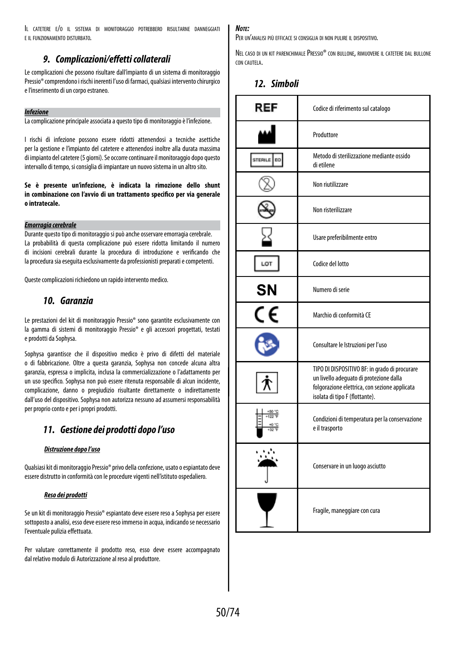Il catetere e/o il sistema di monitoraggio potrebbero risultarne danneggiati e il funzionamento disturbato.

## *9. Complicazioni/effetti collaterali*

Le complicazioni che possono risultare dall'impianto di un sistema di monitoraggio Pressio® comprendono i rischi inerenti l'uso di farmaci, qualsiasi intervento chirurgico e l'inserimento di un corpo estraneo.

#### *Infezione*

La complicazione principale associata a questo tipo di monitoraggio è l'infezione.

I rischi di infezione possono essere ridotti attenendosi a tecniche asettiche per la gestione e l'impianto del catetere e attenendosi inoltre alla durata massima di impianto del catetere (5 giorni). Se occorre continuare il monitoraggio dopo questo intervallo di tempo, si consiglia di impiantare un nuovo sistema in un altro sito.

**Se è presente un'infezione, è indicata la rimozione dello shunt in combinazione con l'avvio di un trattamento specifico per via generale o intratecale.**

#### *Emorragia cerebrale*

Durante questo tipo di monitoraggio si può anche osservare emorragia cerebrale. La probabilità di questa complicazione può essere ridotta limitando il numero di incisioni cerebrali durante la procedura di introduzione e verificando che la procedura sia eseguita esclusivamente da professionisti preparati e competenti.

Queste complicazioni richiedono un rapido intervento medico.

## *10. Garanzia*

Le prestazioni del kit di monitoraggio Pressio® sono garantite esclusivamente con la gamma di sistemi di monitoraggio Pressio® e gli accessori progettati, testati e prodotti da Sophysa.

Sophysa garantisce che il dispositivo medico è privo di difetti del materiale o di fabbricazione. Oltre a questa garanzia, Sophysa non concede alcuna altra garanzia, espressa o implicita, inclusa la commercializzazione o l'adattamento per un uso specifico. Sophysa non può essere ritenuta responsabile di alcun incidente, complicazione, danno o pregiudizio risultante direttamente o indirettamente dall'uso del dispositivo. Sophysa non autorizza nessuno ad assumersi responsabilità per proprio conto e per i propri prodotti.

## *11. Gestione dei prodotti dopo l'uso*

#### *Distruzione dopo l'uso*

Qualsiasi kit di monitoraggio Pressio® privo della confezione, usato o espiantato deve essere distrutto in conformità con le procedure vigenti nell'istituto ospedaliero.

#### *Reso dei prodotti*

Se un kit di monitoraggio Pressio® espiantato deve essere reso a Sophysa per essere sottoposto a analisi, esso deve essere reso immerso in acqua, indicando se necessario l'eventuale pulizia effettuata.

Per valutare correttamente il prodotto reso, esso deve essere accompagnato dal relativo modulo di Autorizzazione al reso al produttore.

#### *Note:*

Per un'analisi più efficace si consiglia di non pulire il dispositivo.

Nel caso di un kit parenchimalePressio® con bullone, rimuovere il catetere dal bullone con cautela.

*12. Simboli*

| REF            | Codice di riferimento sul catalogo                                                                                                                                          |  |
|----------------|-----------------------------------------------------------------------------------------------------------------------------------------------------------------------------|--|
|                | Produttore                                                                                                                                                                  |  |
| STERILE<br>EO. | Metodo di sterilizzazione mediante ossido<br>di etilene                                                                                                                     |  |
|                | Non riutilizzare                                                                                                                                                            |  |
|                | Non risterilizzare                                                                                                                                                          |  |
|                | Usare preferibilmente entro                                                                                                                                                 |  |
| LOT            | Codice del lotto                                                                                                                                                            |  |
| SΝ             | Numero di serie                                                                                                                                                             |  |
| CE             | Marchio di conformità CE                                                                                                                                                    |  |
|                | Consultare le Istruzioni per l'uso                                                                                                                                          |  |
|                | TIPO DI DISPOSITIVO BF: in grado di procurare<br>un livello adequato di protezione dalla<br>folgorazione elettrica, con sezione applicata<br>isolata di tipo F (flottante). |  |
|                | Condizioni di temperatura per la conservazione<br>e il trasporto                                                                                                            |  |
|                | Conservare in un luogo asciutto                                                                                                                                             |  |
|                | Fragile, maneggiare con cura                                                                                                                                                |  |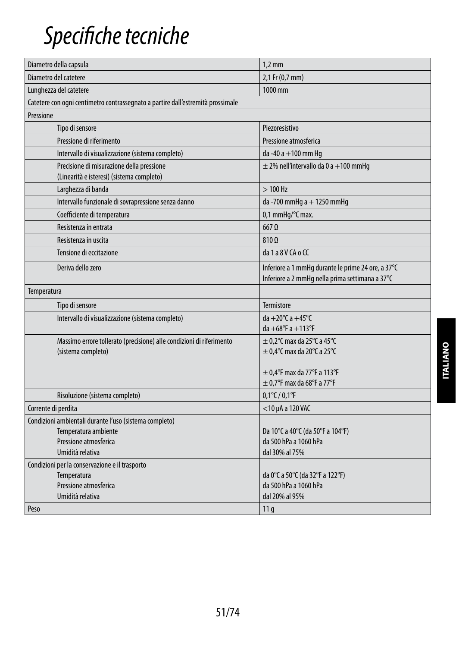## *Specifiche tecniche*

| Diametro della capsula                                                                                                      | $1,2$ mm                                                                                              |
|-----------------------------------------------------------------------------------------------------------------------------|-------------------------------------------------------------------------------------------------------|
| Diametro del catetere                                                                                                       | 2,1 Fr (0,7 mm)                                                                                       |
| Lunghezza del catetere                                                                                                      | 1000 mm                                                                                               |
| Catetere con ogni centimetro contrassegnato a partire dall'estremità prossimale                                             |                                                                                                       |
| Pressione                                                                                                                   |                                                                                                       |
| Tipo di sensore                                                                                                             | Piezoresistivo                                                                                        |
| Pressione di riferimento                                                                                                    | Pressione atmosferica                                                                                 |
| Intervallo di visualizzazione (sistema completo)                                                                            | da -40 a +100 mm Hq                                                                                   |
| Precisione di misurazione della pressione<br>(Linearità e isteresi) (sistema completo)                                      | $\pm$ 2% nell'intervallo da 0 a +100 mmHq                                                             |
| Larghezza di banda                                                                                                          | $>100$ Hz                                                                                             |
| Intervallo funzionale di sovrapressione senza danno                                                                         | da -700 mmHg a + 1250 mmHg                                                                            |
| Coefficiente di temperatura                                                                                                 | 0,1 mmHq/°C max.                                                                                      |
| Resistenza in entrata                                                                                                       | $667$ $\Omega$                                                                                        |
| Resistenza in uscita                                                                                                        | 810 Q                                                                                                 |
| Tensione di eccitazione                                                                                                     | da 1 a 8 V CA o CC                                                                                    |
| Deriva dello zero                                                                                                           | Inferiore a 1 mmHq durante le prime 24 ore, a 37°C<br>Inferiore a 2 mmHg nella prima settimana a 37°C |
| Temperatura                                                                                                                 |                                                                                                       |
| Tipo di sensore                                                                                                             | Termistore                                                                                            |
| Intervallo di visualizzazione (sistema completo)                                                                            | da +20 $^{\circ}$ C a +45 $^{\circ}$ C<br>$da + 68^{\circ}F a + 113^{\circ}F$                         |
| Massimo errore tollerato (precisione) alle condizioni di riferimento<br>(sistema completo)                                  | $\pm$ 0,2°C max da 25°C a 45°C<br>$\pm$ 0,4°C max da 20°C a 25°C                                      |
|                                                                                                                             | $\pm$ 0.4°F max da 77°F a 113°F<br>$\pm$ 0.7°F max da 68°F a 77°F                                     |
| Risoluzione (sistema completo)                                                                                              | $0,1^{\circ}$ C / $0,1^{\circ}$ F                                                                     |
| Corrente di perdita                                                                                                         | $<$ 10 µA a 120 VAC                                                                                   |
| Condizioni ambientali durante l'uso (sistema completo)<br>Temperatura ambiente<br>Pressione atmosferica<br>Umidità relativa | Da 10°C a 40°C (da 50°F a 104°F)<br>da 500 hPa a 1060 hPa<br>dal 30% al 75%                           |
| Condizioni per la conservazione e il trasporto<br>Temperatura<br>Pressione atmosferica<br>Umidità relativa                  | da 0°C a 50°C (da 32°F a 122°F)<br>da 500 hPa a 1060 hPa<br>dal 20% al 95%                            |
| Peso                                                                                                                        | 11 <sub>q</sub>                                                                                       |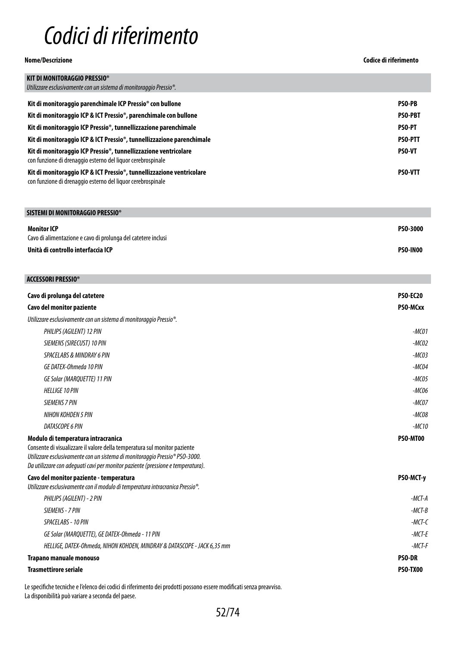## *Codici di riferimento*

**Nome/Descrizione Codice di riferimento**

| SISTEMI DI MONITORAGGIO PRESSIO®                              |          |
|---------------------------------------------------------------|----------|
| <b>Monitor ICP</b>                                            | PS0-3000 |
| Cavo di alimentazione e cavo di prolunga del catetere inclusi |          |
| Unità di controllo interfaccia ICP                            | PSO-IN00 |

| <b>ACCESSORI PRESSIO®</b>                                                                                                                                                                                                                                                                     |                 |
|-----------------------------------------------------------------------------------------------------------------------------------------------------------------------------------------------------------------------------------------------------------------------------------------------|-----------------|
| Cavo di prolunga del catetere                                                                                                                                                                                                                                                                 | <b>PSO-EC20</b> |
| Cavo del monitor paziente                                                                                                                                                                                                                                                                     | PSO-MCxx        |
| Utilizzare esclusivamente con un sistema di monitoraggio Pressio <sup>®</sup> .                                                                                                                                                                                                               |                 |
| PHILIPS (AGILENT) 12 PIN                                                                                                                                                                                                                                                                      | $-MCO1$         |
| SIEMENS (SIRECUST) 10 PIN                                                                                                                                                                                                                                                                     | $-MCO2$         |
| SPACELABS & MINDRAY 6 PIN                                                                                                                                                                                                                                                                     | $-MCO3$         |
| GE DATEX-Ohmeda 10 PIN                                                                                                                                                                                                                                                                        | $-MCO4$         |
| GE Solar (MARQUETTE) 11 PIN                                                                                                                                                                                                                                                                   | $-MCO5$         |
| <b>HELLIGE 10 PIN</b>                                                                                                                                                                                                                                                                         | $-MCO6$         |
| <b>SIEMENS 7 PIN</b>                                                                                                                                                                                                                                                                          | $-MCOZ$         |
| NIHON KOHDEN 5 PIN                                                                                                                                                                                                                                                                            | $-MCO8$         |
| DATASCOPE 6 PIN                                                                                                                                                                                                                                                                               | $-MC10$         |
| Modulo di temperatura intracranica<br>Consente di visualizzare il valore della temperatura sul monitor paziente<br>Utilizzare esclusivamente con un sistema di monitoraggio Pressio <sup>®</sup> PSO-3000.<br>Da utilizzare con adequati cavi per monitor paziente (pressione e temperatura). | PSO-MT00        |
| Cavo del monitor paziente - temperatura<br>Utilizzare esclusivamente con il modulo di temperatura intracranica Pressio <sup>®</sup> .                                                                                                                                                         | PSO-MCT-y       |
| PHILIPS (AGILENT) - 2 PIN                                                                                                                                                                                                                                                                     | $-MCT-A$        |
| SIEMENS - 7 PIN                                                                                                                                                                                                                                                                               | $-MCT-B$        |
| SPACELABS - 10 PIN                                                                                                                                                                                                                                                                            | $-MCT-C$        |
| GE Solar (MARQUETTE), GE DATEX-Ohmeda - 11 PIN                                                                                                                                                                                                                                                | $-MCT-E$        |
| HELLIGE, DATEX-Ohmeda, NIHON KOHDEN, MINDRAY & DATASCOPE - JACK 6,35 mm                                                                                                                                                                                                                       | $-MCT-F$        |
| Trapano manuale monouso                                                                                                                                                                                                                                                                       | <b>PSO-DR</b>   |
| <b>Trasmettirore seriale</b>                                                                                                                                                                                                                                                                  | PSO-TX00        |

Le specifiche tecniche e l'elenco dei codici di riferimento dei prodotti possono essere modificati senza preavviso. La disponibilità può variare a seconda del paese.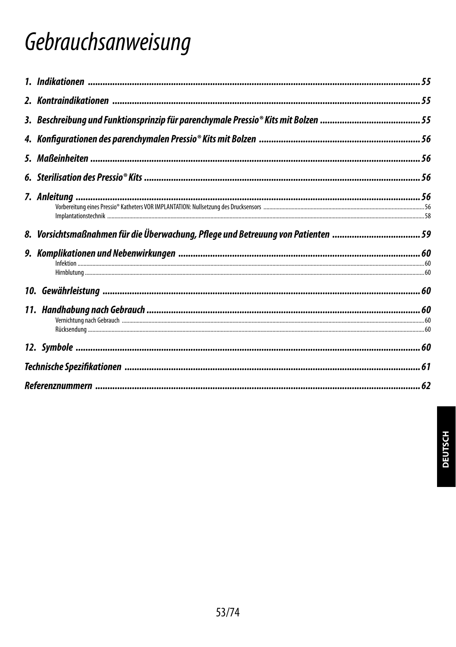## Gebrauchsanweisung

| 8. Vorsichtsmaßnahmen für die Überwachung, Pflege und Betreuung von Patienten  59 |  |
|-----------------------------------------------------------------------------------|--|
|                                                                                   |  |
|                                                                                   |  |
|                                                                                   |  |
|                                                                                   |  |
|                                                                                   |  |
|                                                                                   |  |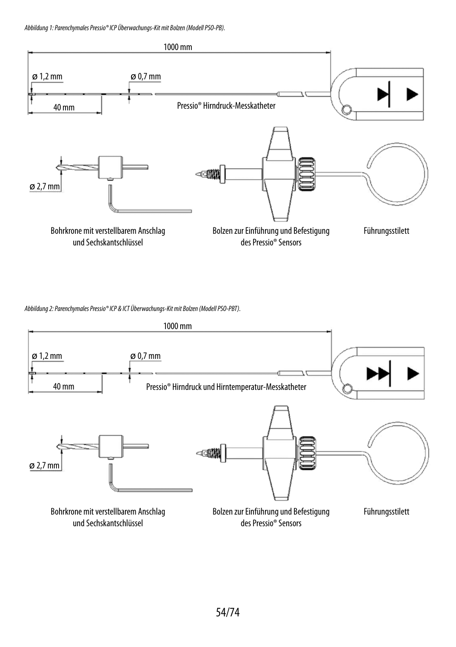*Abbildung 1: Parenchymales Pressio® ICP Überwachungs-Kit mit Bolzen (Modell PSO-PB).*



*Abbildung 2: Parenchymales Pressio® ICP & ICT Überwachungs-Kit mit Bolzen (Modell PSO-PBT).*

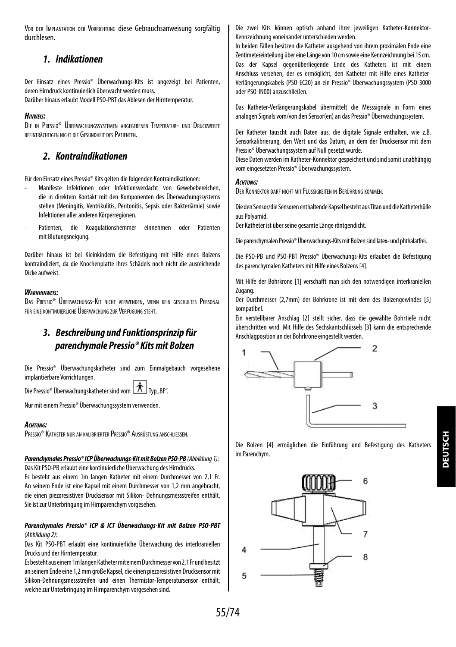Vor der Implantation der Vorrichtung diese Gebrauchsanweisung sorgfältig durchlesen.

### *1. Indikationen*

Der Einsatz eines Pressio® Überwachungs-Kits ist angezeigt bei Patienten, deren Hirndruck kontinuierlich überwacht werden muss.

Darüber hinaus erlaubt Modell PSO-PBT das Ablesen der Hirntemperatur.

#### *Hinweis:*

Die in Pressio® Überwachungssystemen angegebenen Temperatur- und Druckwerte beeinträchtigen nicht die Gesundheit desPatienten.

## *2. Kontraindikationen*

Für den Einsatz eines Pressio® Kits gelten die folgenden Kontraindikationen:

- Manifeste Infektionen oder Infektionsverdacht von Gewebebereichen, die in direktem Kontakt mit den Komponenten des Überwachungssystems stehen (Meningitis, Ventrikulitis, Peritonitis, Sepsis oder Bakteriämie) sowie Infektionen aller anderen Körperregionen.
- Patienten, die Koagulationshemmer einnehmen oder Patienten mit Blutungsneigung.

Darüber hinaus ist bei Kleinkindern die Befestigung mit Hilfe eines Bolzens kontraindiziert, da die Knochenplatte ihres Schädels noch nicht die ausreichende Dicke aufweist.

#### *Warnhinweis:*

Das Pressio® Überwachungs-Kit nicht verwenden, wenn kein geschultes Personal für eine kontinuierliche Überwachung zur Verfügung steht.

## *3. Beschreibung und Funktionsprinzip für parenchymale Pressio® Kits mit Bolzen*

Die Pressio® Überwachungskatheter sind zum Einmalgebauch vorgesehene implantierbare Vorrichtungen.

Die Pressio® Überwachungskatheter sind vom Typ \_\_ Typ \_\_ BF".

Nur mit einem Pressio® Überwachungssystem verwenden.

#### *Achtung:*

Pressio® Katheter nur an kalibrierter Pressio® Ausrüstung anschliessen.

## *Parenchymales Pressio® ICP Überwachungs-Kit mit Bolzen PSO-PB (Abbildung 1)*:

Das Kit PSO-PB erlaubt eine kontinuierliche Überwachung des Hirndrucks. Es besteht aus einem 1m langen Katheter mit einem Durchmesser von 2,1 Fr. An seinem Ende ist eine Kapsel mit einem Durchmesser von 1,2 mm angebracht, die einen piezoresistiven Drucksensor mit Silikon- Dehnungsmessstreifen enthält. Sie ist zur Unterbringung im Hirnparenchym vorgesehen.

#### *Parenchymales Pressio® ICP & ICT Überwachungs-Kit mit Bolzen PSO-PBT (Abbildung 2)*:

Das Kit PSO-PBT erlaubt eine kontinuierliche Überwachung des interkraniellen Drucks und der Hirntemperatur.

Es besteht aus einem 1m langen Katheter mit einem Durchmesser von 2,1 Fr und besitzt an seinem Ende eine 1,2 mm große Kapsel, die einen piezoresistiven Drucksensor mit Silikon-Dehnungsmessstreifen und einen Thermistor-Temperatursensor enthält, welche zur Unterbringung im Hirnparenchym vorgesehen sind.

Die zwei Kits können optisch anhand ihrer jeweiligen Katheter-Konnektor-Kennzeichnung voneinander unterschieden werden.

In beiden Fällen besitzen die Katheter ausgehend von ihrem proximalen Ende eine Zentimetereinteilung über eine Länge von 10 cm sowie eine Kennzeichnung bei 15 cm. Das der Kapsel gegenüberliegende Ende des Katheters ist mit einem Anschluss versehen, der es ermöglicht, den Katheter mit Hilfe eines Katheter-Verlängerungskabels (PSO-EC20) an ein Pressio® Überwachungssystem (PSO-3000 oder PSO-IN00) anzuschließen.

Das Katheter-Verlängerungskabel übermittelt die Messsignale in Form eines analogen Signals vom/von den Sensor(en) an das Pressio® Überwachungssystem.

Der Katheter tauscht auch Daten aus, die digitale Signale enthalten, wie z.B. Sensorkalibrierung, den Wert und das Datum, an dem der Drucksensor mit dem Pressio® Überwachungssystem auf Null gesetzt wurde.

Diese Daten werden im Katheter-Konnektor gespeichert und sind somit unabhängig vom eingesetzten Pressio® Überwachungssystem.

#### *Achtung:*

Der Konnektor darf nicht mit Flüssigkeiten in Berührung kommen.

Die den Sensor/die Sensoren enthaltende Kapsel besteht aus Titan und die Katheterhülle aus Polyamid.

Der Katheter ist über seine gesamte Länge röntgendicht.

Die parenchymalen Pressio® Überwachungs-Kits mit Bolzen sind latex- und phthalatfrei.

Die PSO-PB und PSO-PBT Pressio® Überwachungs-Kits erlauben die Befestigung des parenchymalen Katheters mit Hilfe eines Bolzens [4].

Mit Hilfe der Bohrkrone [1] verschafft man sich den notwendigen interkraniellen Zugang.

Der Durchmesser (2,7mm) der Bohrkrone ist mit dem des Bolzengewindes [5] kompatibel.

Ein verstellbarer Anschlag [2] stellt sicher, dass die gewählte Bohrtiefe nicht überschritten wird. Mit Hilfe des Sechskantschlüssels [3] kann die entsprechende Anschlagposition an der Bohrkrone eingestellt werden.



Die Bolzen [4] ermöglichen die Einführung und Befestigung des Katheters im Parenchym.

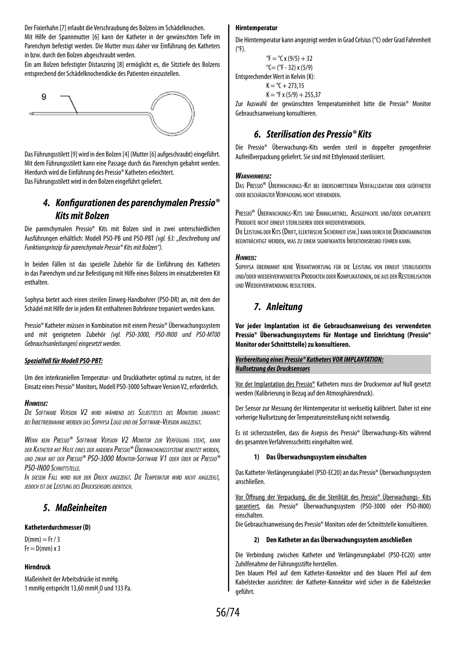Der Fixierhahn [7] erlaubt die Verschraubung des Bolzens im Schädelknochen.

Mit Hilfe der Spannmutter [6] kann der Katheter in der gewünschten Tiefe im Parenchym befestigt werden. Die Mutter muss daher vor Einführung des Katheters in bzw. durch den Bolzen abgeschraubt werden.

Ein am Bolzen befestigter Distanzring [8] ermöglicht es, die Sitztiefe des Bolzens entsprechend der Schädelknochendicke des Patienten einzustellen.



Das Führungsstilett [9] wird in den Bolzen [4] (Mutter [6] aufgeschraubt) eingeführt. Mit dem Führungsstilett kann eine Passage durch das Parenchym gebahnt werden. Hierdurch wird die Einführung des Pressio® Katheters erleichtert. Das Führungsstilett wird in den Bolzen eingeführt geliefert.

## *4. Konfigurationen des parenchymalen Pressio® Kits mit Bolzen*

Die parenchymalen Pressio® Kits mit Bolzen sind in zwei unterschiedlichen Ausführungen erhältlich: Modell PSO-PB und PSO-PBT *(vgl. §3: "Beschreibung und Funktionsprinzip für parenchymale Pressio® Kits mit Bolzen").*

In beiden Fällen ist das spezielle Zubehör für die Einführung des Katheters in das Parenchym und zur Befestigung mit Hilfe eines Bolzens im einsatzbereiten Kit enthalten.

Sophysa bietet auch einen sterilen Einweg-Handbohrer (PSO-DR) an, mit dem der Schädel mit Hilfe der in jedem Kit enthaltenen Bohrkrone trepaniert werden kann.

Pressio® Katheter müssen in Kombination mit einem Pressio® Überwachungssystem und mit geeignetem Zubehör *(vgl. PSO-3000, PSO-IN00 und PSO-MT00 Gebrauchsanleitungen) eingesetzt werden.*

#### *Spezialfall für Modell PSO-PBT:*

Um den interkraniellen Temperatur- und Druckkatheter optimal zu nutzen, ist der Einsatz eines Pressio® Monitors, Modell PSO-3000 Software Version V2, erforderlich.

#### *Hinweise:*

*Die Software Version V2 wird während des Selbsttests des Monitors erkannt: bei Inbetriebnahme werden das Sophysa Logo und die Software-Version angezeigt.*

*Wenn kein Pressio® Software Version V2 Monitor zur Verfügung steht, kann der Katheter mit Hilfe eines der anderen Pressio® Überwachungssysteme benutzt werden, und zwar mit der Pressio® PSO-3000 Monitor-Software V1 oder über die Pressio® PSO-IN00 Schnittstelle.*

*In diesem Fall wird nur der Druck angezeigt. Die Temperatur wird nicht angezeigt, jedoch ist die Leistung des Drucksensors identisch.*

### *5. Maßeinheiten*

#### **Katheterdurchmesser (D)**

 $D(mm) = Fr / 3$  $Fr = D(mm) \times 3$ 

#### **Hirndruck**

Maßeinheit der Arbeitsdrücke ist mmHg. 1 mmHg entspricht 13,60 mmH $_{2}$ O und 133 Pa.

#### **Hirntemperatur**

Die Hirntemperatur kann angezeigt werden in Grad Celsius (°C) oder Grad Fahrenheit  $(^{\circ}F)$ 

 ${}^{\circ}$ F =  ${}^{\circ}$ C x (9/5) + 32  $^{\circ}$ C= ( $^{\circ}$ F - 32) x (5/9) Entsprechender Wert in Kelvin (K):  $K = {}^{o}C + 273.15$  $K = {}^{o}F x (5/9) + 255.37$ 

Zur Auswahl der gewünschten Temperatureinheit bitte die Pressio® Monitor Gebrauchsanweisung konsultieren.

## *6. Sterilisation des Pressio® Kits*

Die Pressio® Überwachungs-Kits werden steril in doppelter pyrogenfreier Aufreißverpackung geliefert. Sie sind mit Ethylenoxid sterilisiert.

#### *Warnhinweise:*

Das Pressio® Überwachungs-Kit bei überschrittenem Verfallsdatum oder geöffneter oder beschädigter Verpackung nicht verwenden.

Pressio® Überwachungs-Kits sind Einmalartikel. Ausgepackte und/oder explantierte Produkte nicht erneut sterilisieren oder wiederverwenden.

DIE LEISTUNG DER KITS (DRIFT, ELEKTRISCHE SICHERHEIT USW.) KANN DURCH DIE DEKONTAMINATION beeinträchtigt werden, was zu einem signifikanten Infektionsrisiko führen kann.

#### *Hinweis:*

Sophysa übernimmt keine Verantwortung für die Leistung von erneut sterilisierten und/oder wiederverwendeten Produkten oder Komplikationen, die aus der Resterilisation undWiederverwendung resultieren.

## *7. Anleitung*

**Vor jeder Implantation ist die Gebrauchsanweisung des verwendeten Pressio® Überwachungssystems für Montage und Einrichtung (Pressio® Monitor oder Schnittstelle) zu konsultieren.**

#### *Vorbereitung eines Pressio® Katheters VOR IMPLANTATION: Nullsetzung des Drucksensors*

Vor der Implantation des Pressio® Katheters muss der Drucksensor auf Null gesetzt werden (Kalibrierung in Bezug auf den Atmosphärendruck).

Der Sensor zur Messung der Hirntemperatur ist werkseitig kalibriert. Daher ist eine vorherige Nullsetzung der Temperatureinstellung nicht notwendig.

Es ist sicherzustellen, dass die Asepsis des Pressio® Überwachungs-Kits während des gesamten Verfahrensschritts eingehalten wird.

#### **1) Das Überwachungssystem einschalten**

Das Katheter-Verlängerungskabel (PSO-EC20) an das Pressio® Überwachungssystem anschließen.

Vor Öffnung der Verpackung, die die Sterilität des Pressio® Überwachungs- Kits garantiert, das Pressio® Überwachungssystem (PSO-3000 oder PSO-IN00) einschalten.

Die Gebrauchsanweisung des Pressio® Monitors oder der Schnittstelle konsultieren.

#### **2) Den Katheter an das Überwachungssystem anschließen**

Die Verbindung zwischen Katheter und Verlängerungskabel (PSO-EC20) unter Zuhilfenahme der Führungsstifte herstellen.

Den blauen Pfeil auf dem Katheter-Konnektor und den blauen Pfeil auf dem Kabelstecker ausrichten: der Katheter-Konnektor wird sicher in die Kabelstecker geführt.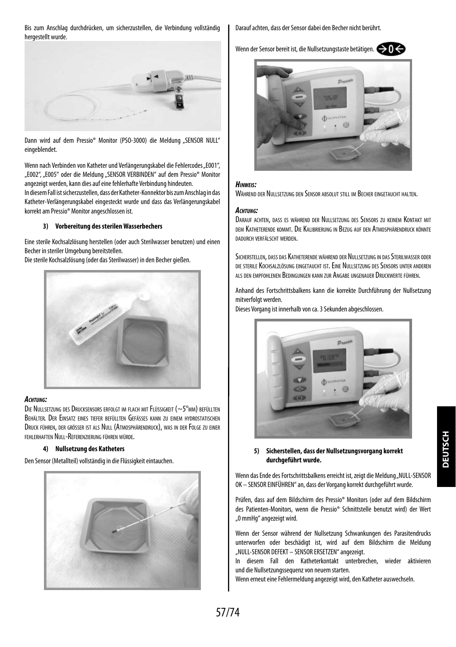Bis zum Anschlag durchdrücken, um sicherzustellen, die Verbindung vollständig hergestellt wurde.



Dann wird auf dem Pressio® Monitor (PSO-3000) die Meldung "SENSOR NULL" eingeblendet.

Wenn nach Verbinden von Katheter und Verlängerungskabel die Fehlercodes "E001", "E002", "E005" oder die Meldung "SENSOR VERBINDEN" auf dem Pressio® Monitor angezeigt werden, kann dies auf eine fehlerhafte Verbindung hindeuten.

In diesem Fall ist sicherzustellen, dass der Katheter-Konnektor bis zum Anschlag in das Katheter-Verlängerungskabel eingesteckt wurde und dass das Verlängerungskabel korrekt am Pressio® Monitor angeschlossen ist.

#### **3) Vorbereitung des sterilen Wasserbechers**

Eine sterile Kochsalzlösung herstellen (oder auch Sterilwasser benutzen) und einen Becher in steriler Umgebung bereitstellen.

Die sterile Kochsalzlösung (oder das Sterilwasser) in den Becher gießen.



#### *Achtung:*

Die Nullsetzung des Drucksensors erfolgt im flach mit Flüssigkeit (~5°mm) befüllten Behälter. Der Einsatz eines tiefer befüllten Gefässes kann zu einem hydrostatischen Druck führen, der grösser ist als Null (Atmosphärendruck), was in der Folge zu einer fehlerhaften Null-Referenzierung führen würde.

#### **4) Nullsetzung des Katheters**

Den Sensor (Metallteil) vollständig in die Flüssigkeit eintauchen.



Darauf achten, dass der Sensor dabei den Becher nicht berührt.

Wenn der Sensor bereit ist, die Nullsetzungstaste betätigen.



#### *Hinweis:*

Während der Nullsetzung den Sensor absolut still im Becher eingetaucht halten.

#### *Achtung:*

Darauf achten, dass es während der Nullsetzung des Sensors zu keinem Kontakt mit dem Katheterende kommt. Die Kalibrierung in Bezug auf den Atmosphärendruck könnte dadurch verfälscht werden.

Sicherstellen, dass das Katheterende während der Nullsetzung in das Sterilwasser oder die sterile Kochsalzlösung eingetaucht ist. Eine Nullsetzung des Sensors unter anderen als den empfohlenen Bedingungen kann zur Angabe ungenauer Druckwerte führen.

Anhand des Fortschrittsbalkens kann die korrekte Durchführung der Nullsetzung mitverfolgt werden.

Dieses Vorgang ist innerhalb von ca. 3 Sekunden abgeschlossen.



#### **5) Sicherstellen, dass der Nullsetzungsvorgang korrekt durchgeführt wurde.**

Wenn das Ende des Fortschrittsbalkens erreicht ist, zeigt die Meldung "NULL-SENSOR OK – SENSOR EINFÜHREN" an, dass der Vorgang korrekt durchgeführt wurde.

Prüfen, dass auf dem Bildschirm des Pressio® Monitors (oder auf dem Bildschirm des Patienten-Monitors, wenn die Pressio® Schnittstelle benutzt wird) der Wert "0 mmHg" angezeigt wird.

Wenn der Sensor während der Nullsetzung Schwankungen des Parasitendrucks unterworfen oder beschädigt ist, wird auf dem Bildschirm die Meldung "NULL-SENSOR DEFEKT – SENSOR ERSETZEN" angezeigt.

In diesem Fall den Katheterkontakt unterbrechen, wieder aktivieren und die Nullsetzungssequenz von neuem starten.

Wenn erneut eine Fehlermeldung angezeigt wird, den Katheter auswechseln.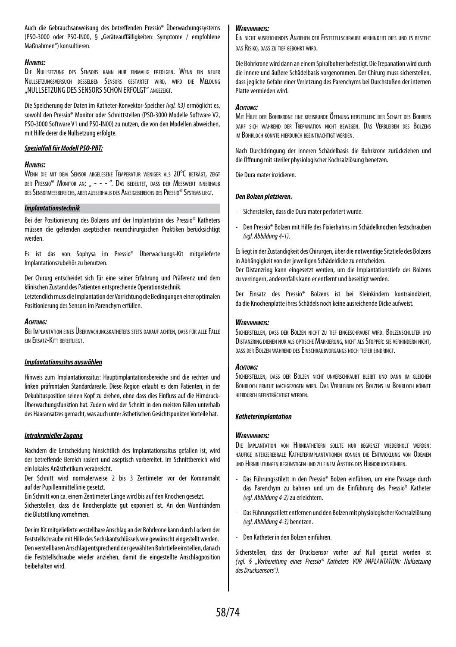Auch die Gebrauchsanweisung des betreffenden Pressio® Überwachungssystems (PSO-3000 oder PSO-IN00, § "Geräteauffälligkeiten: Symptome / empfohlene Maßnahmen") konsultieren.

#### *Hinweis:*

Die Nullsetzung des Sensors kann nur einmalig erfolgen. Wenn ein neuer Nullsetzungsversuch desselben Sensors gestartet wird, wird die Meldung "NULLSETZUNG DES SENSORS SCHON ERFOLGT" ANGEZEIGT.

Die Speicherung der Daten im Katheter-Konvektor-Speicher *(vgl. §3)* ermöglicht es, sowohl den Pressio® Monitor oder Schnittstellen (PSO-3000 Modelle Software V2, PSO-3000 Software V1 und PSO-IN00) zu nutzen, die von den Modellen abweichen, mit Hilfe derer die Nullsetzung erfolgte.

#### *Spezialfall für Modell PSO-PBT:*

#### *Hinweis:*

Wenn die mit dem Sensor abgelesene Temperatur weniger als 20°C beträgt, zeigt der Pressio® Monitor an: " - - - ". Das bedeutet, dass der Messwert innerhalb des Sensormessbereichs, aber ausserhalb des Anzeigebereichs desPressio® Systems liegt.

#### *Implantationstechnik*

Bei der Positionierung des Bolzens und der Implantation des Pressio® Katheters müssen die geltenden aseptischen neurochirurgischen Praktiken berücksichtigt werden.

Es ist das von Sophysa im Pressio® Überwachungs-Kit mitgelieferte Implantationszubehör zu benutzen.

Der Chirurg entscheidet sich für eine seiner Erfahrung und Präferenz und dem klinischen Zustand des Patienten entsprechende Operationstechnik.

Letztendlich muss die Implantation der Vorrichtung die Bedingungen einer optimalen Positionierung des Sensors im Parenchym erfüllen.

#### *Achtung:*

Bei Implantation eines Überwachungskatheters stets darauf achten, dass für alle Fälle ein Ersatz-Kitt bereitliegt.

#### *Implantationssitus auswählen*

Hinweis zum Implantationssitus: Hauptimplantationsbereiche sind die rechten und linken präfrontalen Standardareale. Diese Region erlaubt es dem Patienten, in der Dekubitusposition seinen Kopf zu drehen, ohne dass dies Einfluss auf die Hirndruck-Überwachungsfunktion hat. Zudem wird der Schnitt in den meisten Fällen unterhalb des Haaransatzes gemacht, was auch unter ästhetischen Gesichtspunkten Vorteile hat.

#### *Intrakranieller Zugang*

Nachdem die Entscheidung hinsichtlich des Implantationssitus gefallen ist, wird der betreffende Bereich rasiert und aseptisch vorbereitet. Im Schnittbereich wird ein lokales Anästhetikum verabreicht.

Der Schnitt wird normalerweise 2 bis 3 Zentimeter vor der Koronarnaht auf der Pupillenmittellinie gesetzt.

Ein Schnitt von ca. einem Zentimeter Länge wird bis auf den Knochen gesetzt.

Sicherstellen, dass die Knochenplatte gut exponiert ist. An den Wundrändern die Blutstillung vornehmen.

Der im Kit mitgelieferte verstellbare Anschlag an der Bohrkrone kann durch Lockern der Feststellschraube mit Hilfe des Sechskantschlüssels wie gewünscht eingestellt werden. Den verstellbaren Anschlag entsprechend der gewählten Bohrtiefe einstellen, danach die Feststellschraube wieder anziehen, damit die eingestellte Anschlagposition beibehalten wird.

#### *Warnhinweis:*

Ein nicht ausreichendes Anziehen der Feststellschraube verhindert dies und es besteht das Risiko, dass zu tief gebohrt wird.

Die Bohrkrone wird dann an einem Spiralbohrer befestigt. Die Trepanation wird durch die innere und äußere Schädelbasis vorgenommen. Der Chirurg muss sicherstellen, dass jegliche Gefahr einer Verletzung des Parenchyms bei Durchstoßen der internen Platte vermieden wird.

#### *Achtung:*

Mit Hilfe der Bohrkrone eine kreisrunde Öffnung herstellen: der Schaft des Bohrers darf sich während der Trepanation nicht bewegen. Das Verbleiben des Bolzens im Bohrloch könnte hierdurch beeinträchtigt werden.

Nach Durchdringung der inneren Schädelbasis die Bohrkrone zurückziehen und die Öffnung mit steriler physiologischer Kochsalzlösung benetzen.

Die Dura mater inzidieren.

#### *Den Bolzen platzieren.*

- Sicherstellen, dass die Dura mater perforiert wurde.
- Den Pressio® Bolzen mit Hilfe des Fixierhahns im Schädelknochen festschrauben *(vgl. Abbildung 4-1)*.

Es liegt in der Zuständigkeit des Chirurgen, über die notwendige Sitztiefe des Bolzens in Abhängigkeit von der jeweiligen Schädeldicke zu entscheiden. Der Distanzring kann eingesetzt werden, um die Implantationstiefe des Bolzens zu verringern, anderenfalls kann er entfernt und beseitigt werden.

Der Einsatz des Pressio® Bolzens ist bei Kleinkindern kontraindiziert, da die Knochenplatte ihres Schädels noch keine ausreichende Dicke aufweist.

#### *Warnhinweis:*

Sicherstellen, dass der Bolzen nicht zu tief eingeschraubt wird. Bolzenschulter und Distanzring dienen nur als optische Markierung, nicht als Stopper: sie verhindern nicht, dass der Bolzen während des Einschraubvorgangs noch tiefer eindringt.

#### *Achtung:*

Sicherstellen, dass der Bolzen nicht unverschraubt bleibt und dann im gleichen Bohrloch erneut nachgezogen wird. Das Verbleiben des Bolzens im Bohrloch könnte hierdurch beeinträchtigt werden.

#### *Katheterimplantation*

#### *Warnhinweis:*

Die Implantation von Hirnkathetern sollte nur begrenzt wiederholt werden: häufige interzerebrale Katheterimplantationen können die Entwicklung von Ödemen und Hirnblutungen begünstigen und zu einem Anstieg des Hirndrucks führen.

- Das Führungsstilett in den Pressio® Bolzen einführen, um eine Passage durch das Parenchym zu bahnen und um die Einführung des Pressio® Katheter *(vgl. Abbildung 4-2)* zu erleichtern.
- Das Führungsstilett entfernen und den Bolzen mit physiologischer Kochsalzlösung *(vgl. Abbildung 4-3)* benetzen.
- Den Katheter in den Bolzen einführen.

Sicherstellen, dass der Drucksensor vorher auf Null gesetzt worden ist *(vgl. § "Vorbereitung eines Pressio® Katheters VOR IMPLANTATION: Nullsetzung des Drucksensors")*.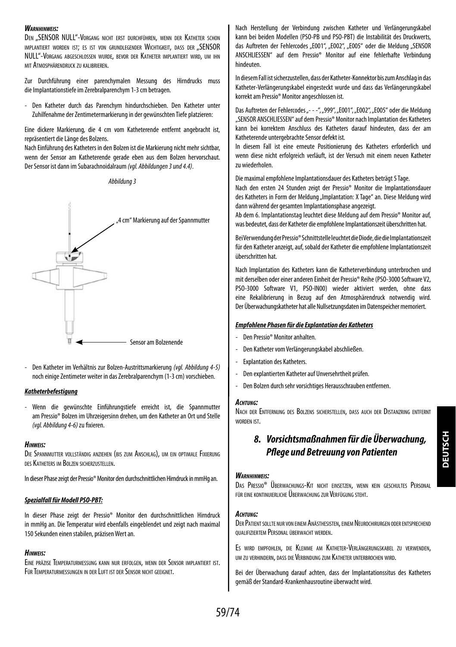#### *Warnhinweis:*

DEN "SENSOR NULL"-VORGANG NICHT ERST DURCHFÜHREN, WENN DER KATHETER SCHON implantiert worden ist; es ist von grundlegender Wichtigkeit, dass der "SENSOR NULL"-Vorgang abgeschlossen wurde, bevor der Katheter implantiert wird, um ihn mit Atmosphärendruck zu kalibrieren.

Zur Durchführung einer parenchymalen Messung des Hirndrucks muss die Implantationstiefe im Zerebralparenchym 1-3 cm betragen.

- Den Katheter durch das Parenchym hindurchschieben. Den Katheter unter Zuhilfenahme der Zentimetermarkierung in der gewünschten Tiefe platzieren:

Eine dickere Markierung, die 4 cm vom Katheterende entfernt angebracht ist, repräsentiert die Länge des Bolzens.

Nach Einführung des Katheters in den Bolzen ist die Markierung nicht mehr sichtbar, wenn der Sensor am Katheterende gerade eben aus dem Bolzen hervorschaut. Der Sensor ist dann im Subarachnoidalraum *(vgl. Abbildungen 3 und 4.4)*.

*Abbildung 3*



- Den Katheter im Verhältnis zur Bolzen-Austrittsmarkierung *(vgl. Abbildung 4-5)* noch einige Zentimeter weiter in das Zerebralparenchym (1-3 cm) vorschieben.

#### *Katheterbefestigung*

- Wenn die gewünschte Einführungstiefe erreicht ist, die Spannmutter am Pressio® Bolzen im Uhrzeigersinn drehen, um den Katheter an Ort und Stelle *(vgl. Abbildung 4-6)* zu fixieren.

#### *Hinweis:*

Die Spannmutter vollständig anziehen (bis zum Anschlag), um ein optimale Fixierung des Katheters im Bolzen sicherzustellen.

In dieser Phase zeigt der Pressio® Monitor den durchschnittlichen Hirndruck in mmHg an.

#### *Spezialfall für Modell PSO-PBT:*

In dieser Phase zeigt der Pressio® Monitor den durchschnittlichen Hirndruck in mmHg an. Die Temperatur wird ebenfalls eingeblendet und zeigt nach maximal 150 Sekunden einen stabilen, präzisen Wert an.

#### *Hinweis:*

Eine präzise Temperaturmessung kann nur erfolgen, wenn der Sensor implantiert ist. Für Temperaturmessungen in der Luft ist der Sensor nicht geeignet.

Nach Herstellung der Verbindung zwischen Katheter und Verlängerungskabel kann bei beiden Modellen (PSO-PB und PSO-PBT) die Instabilität des Druckwerts, das Auftreten der Fehlercodes "E001", "E002", "E005" oder die Meldung "SENSOR ANSCHLIESSEN" auf dem Pressio® Monitor auf eine fehlerhafte Verbindung hindeuten.

In diesem Fall ist sicherzustellen, dass der Katheter-Konnektor bis zum Anschlag in das Katheter-Verlängerungskabel eingesteckt wurde und dass das Verlängerungskabel korrekt am Pressio® Monitor angeschlossen ist.

Das Auftreten der Fehlercodes ..- - -", ..999", ..E001", ..E002", ..E005" oder die Meldung "SENSOR ANSCHLIESSEN" auf dem Pressio® Monitor nach Implantation des Katheters kann bei korrektem Anschluss des Katheters darauf hindeuten, dass der am Katheterende untergebrachte Sensor defekt ist.

In diesem Fall ist eine erneute Positionierung des Katheters erforderlich und wenn diese nicht erfolgreich verläuft, ist der Versuch mit einem neuen Katheter zu wiederholen.

Die maximal empfohlene Implantationsdauer des Katheters beträgt 5 Tage.

Nach den ersten 24 Stunden zeigt der Pressio® Monitor die Implantationsdauer des Katheters in Form der Meldung "Implantation: X Tage" an. Diese Meldung wird dann während der gesamten Implantationsphase angezeigt.

Ab dem 6. Implantationstag leuchtet diese Meldung auf dem Pressio® Monitor auf, was bedeutet, dass der Katheter die empfohlene Implantationszeit überschritten hat.

Bei Verwendung der Pressio® Schnittstelle leuchtet die Diode, die die Implantationszeit für den Katheter anzeigt, auf, sobald der Katheter die empfohlene Implantationszeit überschritten hat.

Nach Implantation des Katheters kann die Katheterverbindung unterbrochen und mit derselben oder einer anderen Einheit der Pressio® Reihe (PSO-3000 Software V2, PSO-3000 Software V1, PSO-IN00) wieder aktiviert werden, ohne dass eine Rekalibrierung in Bezug auf den Atmosphärendruck notwendig wird. Der Überwachungskatheter hat alle Nullsetzungsdaten im Datenspeicher memoriert.

#### *Empfohlene Phasen für die Explantation des Katheters*

- Den Pressio® Monitor anhalten.
- Den Katheter vom Verlängerungskabel abschließen.
- Explantation des Katheters.
- Den explantierten Katheter auf Unversehrtheit prüfen.
- Den Bolzen durch sehr vorsichtiges Herausschrauben entfernen.

#### *Achtung:*

Nach der Entfernung des Bolzens sicherstellen, dass auch der Distanzring entfernt worden ist.

## *8. Vorsichtsmaßnahmen für die Überwachung, Pflege und Betreuung von Patienten*

#### *Warnhinweis:*

Das Pressio® Überwachungs-Kit nicht einsetzen, wenn kein geschultes Personal für eine kontinuierliche Überwachung zur Verfügung steht.

#### *Achtung:*

DER PATIENT SOLLTE NUR VON EINEM ANÄSTHESISTEN, EINEM NEUROCHIRURGEN ODER ENTSPRECHEND qualifiziertem Personal überwacht werden.

Es wird empfohlen, die Klemme am Katheter-Verlängerungskabel zu verwenden, um zu verhindern, dass die Verbindung zum Katheter unterbrochen wird.

Bei der Überwachung darauf achten, dass der Implantationssitus des Katheters gemäß der Standard-Krankenhausroutine überwacht wird.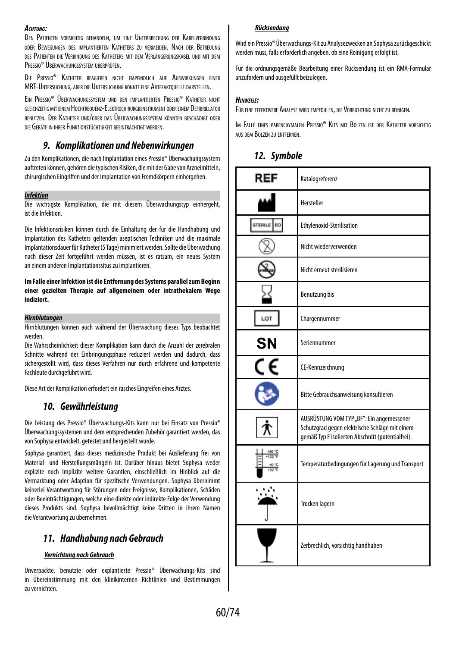#### *Achtung:*

Den Patienten vorsichtig behandeln, um eine Unterbrechung der Kabelverbindung oder Bewegungen des implantierten Katheters zu vermeiden. Nach der Betreuung des Patienten die Verbindung des Katheters mit dem Verlängerungskabel und mit dem Pressio® Überwachungssystem überprüfen.

Die Pressio® Katheter reagieren nicht empfindlich auf Auswirkungen einer MRT-Untersuchung, aber die Untersuchung könnte eine Artefaktquelle darstellen.

Ein Pressio® Überwachungssystem und den implantierten Pressio® Katheter nicht gleichzeitigmiteinem Hochfrequenz-Elektrochirurgieinstrument oder einem Defibrillator benutzen. Der Katheter und/oder das Überwachungssystem könnten beschädigt oder die Geräte in ihrer Funktionstüchtigkeit beeinträchtigt werden.

### *9. Komplikationen und Nebenwirkungen*

Zu den Komplikationen, die nach Implantation eines Pressio® Überwachungssystem auftreten können, gehören die typischen Risiken, die mit der Gabe von Arzneimitteln, chirurgischen Eingriffen und der Implantation von Fremdkörpern einhergehen.

#### *Infektion*

Die wichtigste Komplikation, die mit diesem Überwachungstyp einhergeht, ist die Infektion.

Die Infektionsrisiken können durch die Einhaltung der für die Handhabung und Implantation des Katheters geltenden aseptischen Techniken und die maximale Implantationsdauer für Katheter (5 Tage) minimiert werden. Sollte die Überwachung nach dieser Zeit fortgeführt werden müssen, ist es ratsam, ein neues System an einem anderen Implantationssitus zu implantieren.

#### **Im Falle einer Infektion ist die Entfernung des Systems parallel zum Beginn einer gezielten Therapie auf allgemeinem oder intrathekalem Wege indiziert.**

#### *Hirnblutungen*

Hirnblutungen können auch während der Überwachung dieses Typs beobachtet werden.

Die Wahrscheinlichkeit dieser Komplikation kann durch die Anzahl der zerebralen Schnitte während der Einbringungsphase reduziert werden und dadurch, dass sichergestellt wird, dass dieses Verfahren nur durch erfahrene und kompetente Fachleute durchgeführt wird.

Diese Art der Komplikation erfordert ein rasches Eingreifen eines Arztes.

### *10. Gewährleistung*

Die Leistung des Pressio® Überwachungs-Kits kann nur bei Einsatz von Pressio® Überwachungssystemen und dem entsprechenden Zubehör garantiert werden, das von Sophysa entwickelt, getestet und hergestellt wurde.

Sophysa garantiert, dass dieses medizinische Produkt bei Auslieferung frei von Material- und Herstellungsmängeln ist. Darüber hinaus bietet Sophysa weder explizite noch implizite weitere Garantien, einschließlich im Hinblick auf die Vermarktung oder Adaption für spezifische Verwendungen. Sophysa übernimmt keinerlei Verantwortung für Störungen oder Ereignisse, Komplikationen, Schäden oder Beeinträchtigungen, welche eine direkte oder indirekte Folge der Verwendung dieses Produkts sind. Sophysa bevollmächtigt keine Dritten in ihrem Namen die Verantwortung zu übernehmen.

### *11. Handhabung nach Gebrauch*

#### *Vernichtung nach Gebrauch*

Unverpackte, benutzte oder explantierte Pressio® Überwachungs-Kits sind in Übereinstimmung mit den klinikinternen Richtlinien und Bestimmungen zu vernichten.

#### *Rücksendung*

Wird ein Pressio® Überwachungs-Kit zu Analysezwecken an Sophysa zurückgeschickt werden muss, falls erforderlich angeben, ob eine Reinigung erfolgt ist.

Für die ordnungsgemäße Bearbeitung einer Rücksendung ist ein RMA-Formular anzufordern und ausgefüllt beizulegen.

#### *Hinweise:*

Für eine effektivere Analyse wird empfohlen, die Vorrichtung nicht zu reinigen.

Im Falle eines parenchymalen Pressio® Kits mit Bolzen ist der Katheter vorsichtig aus dem Bolzen zu entfernen.

| 12. | Symbole |  |
|-----|---------|--|
|-----|---------|--|

| REF            | Katalogreferenz                                                                                                                                  |
|----------------|--------------------------------------------------------------------------------------------------------------------------------------------------|
|                | Hersteller                                                                                                                                       |
| EO.<br>STERILE | Ethylenoxid-Sterilisation                                                                                                                        |
|                | Nicht wiederverwenden                                                                                                                            |
|                | Nicht erneut sterilisieren                                                                                                                       |
|                | <b>Benutzung bis</b>                                                                                                                             |
| LOT            | Chargennummer                                                                                                                                    |
| SΝ             | Seriennummer                                                                                                                                     |
|                | CE-Kennzeichnung                                                                                                                                 |
|                | Bitte Gebrauchsanweisung konsultieren                                                                                                            |
|                | AUSRÜSTUNG VOM TYP "BF": Ein angemessener<br>Schutzgrad gegen elektrische Schläge mit einem<br>gemäß Typ F isolierten Abschnitt (potentialfrei). |
|                | Temperaturbedingungen für Lagerung und Transport                                                                                                 |
|                | <b>Trocken lagern</b>                                                                                                                            |
|                | Zerbrechlich, vorsichtig handhaben                                                                                                               |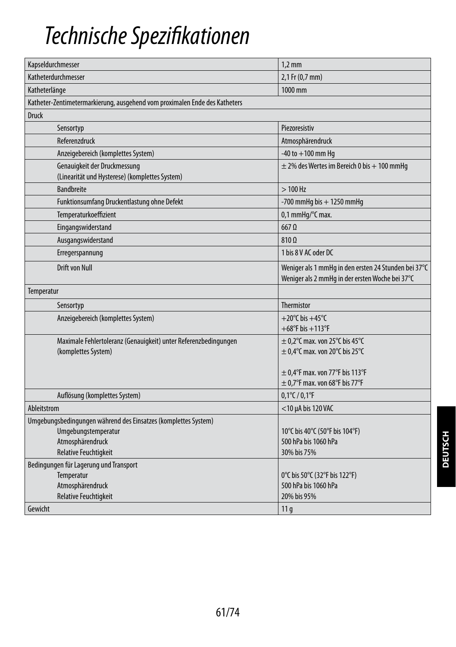## *Technische Spezifikationen*

| Kapseldurchmesser                                                                                                                         | $1,2$ mm                                                                                                |
|-------------------------------------------------------------------------------------------------------------------------------------------|---------------------------------------------------------------------------------------------------------|
| Katheterdurchmesser                                                                                                                       | 2,1 Fr (0,7 mm)                                                                                         |
| Katheterlänge                                                                                                                             | 1000 mm                                                                                                 |
| Katheter-Zentimetermarkierung, ausgehend vom proximalen Ende des Katheters                                                                |                                                                                                         |
| <b>Druck</b>                                                                                                                              |                                                                                                         |
| Sensortyp                                                                                                                                 | Piezoresistiv                                                                                           |
| Referenzdruck                                                                                                                             | Atmosphärendruck                                                                                        |
| Anzeigebereich (komplettes System)                                                                                                        | $-40$ to $+100$ mm Hq                                                                                   |
| Genauigkeit der Druckmessung<br>(Linearität und Hysterese) (komplettes System)                                                            | $\pm$ 2% des Wertes im Bereich 0 bis + 100 mmHg                                                         |
| <b>Bandbreite</b>                                                                                                                         | $>100$ Hz                                                                                               |
| Funktionsumfang Druckentlastung ohne Defekt                                                                                               | -700 mmHg bis $+$ 1250 mmHg                                                                             |
| Temperaturkoeffizient                                                                                                                     | 0,1 mmHg/°C max.                                                                                        |
| Eingangswiderstand                                                                                                                        | $667$ $\Omega$                                                                                          |
| Ausgangswiderstand                                                                                                                        | 810 Q                                                                                                   |
| Erregerspannung                                                                                                                           | 1 bis 8 V AC oder DC                                                                                    |
| Drift von Null                                                                                                                            | Weniger als 1 mmHg in den ersten 24 Stunden bei 37°C<br>Weniger als 2 mmHg in der ersten Woche bei 37°C |
| Temperatur                                                                                                                                |                                                                                                         |
| Sensortyp                                                                                                                                 | Thermistor                                                                                              |
| Anzeigebereich (komplettes System)                                                                                                        | $+20^{\circ}$ C bis $+45^{\circ}$ C<br>$+68^{\circ}$ F bis $+113^{\circ}$ F                             |
| Maximale Fehlertoleranz (Genauigkeit) unter Referenzbedingungen<br>(komplettes System)                                                    | $\pm$ 0,2°C max. von 25°C bis 45°C<br>$\pm$ 0,4°C max. von 20°C bis 25°C                                |
|                                                                                                                                           | $\pm$ 0.4°F max. von 77°F bis 113°F<br>$\pm$ 0,7°F max. von 68°F bis 77°F                               |
| Auflösung (komplettes System)                                                                                                             | $0,1^{\circ}$ C / $0,1^{\circ}$ F                                                                       |
| Ableitstrom                                                                                                                               | $<$ 10 µA bis 120 VAC                                                                                   |
| Umgebungsbedingungen während des Einsatzes (komplettes System)<br>Umgebungstemperatur<br>Atmosphärendruck<br><b>Relative Feuchtigkeit</b> | 10°C bis 40°C (50°F bis 104°F)<br>500 hPa bis 1060 hPa<br>30% bis 75%                                   |
| Bedingungen für Lagerung und Transport<br>Temperatur<br>Atmosphärendruck<br><b>Relative Feuchtigkeit</b>                                  | 0°C bis 50°C (32°F bis 122°F)<br>500 hPa bis 1060 hPa<br>20% bis 95%                                    |
| Gewicht                                                                                                                                   | 11 <sub>g</sub>                                                                                         |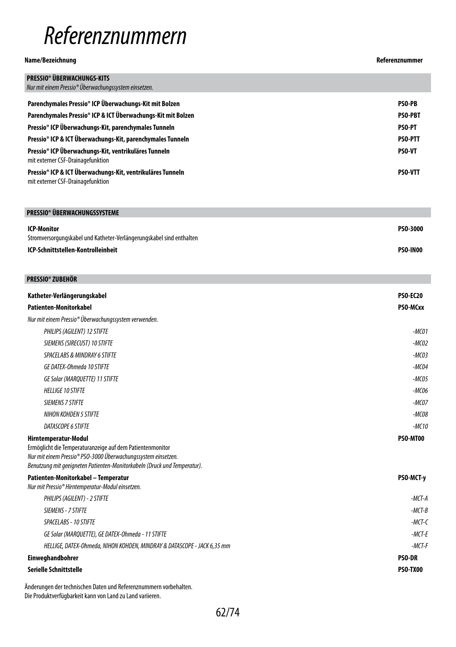## *Referenznummern*

#### **Name/Bezeichnung Referenznummer**

| <b>PRESSIO® ÜBERWACHUNGS-KITS</b><br>Nur mit einem Pressio® Überwachungssystem einsetzen.       |                |
|-------------------------------------------------------------------------------------------------|----------------|
| Parenchymales Pressio® ICP Überwachungs-Kit mit Bolzen                                          | <b>PSO-PB</b>  |
| Parenchymales Pressio® ICP & ICT Überwachungs-Kit mit Bolzen                                    | <b>PSO-PBT</b> |
| Pressio® ICP Überwachungs-Kit, parenchymales Tunneln                                            | <b>PSO-PT</b>  |
| Pressio® ICP & ICT Überwachungs-Kit, parenchymales Tunneln                                      | <b>PSO-PTT</b> |
| Pressio® ICP Überwachungs-Kit, ventrikuläres Tunneln<br>mit externer CSF-Drainagefunktion       | <b>PSO-VT</b>  |
| Pressio® ICP & ICT Überwachungs-Kit, ventrikuläres Tunneln<br>mit externer CSF-Drainagefunktion | <b>PSO-VTT</b> |

#### **PRESSIO® ÜBERWACHUNGSSYSTEME ICP-Monitor** Stromversorgungskabel und Katheter-Verlängerungskabel sind enthalten **PSO-3000 ICP-Schnittstellen-Kontrolleinheit PSO-IN00**

| <b>PRESSIO® ZUBEHÖR</b>                                                                                                                                                                                                        |                 |
|--------------------------------------------------------------------------------------------------------------------------------------------------------------------------------------------------------------------------------|-----------------|
| Katheter-Verlängerungskabel                                                                                                                                                                                                    | <b>PSO-EC20</b> |
| Patienten-Monitorkabel                                                                                                                                                                                                         | PSO-MCxx        |
| Nur mit einem Pressio® Überwachungssystem verwenden.                                                                                                                                                                           |                 |
| PHILIPS (AGILENT) 12 STIFTE                                                                                                                                                                                                    | $-MCO1$         |
| SIEMENS (SIRECUST) 10 STIFTE                                                                                                                                                                                                   | $-MCO2$         |
| SPACELABS & MINDRAY 6 STIFTE                                                                                                                                                                                                   | $-MCO3$         |
| <b>GE DATEX-Ohmeda 10 STIFTE</b>                                                                                                                                                                                               | $-MCO4$         |
| <b>GE Solar (MARQUETTE) 11 STIFTE</b>                                                                                                                                                                                          | $-MCO5$         |
| <b>HELLIGE 10 STIFTE</b>                                                                                                                                                                                                       | $-MCO6$         |
| <b>SIEMENS 7 STIFTE</b>                                                                                                                                                                                                        | $-MCOZ$         |
| NIHON KOHDEN 5 STIFTE                                                                                                                                                                                                          | $-MCO8$         |
| DATASCOPE 6 STIFTE                                                                                                                                                                                                             | $-MC10$         |
| Hirntemperatur-Modul<br>Ermöglicht die Temperaturanzeige auf dem Patientenmonitor<br>Nur mit einem Pressio® PSO-3000 Überwachungssystem einsetzen.<br>Benutzung mit geeigneten Patienten-Monitorkabeln (Druck und Temperatur). | PSO-MT00        |
| Patienten-Monitorkabel - Temperatur<br>Nur mit Pressio® Hirntemperatur-Modul einsetzen.                                                                                                                                        | PSO-MCT-y       |
| PHILIPS (AGILENT) - 2 STIFTE                                                                                                                                                                                                   | $-MCT-A$        |
| SIEMENS - 7 STIFTE                                                                                                                                                                                                             | $-MCT-B$        |
| <b>SPACELABS - 10 STIFTE</b>                                                                                                                                                                                                   | $-MCT-C$        |
| GE Solar (MARQUETTE), GE DATEX-Ohmeda - 11 STIFTE                                                                                                                                                                              | $-MCT-F$        |
| HELLIGE, DATEX-Ohmeda, NIHON KOHDEN, MINDRAY & DATASCOPE - JACK 6,35 mm                                                                                                                                                        | $-MCT-F$        |
| <b>Einweghandbohrer</b>                                                                                                                                                                                                        | <b>PSO-DR</b>   |
| Serielle Schnittstelle                                                                                                                                                                                                         | <b>PSO-TX00</b> |
|                                                                                                                                                                                                                                |                 |

Änderungen der technischen Daten und Referenznummern vorbehalten. Die Produktverfügbarkeit kann von Land zu Land variieren.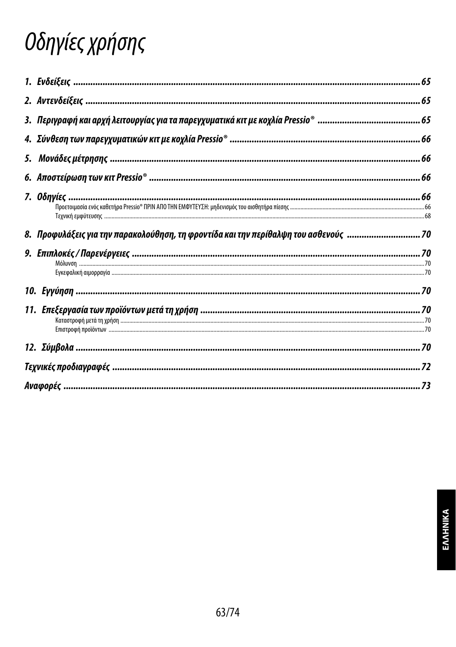# Οδηγίες χρήσης

| 8. Προφυλάξεις για την παρακολούθηση, τη φροντίδα και την περίθαλψη του ασθενούς  70 |  |
|--------------------------------------------------------------------------------------|--|
|                                                                                      |  |
|                                                                                      |  |
|                                                                                      |  |
|                                                                                      |  |
|                                                                                      |  |
|                                                                                      |  |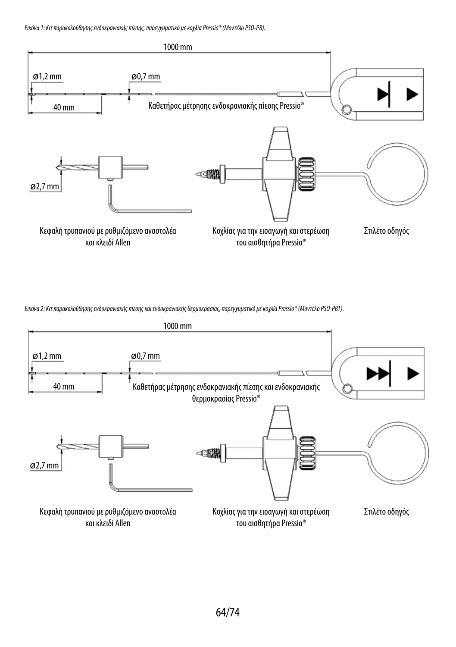*Εικόνα 1: Κιτ παρακολούθησης ενδοκρανιακής πίεσης, παρεγχυματικό με κοχλία Pressio® (Μοντέλο PSO-PB).*



*Εικόνα 2: Κιτ παρακολούθησης ενδοκρανιακής πίεσης και ενδοκρανιακής θερμοκρασίας, παρεγχυματικό με κοχλία Pressio® (Μοντέλο PSO-PBT).*

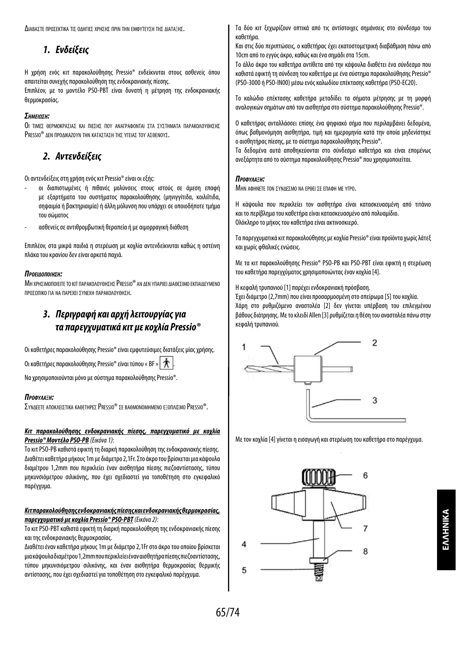Διαραστε προσεκτικα τις οληΓιες χρησης πριν την εμφύτενση της Διαταξής.

## *1. Ενδείξεις*

Η χρήση ενός κιτ παρακολούθησης Pressio® ενδείκνυται στους ασθενείς όπου απαιτείται συνεχής παρακολούθηση της ενδοκρανιακής πίεσης.

Επιπλέον, με το μοντέλο PSO-PBT είναι δυνατή η μέτρηση της ενδοκρανιακής θερμοκρασίας.

#### *ΣημείωΣη:*

Οι τιμες θερμοκρασίας και πιεσης πον αναΓραφονται στα σχοτηματα παρακολογθησης PRESSIO<sup>®</sup> ΔΕΝ ΠΡΟΛΙΚΑΖΟΎΝ ΤΗΝ ΚΑΤΑΣΤΑΣΗ ΤΗΣ ΥΓΕΙΑΣ ΤΟΥ ΑΣΘΕΝΟΎΣ.

## *2. Αντενδείξεις*

Οι αντενδείξεις στη χρήση ενός κιτ Pressio® είναι οι εξής:

- οι διαπιστωμένες ή πιθανές μολύνσεις στους ιστούς σε άμεση επαφή με εξαρτήματα του συστήματος παρακολούθησης (μηνιγγίτιδα, κοιλιΐτιδα, σηψαιμία ή βακτηριαιμία) ή άλλη μόλυνση που υπάρχει σε οποιοδήποτε τμήμα του σώματος
- ασθενείς σε αντιθρομβωτική θεραπεία ή με αιμορραγική διάθεση

Επιπλέον, στα μικρά παιδιά η στερέωση με κοχλία αντενδείκνυται καθώς η οστέινη πλάκα του κρανίου δεν είναι αρκετά παχιά.

#### *ΠροείδοΠοίηΣη:*

ΜΗ ΧΡΗΣΙΜΟΠΟΙΕΙΤΕ ΤΟ ΚΙΤ ΠΑΡΑΚΟΛΟΥΘΗΣΗΣ PRESSIO® ΑΝ ΔΕΝ ΥΠΑΡΧΕΙ ΔΙΑΘΕΣΙΜΟ ΕΚΠΑΙΔΕΥΜΕΝΟ προσωπικο για να παρεχει σύνεχη παρακολούθηση.

## *3. Περιγραφή και αρχή λειτουργίας για τα παρεγχυματικά κιτ με κοχλία Pressio®*

Οι καθετήρες παρακολούθησης Pressio® είναι εμφυτεύσιμες διατάξεις μίας χρήσης.

Οι καθετήρες παρακολούθησης Pressio® είναι τύπου « BF » .

Να χρησιμοποιούνται μόνο με σύστημα παρακολούθησης Pressio®.

#### *Προφύλαξη:*

ΣΥΝΔΕΕΤΕ ΑΠΟΚΛΕΙΣΤΙΚΑ ΚΑΘΕΤΗΡΕΣ PRESSIO® ΣΕ ΒΑΘΜΟΝΟΜΗΜΕΝΟ ΕΞΟΠΑΙΣΜΟ PRESSIO®.

#### *Κιτ παρακολούθησης ενδοκρανιακής πίεσης, παρεγχυματικό με κοχλία Pressio® Μοντέλο PSO-PB (Εικόνα 1)*:

Το κιτ PSO-PB καθιστά εφικτή τη διαρκή παρακολούθηση της ενδοκρανιακής πίεσης. Διαθέτει καθετήρα μήκους 1m με διάμετρο 2,1Fr. Στο άκρο του βρίσκεται μια κάψουλα διαμέτρου 1,2mm που περικλείει έναν αισθητήρα πίεσης πιεζοαντίστασης, τύπου μηκυνσιόμετρου σιλικόνης, που έχει σχεδιαστεί για τοποθέτηση στο εγκεφαλικό παρέγχυμα.

#### *Κιτ παρακολούθησης ενδοκρανιακής πίεσης και ενδοκρανιακής θερμοκρασίας, παρεγχυματικό με κοχλία Pressio® PSO-PBT(Εικόνα 2)*:

Το κιτ PSO-PBT καθιστά εφικτή τη διαρκή παρακολούθηση της ενδοκρανιακής πίεσης και της ενδοκρανιακής θερμοκρασίας.

Διαθέτει έναν καθετήρα μήκους 1m με διάμετρο 2,1Fr στο άκρο του οποίου βρίσκεται μια κάψουλα διαμέτρου 1,2mm που περικλείει έναν αισθητήρα πίεσης πιεζοαντίστασης, τύπου μηκυνσιόμετρου σιλικόνης, και έναν αισθητήρα θερμοκρασίας θερμικής αντίστασης, που έχει σχεδιαστεί για τοποθέτηση στο εγκεφαλικό παρέγχυμα.

Τα δύο κιτ ξεχωρίζουν οπτικά από τις αντίστοιχες σημάνσεις στο σύνδεσμο του καθετήρα.

Και στις δύο περιπτώσεις, ο καθετήρας έχει εκατοστομετρική διαβάθμιση πάνω από 10cm από το εγγύς άκρο, καθώς και ένα σημάδι στα 15cm.

Το άλλο άκρο του καθετήρα αντίθετα από την κάψουλα διαθέτει ένα σύνδεσμο που καθιστά εφικτή τη σύνδεση του καθετήρα με ένα σύστημα παρακολούθησης Pressio® (PSO-3000 ή PSO-IN00) μέσω ενός καλωδίου επέκτασης καθετήρα (PSO-EC20).

Το καλώδιο επέκτασης καθετήρα μεταδίδει τα σήματα μέτρησης με τη μορφή αναλογικών σημάτων από τον αισθητήρα στο σύστημα παρακολούθησης Pressio®.

Ο καθετήρας ανταλλάσσει επίσης ένα ψηφιακό σήμα που περιλαμβάνει δεδομένα, όπως βαθμονόμηση αισθητήρα, τιμή και ημερομηνία κατά την οποία μηδενίστηκε ο αισθητήρας πίεσης, με το σύστημα παρακολούθησης Pressio®.

Τα δεδομένα αυτά αποθηκεύονται στο σύνδεσμο καθετήρα και είναι επομένως ανεξάρτητα από το σύστημα παρακολούθησης Pressio® που χρησιμοποιείται.

#### *Προφύλαξη:*

ΜΗΝ ΑΦΗΝΕΤΕ ΤΟΝ ΣΥΝΛΕΣΜΟ ΝΑ ΕΡΘΕΙ ΣΕ ΕΠΑΦΗ ΜΕ ΥΓΡΟ.

Η κάψουλα που περικλείει τον αισθητήρα είναι κατασκευασμένη από τιτάνιο και το περίβλημα του καθετήρα είναι κατασκευασμένο από πολυαμίδιο. Ολόκληρο το μήκος του καθετήρα είναι ακτινοσκιερό.

Τα παρεγχυματικά κιτ παρακολούθησης με κοχλία Pressio® είναι προϊόντα χωρίς λάτεξ και χωρίς φθαλικές ενώσεις.

Με τα κιτ παρακολούθησης Pressio® PSO-PB και PSO-PBT είναι εφικτή η στερέωση του καθετήρα παρεγχύματος χρησιμοποιώντας έναν κοχλία [4].

Η κεφαλή τρυπανιού [1] παρέχει ενδοκρανιακή πρόσβαση.

Έχει διάμετρο (2,7mm) που είναι προσαρμοσμένη στο σπείρωμα [5] του κοχλία. Χάρη στο ρυθμιζόμενο αναστολέα [2] δεν γίνεται υπέρβαση του επιλεγμένου βάθους διάτρησης. Με το κλειδί Allen [3] ρυθμίζεται η θέση του αναστολέα πάνω στην κεφαλή τρυπανιού.



Με τον κοχλία [4] γίνεται η εισαγωγή και στερέωση του καθετήρα στο παρέγχυμα.

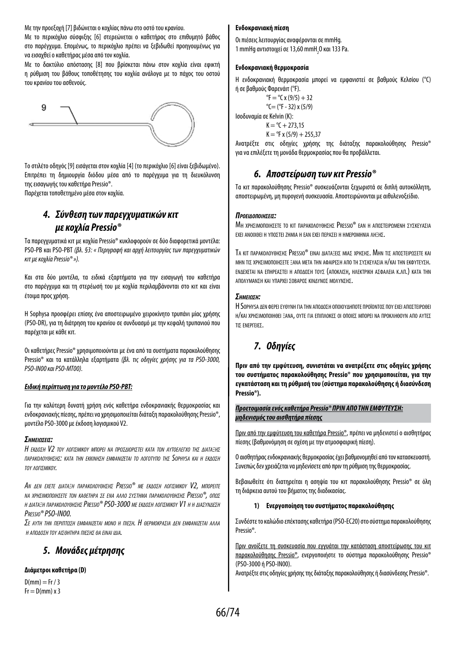Με την προεξοχή [7] βιδώνεται ο κοχλίας πάνω στο οστό του κρανίου.

Με το περικόχλιο σύσφιξης [6] στερεώνεται ο καθετήρας στο επιθυμητό βάθος στο παρέγχυμα. Επομένως, το περικόχλιο πρέπει να ξεβιδωθεί προηγουμένως για να εισαχθεί ο καθετήρας μέσα από τον κοχλία.

Με το δακτύλιο απόστασης [8] που βρίσκεται πάνω στον κοχλία είναι εφικτή η ρύθμιση του βάθους τοποθέτησης του κοχλία ανάλογα με το πάχος του οστού του κρανίου του ασθενούς.



Το στιλέτο οδηγός [9] εισάγεται στον κοχλία [4] (το περικόχλιο [6] είναι ξεβιδωμένο). Επιτρέπει τη δημιουργία διόδου μέσα από το παρέγχυμα για τη διευκόλυνση της εισαγωγής του καθετήρα Pressio®.

Παρέχεται τοποθετημένο μέσα στον κοχλία.

## *4. Σύνθεση των παρεγχυματικών κιτ με κοχλία Pressio®*

Τα παρεγχυματικά κιτ με κοχλία Pressio® κυκλοφορούν σε δύο διαφορετικά μοντέλα: PSO-PB και PSO-PBT *(βλ. §3: « Περιγραφή και αρχή λειτουργίας των παρεγχυματικών κιτ με κοχλία Pressio® »).*

Και στα δύο μοντέλα, τα ειδικά εξαρτήματα για την εισαγωγή του καθετήρα στο παρέγχυμα και τη στερέωσή του με κοχλία περιλαμβάνονται στο κιτ και είναι έτοιμα προς χρήση.

Η Sophysa προσφέρει επίσης ένα αποστειρωμένο χειροκίνητο τρυπάνι μίας χρήσης (PSO-DR), για τη διάτρηση του κρανίου σε συνδυασμό με την κεφαλή τρυπανιού που παρέχεται με κάθε κιτ.

Οι καθετήρες Pressio® χρησιμοποιούνται με ένα από τα συστήματα παρακολούθησης Pressio® και τα κατάλληλα εξαρτήματα *(βλ. τις οδηγίες χρήσης για τα PSO-3000, PSO-IN00 και PSO-MT00).*

#### *Ειδική περίπτωση για το μοντέλο PSO-PBT:*

Για την καλύτερη δυνατή χρήση ενός καθετήρα ενδοκρανιακής θερμοκρασίας και ενδοκρανιακής πίεσης, πρέπει να χρησιμοποιείται διάταξη παρακολούθησης Pressio®, μοντέλο PSO-3000 με έκδοση λογισμικού V2.

#### *ΣημείωΣείΣ:*

*Η έκδοσΗ V2 του λογισμικου μπορέι να προσδιοριστέι κατα τον αυτοέλέγχο τΗσ διαταξΗσ παρακολουθΗσΗσ: κατα τΗν έκκινΗσΗ έμφανιζέται το λογοτυπο τΗσ Sophysa και Η έκδοσΗ του λογισμικου.*

*Αν δέν έχέτέ διαταξΗ παρακολουθΗσΗσ Pressio® μέ έκδοσΗ λογισμικου V2, μπορέιτέ να χρΗσιμοποιΗσέτέ τον καθέτΗρα σέ ένα αλλο συστΗμα παρακολουθΗσΗσ Pressio®, οπωσ Η διαταξΗ παρακολουθΗσΗσ Pressio® PSO-3000 μέ έκδοσΗ λογισμικου V1 Η Η διασυνδέσΗ Pressio® PSO-IN00.*

*Σέ αυτΗ τΗν πέριπτωσΗ έμφανιζέται μονο <sup>Η</sup> πιέσΗ. Η θέρμοκρασια δέν έμφανιζέται αλλα <sup>Η</sup> αποδοσΗ του αισθΗτΗρα πιέσΗσ θα έιναι ιδια.*

## *5. Μονάδες μέτρησης*

#### **Διάμετροι καθετήρα (D)**

 $D(mm) = Fr / 3$  $Fr = D(mm) \times 3$ 

#### **Ενδοκρανιακή πίεση**

Οι πιέσεις λειτουργίας αναφέρονται σε mmHg. 1 mmHg αντιστοιχεί σε 13,60 mmH<sub>2</sub>0 και 133 Pa.

#### **Ενδοκρανιακή θερμοκρασία**

Η ενδοκρανιακή θερμοκρασία μπορεί να εμφανιστεί σε βαθμούς Κελσίου (°C) ή σε βαθμούς Φαρενάιτ (°F).

```
{}^{\circ}F = {}^{\circ}C x (9/5) + 32
                °C = (°F - 32) y (5/9)
Ισοδυναμία σε Kelvin (K):
                 K = {}^{o}C + 273.15
```
 $K = {}^{o}F$  x (5/9) + 255.37

Ανατρέξτε στις οδηγίες χρήσης της διάταξης παρακολούθησης Pressio® για να επιλέξετε τη μονάδα θερμοκρασίας που θα προβάλλεται.

## *6. Αποστείρωση των κιτ Pressio®*

Τα κιτ παρακολούθησης Pressio® συσκευάζονται ξεχωριστά σε διπλή αυτοκόλλητη, αποστειρωμένη, μη πυρογενή συσκευασία. Αποστειρώνονται με αιθυλενοξείδιο.

#### *ΠροείδοΠοίηΣείΣ:*

ΜΗ χρησιμοποιησετε το κιτ παρακολογοήσης Pressio® fan η αποστειροΜέΝΗ σγρκεγάσια εχει ανοιχθει η ύποστει ζημια η εαν εχει περασει η ημερομηνια ληξησ.

TA KIT ΠΑΡΑΚΟΛΟΥΘΗΣΗΣ PRESSIO® ΕΙΝΑΙ ΛΙΑΤΑΞΕΙΣ ΜΙΑΣ ΧΡΗΣΗΣ. ΜΗΝ ΤΙΣ ΑΠΟΣΤΕΙΡΟΣΕΤΕ ΚΑΙ μην τισ χρησιμοποιησετε ξανα μετα την αφαιρεση απο τη σύσκεύασια η/και την εκφύτεύση. ΕΝΔΕΧΕΤΑΙ ΝΑ ΕΠΗΡΕΑΣΤΕΙ Η ΑΠΟΛΟΣΗ ΤΟΥΣ (ΑΠΟΚΛΙΣΗ, ΗΛΕΚΤΡΙΚΗ ΑΣΦΑΛΕΙΑ Κ.ΛΠ.) ΚΑΤΑ ΤΗΝ ΑΠΟΛΥΜΑΝΣΗ ΚΑΙ ΥΠΑΡΧΕΙ ΣΟΒΑΡΟΣ ΚΙΝΔΥΝΟΣ ΜΟΛΥΝΣΗΣ.

#### *ΣημείωΣη:*

Η Sophysa ΔΕΝ ΦΕΡΕΙ ΕΥΘΥΝΗ ΓΙΑ ΤΗΝ ΑΠΟΛΟΣΗ ΟΠΟΙΟΥΛΗΠΟΤΕ ΠΡΟΪΟΝΤΟΣ ΠΟΥ ΕΧΕΙ ΑΠΟΣΤΕΙΡΟΘΕΙ Η/ΚΑΙ ΧΡΗΣΙΜΟΠΟΙΗΘΕΙ ΞΑΝΑ, ΟΥΤΕ ΓΙΑ ΕΠΙΠΛΟΚΕΣ ΟΙ ΟΠΟΙΕΣ ΜΠΟΡΕΙ ΝΑ ΠΡΟΚΛΗΘΟΎΝ ΑΠΟ ΑΥΤΕΣ τισ ενεργειεσ.

## *7. Οδηγίες*

**Πριν από την εμφύτευση, συνιστάται να ανατρέξετε στις οδηγίες χρήσης του συστήματος παρακολούθησης Pressio® που χρησιμοποιείται, για την εγκατάσταση και τη ρύθμισή του (σύστημα παρακολούθησης ή διασύνδεση Pressio®).**

*Προετοιμασία ενός καθετήρα Pressio® ΠΡΙΝ ΑΠΟ ΤΗΝ ΕΜΦΥΤΕΥΣΗ: μηδενισμός του αισθητήρα πίεσης*

Πριν από την εμφύτευση του καθετήρα Pressio®, πρέπει να μηδενιστεί ο αισθητήρας πίεσης (βαθμονόμηση σε σχέση με την ατμοσφαιρική πίεση).

Ο αισθητήρας ενδοκρανιακής θερμοκρασίας έχει βαθμονομηθεί από τον κατασκευαστή. Συνεπώς δεν χρειάζεται να μηδενίσετε από πριν τη ρύθμιση της θερμοκρασίας.

Βεβαιωθείτε ότι διατηρείται η ασηψία του κιτ παρακολούθησης Pressio® σε όλη τη διάρκεια αυτού του βήματος της διαδικασίας.

#### **1) Ενεργοποίηση του συστήματος παρακολούθησης**

Συνδέστε το καλώδιο επέκτασης καθετήρα (PSO-EC20) στο σύστημα παρακολούθησης Pressio®.

Πριν ανοίξετε τη συσκευασία που εγγυάται την κατάσταση αποστείρωσης του κιτ παρακολούθησης Pressio®, ενεργοποιήστε το σύστημα παρακολούθησης Pressio® (PSO-3000 ή PSO-IN00).

Ανατρέξτε στις οδηγίες χρήσης της διάταξης παρακολούθησης ή διασύνδεσης Pressio®.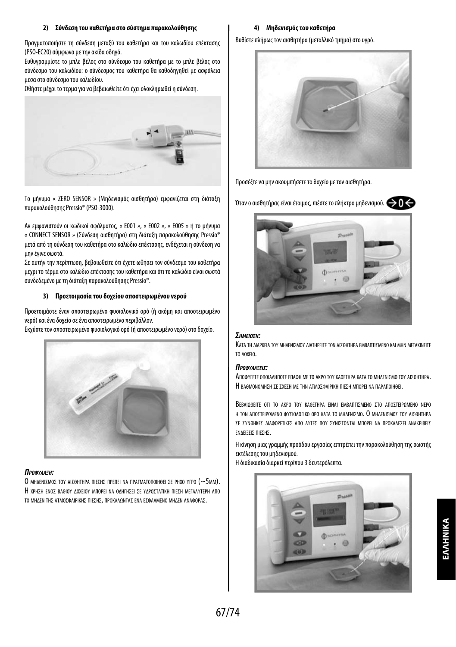#### **2) Σύνδεση του καθετήρα στο σύστημα παρακολούθησης**

Πραγματοποιήστε τη σύνδεση μεταξύ του καθετήρα και του καλωδίου επέκτασης (PSO-EC20) σύμφωνα με την ακίδα οδηγό.

Ευθυγραμμίστε το μπλε βέλος στο σύνδεσμο του καθετήρα με το μπλε βέλος στο σύνδεσμο του καλωδίου: ο σύνδεσμος του καθετήρα θα καθοδηγηθεί με ασφάλεια μέσα στο σύνδεσμο του καλωδίου.

Ωθήστε μέχρι το τέρμα για να βεβαιωθείτε ότι έχει ολοκληρωθεί η σύνδεση.



Το μήνυμα « ZERO SENSOR » (Μηδενισμός αισθητήρα) εμφανίζεται στη διάταξη παρακολούθησης Pressio® (PSO-3000).

Αν εμφανιστούν οι κωδικοί σφάλματος, « E001 », « E002 », « E005 » ή το μήνυμα « CONNECT SENSOR » (Σύνδεση αισθητήρα) στη διάταξη παρακολούθησης Pressio® μετά από τη σύνδεση του καθετήρα στο καλώδιο επέκτασης, ενδέχεται η σύνδεση να μην έγινε σωστά.

Σε αυτήν την περίπτωση, βεβαιωθείτε ότι έχετε ωθήσει τον σύνδεσμο του καθετήρα μέχρι το τέρμα στο καλώδιο επέκτασης του καθετήρα και ότι το καλώδιο είναι σωστά συνδεδεμένο με τη διάταξη παρακολούθησης Pressio®.

#### **3) Προετοιμασία του δοχείου αποστειρωμένου νερού**

Προετοιμάστε έναν αποστειρωμένο φυσιολογικό ορό (ή ακόμη και αποστειρωμένο νερό) και ένα δοχείο σε ένα αποστειρωμένο περιβάλλον.

Εκχύστε τον αποστειρωμένο φυσιολογικό ορό (ή αποστειρωμένο νερό) στο δοχείο.



#### *Προφύλαξη:*

Ο ΜΗΛΕΝΙΣΜΟΣ ΤΟΥ ΑΙΣΘΗΤΗΡΑ ΠΙΕΣΗΣ ΠΡΕΠΕΙ ΝΑ ΠΡΑΓΜΑΤΟΠΟΙΗΘΕΙ ΣΕ ΡΗΧΟ ΥΓΡΟ (~5MM). Η ΧΡΗΣΗ ΕΝΟΣ ΒΑΘΙΟΥ ΔΟΧΕΙΟΥ ΜΠΟΡΕΙ ΝΑ ΟΔΗΓΗΣΕΙ ΣΕ ΥΔΡΟΣΤΑΤΙΚΗ ΠΙΕΣΗ ΜΕΓΑΛΥΤΕΡΗ ΑΠΟ το ΜΗΔΕΝ ΤΗΣ ΑΤΜΟΣΦΑΙΡΙΚΗΣ ΠΙΕΣΗΣ, ΠΡΟΚΑΛΩΝΤΑΣ ΕΝΑ ΕΣΦΑΛΜΕΝΟ ΜΗΔΕΝ ΑΝΑΦΟΡΑΣ.

#### **4) Μηδενισμός του καθετήρα**

Βυθίστε πλήρως τον αισθητήρα (μεταλλικό τμήμα) στο υγρό.



Προσέξτε να μην ακουμπήσετε το δοχείο με τον αισθητήρα.

Όταν ο αισθητήρας είναι έτοιμος, πιέστε το πλήκτρο μηδενισμού.



#### *ΣημείωΣη:*

Κατα τη Διαρκεια τον ΜΗΔΕΝΙΣΜΟΥ ΔΙΑΤΗΡΕΙΤΕ ΤΟΝ ΑΙΣΘΗΤΗΡΑ ΕΜΒΑΠΤΙΣΜΕΝΟ ΚΑΙ ΜΗΝ ΜΕΤΑΚΙΝΕΙΤΕ το Δοχειο.

#### *ΠροφύλαξείΣ:*

ΑποφΥΓΕΤΕ ΟΠΟΙΑΔΗΠΟΤΕ ΕΠΑΦΗ ΜΕ ΤΟ ΑΚΡΟ ΤΟΥ ΚΑΘΕΤΗΡΑ ΚΑΤΑ ΤΟ ΜΗΔΕΝΙΣΜΟ ΤΟΥ ΑΙΣΘΗΤΗΡΑ. Η ΒΑΘΜΟΝΟΜΗΣΗ ΣΕ ΣΧΕΣΗ ΜΕ ΤΗΝ ΑΤΜΟΣΦΑΙΡΙΚΗ ΠΙΕΣΗ ΜΠΟΡΕΙ ΝΑ ΠΑΡΑΠΟΙΗΘΕΙ.

ΒεβαιΩΘΕΙΤΕ ΟΤΙ ΤΟ ΑΚΡΟ ΤΟΥ ΚΑΘΕΤΗΡΑ ΕΙΝΑΙ ΕΜΒΑΠΤΙΣΜΕΝΟ ΣΤΟ ΑΠΟΣΤΕΙΡΩΜΕΝΟ ΝΕΡΟ Η ΤΟΝ ΑΠΟΣΤΕΙΡΟΜΕΝΟ ΦΥΣΙΟΛΟΓΙΚΟ ΟΡΟ ΚΑΤΑ ΤΟ ΜΗΛΕΝΙΣΜΟ. Ο ΜΗΛΕΝΙΣΜΟΣ ΤΟΥ ΑΙΣΘΗΤΗΡΑ ΣΕ ΣΥΝΘΗΚΕΣ ΔΙΑΦΟΡΕΤΙΚΕΣ ΑΠΟ ΑΥΤΕΣ ΠΟΥ ΣΥΝΙΣΤΟΝΤΑΙ ΜΠΟΡΕΙ ΝΑ ΠΡΟΚΑΛΕΣΕΙ ΑΝΑΚΡΙΒΕΙΣ ΕΝΛΕΙΞΕΙΣ ΠΙΕΣΗΣ.

Η κίνηση μιας γραμμής προόδου εργασίας επιτρέπει την παρακολούθηση της σωστής εκτέλεσης του μηδενισμού.

Η διαδικασία διαρκεί περίπου 3 δευτερόλεπτα.

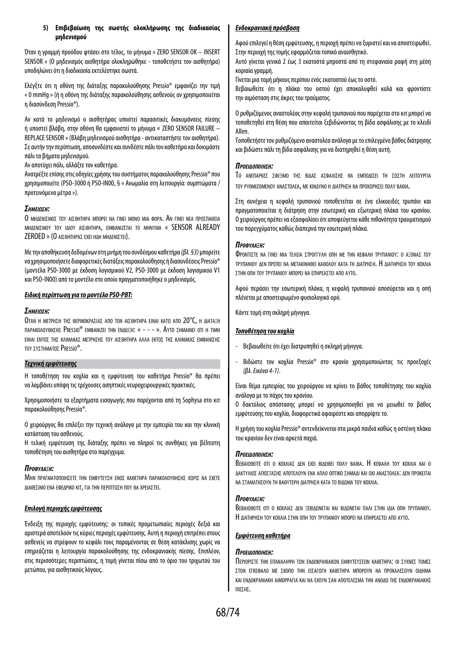#### **5) Επιβεβαίωση της σωστής ολοκλήρωσης της διαδικασίας μηδενισμού**

Όταν η γραμμή προόδου φτάσει στο τέλος, το μήνυμα « ZERO SENSOR OK – INSERT SENSOR » (Ο μηδενισμός αισθητήρα ολοκληρώθηκε - τοποθετήστε τον αισθητήρα) υποδηλώνει ότι η διαδικασία εκτελέστηκε σωστά.

Ελέγξτε ότι η οθόνη της διάταξης παρακολούθησης Pressio® εμφανίζει την τιμή « 0 mmHg » (ή η οθόνη της διάταξης παρακολούθησης ασθενούς αν χρησιμοποιείται η διασύνδεση Pressio®).

Αν κατά το μηδενισμό ο αισθητήρας υποστεί παρασιτικές διακυμάνσεις πίεσης ή υποστεί βλάβη, στην οθόνη θα εμφανιστεί το μήνυμα « ZERO SENSOR FAILURE – REPLACE SENSOR » (Βλάβη μηδενισμού αισθητήρα - αντικαταστήστε τον αισθητήρα). Σε αυτήν την περίπτωση, αποσυνδέστε και συνδέστε πάλι τον καθετήρα και δοκιμάστε πάλι τα βήματα μηδενισμού.

Αν αποτύχει πάλι, αλλάξτε τον καθετήρα.

Ανατρέξτε επίσης στις οδηγίες χρήσης του συστήματος παρακολούθησης Pressio® που χρησιμοποιείτε (PSO-3000 ή PSO-IN00, § « Ανωμαλία στη λειτουργία: συμπτώματα / προτεινόμενα μέτρα »).

#### *ΣημείωΣη:*

Ο ΜΗΛΕΝΙΣΜΟΣ ΤΟΥ ΑΙΣΘΗΤΗΡΑ ΜΠΟΡΕΙ ΝΑ ΓΙΝΕΙ ΜΟΝΟ ΜΙΑ ΦΟΡΑ. ΑΝ ΓΙΝΕΙ ΝΕΑ ΠΡΟΣΠΑΘΕΙΑ MHAENIΣΜΟΥ ΤΟΥ ΙΛΙΟΥ ΑΙΣΘΗΤΗΡΑ, ΕΜΦΑΝΙΖΕΤΑΙ ΤΟ ΜΗΝΎΜΑ « SENSOR ALREADY ZEROED » (Ο ΑΙΣΘΗΤΗΡΑΣ ΕΧΕΙ ΗΔΗ ΜΗΔΕΝΙΣΤΕΙ).

Με την αποθήκευση δεδομένων στη μνήμη του συνδέσμου καθετήρα *(βλ. §3)* μπορείτε να χρησιμοποιήσετε διαφορετικές διατάξεις παρακολούθησης ή διασυνδέσεις Pressio® (μοντέλα PSO-3000 με έκδοση λογισμικού V2, PSO-3000 με έκδοση λογισμικού V1 και PSO-IN00) από το μοντέλο στο οποίο πραγματοποιήθηκε ο μηδενισμός.

#### *Ειδική περίπτωση για το μοντέλο PSO-PBT:*

#### *ΣημείωΣη:*

Οταν Η ΜΕΤΡΗΣΗ ΤΗΣ ΘΕΡΜΟΚΡΑΣΙΑΣ ΑΠΟ ΤΟΝ ΑΙΣΘΗΤΗΡΑ ΕΙΝΑΙ ΚΑΤΩ ΑΠΟ 20°C, Η ΔΙΑΤΑΞΗ παρακολογθησης Pressio® emoanizei thn enaei=h: « - - - ». Αγτο σημαινει οτι η τιmh ΕΙΝΑΙ ΕΝΤΟΣ ΤΗΣ ΚΛΙΜΑΚΑΣ ΜΕΤΡΗΣΗΣ ΤΟΥ ΑΙΣΘΗΤΗΡΑ ΑΛΛΑ ΕΚΤΟΣ ΤΗΣ ΚΛΙΜΑΚΑΣ ΕΜΦΑΝΙΣΗΣ τον συστηματοσ Pressio®.

#### *Τεχνική εμφύτευσης*

Η τοποθέτηση του κοχλία και η εμφύτευση του καθετήρα Pressio® θα πρέπει να λαμβάνει υπόψη τις τρέχουσες ασηπτικές νευροχειρουργικές πρακτικές.

Χρησιμοποιήστε τα εξαρτήματα εισαγωγής που παρέχονται από τη Sophysa στο κιτ παρακολούθησης Pressio®.

Ο χειρούργος θα επιλέξει την τεχνική ανάλογα με την εμπειρία του και την κλινική κατάσταση του ασθενούς.

Η τελική εμφύτευση της διάταξης πρέπει να πληροί τις συνθήκες για βέλτιστη τοποθέτηση του αισθητήρα στο παρέγχυμα.

#### *Προφύλαξη:*

ΜΗΝ ΠΡΑΓΜΑΤΟΠΟΙΗΣΕΤΕ ΤΗΝ ΕΜΦΥΤΕΥΣΗ ΕΝΟΣ ΚΑΘΕΤΗΡΑ ΠΑΡΑΚΟΛΟΥΘΗΣΗΣ ΧΩΡΙΣ ΝΑ ΕΧΕΤΕ ΔΙΑΘΕΣΙΜΟ ΕΝΑ ΕΦΕΔΡΙΚΟ ΚΙΤ, ΓΙΑ ΤΗΝ ΠΕΡΙΠΤΩΣΗ ΠΟΥ ΘΑ ΧΡΕΙΑΣΤΕΙ.

#### *Επιλογή περιοχής εμφύτευσης*

Ένδειξη της περιοχής εμφύτευσης: οι τυπικές προμετωπιαίες περιοχές δεξιά και αριστερά αποτελούν τις κύριες περιοχές εμφύτευσης. Αυτή η περιοχή επιτρέπει στους ασθενείς να στρέφουν το κεφάλι τους παραμένοντας σε θέση κατάκλισης χωρίς να επηρεάζεται η λειτουργία παρακολούθησης της ενδοκρανιακής πίεσης. Επιπλέον, στις περισσότερες περιπτώσεις, η τομή γίνεται πίσω από το όριο του τριχωτού του μετώπου, για αισθητικούς λόγους.

#### *Ενδοκρανιακή πρόσβαση*

Αφού επιλεγεί η θέση εμφύτευσης, η περιοχή πρέπει να ξυριστεί και να αποστειρωθεί. Στην περιοχή της τομής εφαρμόζεται τοπικό αναισθητικό.

Αυτό γίνεται γενικά 2 έως 3 εκατοστά μπροστά από τη στεφανιαία ραφή στη μέση κοριαία γραμμή.

Γίνεται μια τομή μήκους περίπου ενός εκατοστού έως το οστό.

Βεβαιωθείτε ότι η πλάκα του οστού έχει αποκαλυφθεί καλά και φροντίστε την αιμόσταση στις άκρες του τραύματος.

Ο ρυθμιζόμενος αναστολέας στην κεφαλή τρυπανιού που παρέχεται στο κιτ μπορεί να τοποθετηθεί στη θέση που απαιτείται ξεβιδώνοντας τη βίδα ασφάλισης με το κλειδί Allen.

Τοποθετήστε τον ρυθμιζόμενο αναστολέα ανάλογα με το επιλεγμένο βάθος διάτρησης και βιδώστε πάλι τη βίδα ασφάλισης για να διατηρηθεί η θέση αυτή.

#### *ΠροείδοΠοίηΣη:*

Το ΑΝΕΠΑΡΚΕΣ ΣΦΙΞΙΜΟ ΤΗΣ ΒΙΔΑΣ ΑΣΦΑΛΙΣΗΣ ΘΑ ΕΜΠΟΔΙΣΕΙ ΤΗ ΣΩΣΤΗ ΛΕΙΤΟΥΡΓΙΑ τού ρύθμιζομενού αναστολεα, με κινΔύνο η Διατρηση να προχωρησει πολύ βαθια.

Στη συνέχεια η κεφαλή τρυπανιού τοποθετείται σε ένα ελικοειδές τρυπάνι και πραγματοποιείται η διάτρηση στην εσωτερική και εξωτερική πλάκα του κρανίου. Ο χειρούργος πρέπει να εξασφαλίσει ότι αποφεύγεται κάθε πιθανότητα τραυματισμού του παρεγχύματος καθώς διαπερνά την εσωτερική πλάκα.

#### *Προφύλαξη:*

Φροντιστε να είνει μια τελεια στροειγγή οπη με την κεφαλή τργπάνιον: ο αξονασ τον τρύπανιού Δεν πρεπει να μετακινηθει καθολού κατα τη Διατρηση. Η Διατηρηση τού κοχλια στην οπη τού τρύπανιού μπορει να επηρεαστει απο αύτο.

Αφού περάσει την εσωτερική πλάκα, η κεφαλή τρυπανιού αποσύρεται και η οπή πλένεται με αποστειρωμένο φυσιολογικό ορό.

Κάντε τομή στη σκληρή μήνιγγα.

#### *Τοποθέτηση του κοχλία*

- Βεβαιωθείτε ότι έχει διατρυπηθεί η σκληρή μήνιγγα.
- Βιδώστε τον κοχλία Pressio® στο κρανίο χρησιμοποιώντας τις προεξοχές *(βλ. Εικόνα 4-1)*.

Είναι θέμα εμπειρίας του χειρούργου να κρίνει το βάθος τοποθέτησης του κοχλία ανάλογα με το πάχος του κρανίου.

Ο δακτύλιος απόστασης μπορεί να χρησιμοποιηθεί για να μειωθεί το βάθος εμφύτευσης του κοχλία, διαφορετικά αφαιρέστε και απορρίψτε το.

Η χρήση του κοχλία Pressio® αντενδείκνυται στα μικρά παιδιά καθώς η οστέινη πλάκα του κρανίου δεν είναι αρκετά παχιά.

#### *ΠροείδοΠοίηΣη:*

ΒΕΒΑΙΟΘΕΙΤΕ ΟΤΙ Ο ΚΟΧΛΙΑΣ ΔΕΝ ΕΧΕΙ ΒΙΛΟΘΕΙ ΠΟΛΎ ΒΑΘΙΑ. Η ΚΕΦΑΛΗ ΤΟΥ ΚΟΧΛΙΑ ΚΑΙ Ο Δακτύλιοσ αποστασησ αποτελούν ενα απλο οπτικο σημαΔι και οχι αναστολεα: Δεν προκειται ΝΑ ΣΤΑΜΑΤΗΣΟΥΝ ΤΗ ΒΑΘΥΤΕΡΗ ΔΙΑΤΡΗΣΗ ΚΑΤΑ ΤΟ ΒΙΔΩΜΑ ΤΟΥ ΚΟΧΛΙΑ.

#### *Προφύλαξη:*

ΒεβαιΩΘΕΙΤΕ ΟΤΙ Ο ΚΟΧΛΙΑΣ ΔΕΝ ΞΕΒΙΔΩΝΕΤΑΙ ΚΑΙ ΒΙΔΩΝΕΤΑΙ ΠΑΛΙ ΣΤΗΝ ΙΔΙΑ ΟΠΗ ΤΡΥΠΑΝΙΟΥ. Η ΔΙΑΤΗΡΗΣΗ ΤΟΥ ΚΟΧΛΙΑ ΣΤΗΝ ΟΠΗ ΤΟΥ ΤΡΥΠΑΝΙΟΥ ΜΠΟΡΕΙ ΝΑ ΕΠΗΡΕΑΣΤΕΙ ΑΠΟ ΑΥΤΟ.

#### *Εμφύτευση καθετήρα*

#### *ΠροείδοΠοίηΣη:*

ΠεριοριΣΤΕ ΤΗΝ ΕΠΑΝΑΛΗΨΗ ΤΩΝ ΕΝΔΟΚΡΑΝΙΑΚΩΝ ΕΜΦΥΤΕΥΣΕΩΝ ΚΑΘΕΤΗΡΑ: ΟΙ ΣΥΧΝΕΣ ΤΟΜΕΣ στον εγκεφαλο με σκοπο την εισαγωγη καθετηρα μπορούν να προκαλεσούν οιΔημα και ΕΝΔΟΚΡΑΝΙΑΚΗ ΑΙΜΟΡΡΑΓΙΑ ΚΑΙ ΝΑ ΕΧΟΥΝ ΣΑΝ ΑΠΟΤΕΛΕΣΜΑ ΤΗΝ ΑΝΟΛΟ ΤΗΣ ΕΝΛΟΚΡΑΝΙΑΚΗΣ πιεσησ.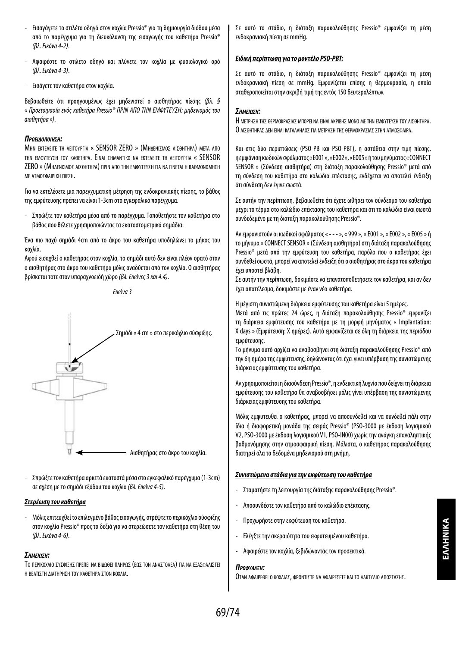- Εισαγάγετε το στιλέτο οδηγό στον κοχλία Pressio® για τη δημιουργία διόδου μέσα από το παρέγχυμα για τη διευκόλυνση της εισαγωγής του καθετήρα Pressio® *(βλ. Εικόνα 4-2)*.
- Αφαιρέστε το στιλέτο οδηγό και πλύνετε τον κοχλία με φυσιολογικό ορό *(βλ. Εικόνα 4-3)*.
- Εισάγετε τον καθετήρα στον κοχλία.

Βεβαιωθείτε ότι προηγουμένως έχει μηδενιστεί ο αισθητήρας πίεσης *(βλ. § « Προετοιμασία ενός καθετήρα Pressio® ΠΡΙΝ ΑΠΟ ΤΗΝ ΕΜΦΥΤΕΥΣΗ: μηδενισμός του αισθητήρα »)*.

#### *ΠροείδοΠοίηΣη:*

ΜΗΝ ΕΚΤΕΛΕΙΤΕ ΤΗ ΛΕΙΤΟΥΡΓΙΑ « SENSOR ZERO » (ΜΗΔΕΝΙΣΜΟΣ ΑΙΣΘΗΤΗΡΑ) ΜΕΤΑ ΑΠΟ τhn εmφyteyΣh τον καθετhpa. Ειναι Σhmantiko na ekteaeite th aeitoypгia « SENSOR ZERO » (ΜΗΔΕΝΙΣΜΟΣ ΑΙΣΘΗΤΗΡΑ) ΠΡΙΝ ΑΠΟ ΤΗΝ ΕΜΦΥΤΕΎΣΗ ΓΙΑ ΝΑ ΓΙΝΕΤΑΙ Η ΒΑΘΜΟΝΟΜΗΣΗ με ατμοσφαιρικη πιεση.

Για να εκτελέσετε μια παρεγχυματική μέτρηση της ενδοκρανιακής πίεσης, το βάθος της εμφύτευσης πρέπει να είναι 1-3cm στο εγκεφαλικό παρέγχυμα.

- Σπρώξτε τον καθετήρα μέσα από το παρέγχυμα. Τοποθετήστε τον καθετήρα στο βάθος που θέλετε χρησιμοποιώντας τα εκατοστομετρικά σημάδια:

Ένα πιο παχύ σημάδι 4cm από το άκρο του καθετήρα υποδηλώνει το μήκος του κοχλία.

Αφού εισαχθεί ο καθετήρας στον κοχλία, το σημάδι αυτό δεν είναι πλέον ορατό όταν ο αισθητήρας στο άκρο του καθετήρα μόλις αναδύεται από τον κοχλία. Ο αισθητήρας βρίσκεται τότε στον υπαραχνοειδή χώρο *(βλ. Εικόνες 3 και 4.4)*.

*Εικόνα 3*



- Σπρώξτε τον καθετήρα αρκετά εκατοστά μέσα στο εγκεφαλικό παρέγχυμα (1-3cm) σε σχέση με το σημάδι εξόδου του κοχλία *(βλ. Εικόνα 4-5)*.

#### *Στερέωση του καθετήρα*

- Μόλις επιτευχθεί το επιλεγμένο βάθος εισαγωγής, στρέψτε το περικόχλιο σύσφιξης στον κοχλία Pressio® προς τα δεξιά για να στερεώσετε τον καθετήρα στη θέση του *(βλ. Εικόνα 4-6)*.

#### *ΣημείωΣη:*

Το περικοχλιο σύσφισμα πρεπει να βιλοθει πληροσ (εοσ τον ΑΝΑΣΤΟΛΕΑ) ΓΙΑ ΝΑ ΕΞΑΣΦΑΛΙΣΤΕΙ Η ΒΕΛΤΙΣΤΗ ΔΙΑΤΗΡΗΣΗ ΤΟΥ ΚΑΘΕΤΗΡΑ ΣΤΟΝ ΚΟΧΛΙΑ.

Σε αυτό το στάδιο, η διάταξη παρακολούθησης Pressio® εμφανίζει τη μέση ενδοκρανιακή πίεση σε mmHg.

#### *Ειδική περίπτωση για το μοντέλο PSO-PBT:*

Σε αυτό το στάδιο, η διάταξη παρακολούθησης Pressio® εμφανίζει τη μέση ενδοκρανιακή πίεση σε mmHg. Εμφανίζεται επίσης η θερμοκρασία, η οποία σταθεροποιείται στην ακριβή τιμή της εντός 150 δευτερολέπτων.

#### *ΣημείωΣη:*

Η ΜΕΤΡΗΣΗ ΤΗΣ ΘΕΡΜΟΚΡΑΣΙΑΣ ΜΠΟΡΕΙ ΝΑ ΕΙΝΑΙ ΑΚΡΙΒΗΣ ΜΟΝΟ ΜΕ ΤΗΝ ΕΜΦΥΤΕΎΣΗ ΤΟΥ ΑΙΣΘΗΤΗΡΑ. Ο ΔΙΣΘΗΤΗΡΑΣ ΔΕΝ ΕΙΝΑΙ ΚΑΤΑΛΛΗΛΟΣ ΓΙΑ ΜΕΤΡΗΣΗ ΤΗΣ ΘΕΡΜΟΚΡΑΣΙΑΣ ΣΤΗΝ ΑΤΜΟΣΦΑΙΡΑ.

Και στις δύο περιπτώσεις (PSO-PB και PSO-PBT), η αστάθεια στην τιμή πίεσης, η εμφάνιση κωδικών σφάλματος « E001 », « E002 », « E005 » ή του μηνύματος « CONNECT SENSOR » (Σύνδεση αισθητήρα) στη διάταξη παρακολούθησης Pressio® μετά από τη σύνδεση του καθετήρα στο καλώδιο επέκτασης, ενδέχεται να αποτελεί ένδειξη ότι σύνδεση δεν έγινε σωστά.

Σε αυτήν την περίπτωση, βεβαιωθείτε ότι έχετε ωθήσει τον σύνδεσμο του καθετήρα μέχρι το τέρμα στο καλώδιο επέκτασης του καθετήρα και ότι το καλώδιο είναι σωστά συνδεδεμένο με τη διάταξη παρακολούθησης Pressio®.

Αν εμφανιστούν οι κωδικοί σφάλματος « - - - », « 999 », « E001 », « E002 », « E005 » ή το μήνυμα « CONNECT SENSOR » (Σύνδεση αισθητήρα) στη διάταξη παρακολούθησης Pressio® μετά από την εμφύτευση του καθετήρα, παρόλο που ο καθετήρας έχει συνδεθεί σωστά, μπορεί να αποτελεί ένδειξη ότι ο αισθητήρας στο άκρο του καθετήρα έχει υποστεί βλάβη.

Σε αυτήν την περίπτωση, δοκιμάστε να επανατοποθετήσετε τον καθετήρα, και αν δεν έχει αποτέλεσμα, δοκιμάστε με έναν νέο καθετήρα.

Η μέγιστη συνιστώμενη διάρκεια εμφύτευσης του καθετήρα είναι 5 ημέρες.

Μετά από τις πρώτες 24 ώρες, η διάταξη παρακολούθησης Pressio® εμφανίζει τη διάρκεια εμφύτευσης του καθετήρα με τη μορφή μηνύματος « Implantation: X days » (Εμφύτευση: Χ ημέρες). Αυτό εμφανίζεται σε όλη τη διάρκεια της περιόδου εμφύτευσης.

Το μήνυμα αυτό αρχίζει να αναβοσβήνει στη διάταξη παρακολούθησης Pressio® από την 6η ημέρα της εμφύτευσης, δηλώνοντας ότι έχει γίνει υπέρβαση της συνιστώμενης διάρκειας εμφύτευσης του καθετήρα.

Αν χρησιμοποιείται η διασύνδεση Pressio®, η ενδεικτική λυχνία που δείχνει τη διάρκεια εμφύτευσης του καθετήρα θα αναβοσβήσει μόλις γίνει υπέρβαση της συνιστώμενης διάρκειας εμφύτευσης του καθετήρα.

Μόλις εμφυτευθεί ο καθετήρας, μπορεί να αποσυνδεθεί και να συνδεθεί πάλι στην ίδια ή διαφορετική μονάδα της σειράς Pressio® (PSO-3000 με έκδοση λογισμικού V2, PSO-3000 με έκδοση λογισμικού V1, PSO-IN00) χωρίς την ανάγκη επαναληπτικής βαθμονόμησης στην ατμοσφαιρική πίεση. Μάλιστα, ο καθετήρας παρακολούθησης διατηρεί όλα τα δεδομένα μηδενισμού στη μνήμη.

#### *Συνιστώμενα στάδια για την εκφύτευση του καθετήρα*

- Σταματήστε τη λειτουργία της διάταξης παρακολούθησης Pressio®.
- Αποσυνδέστε τον καθετήρα από το καλώδιο επέκτασης.
- Προχωρήστε στην εκφύτευση του καθετήρα.
- Ελέγξτε την ακεραιότητα του εκφυτευμένου καθετήρα.
- Αφαιρέστε τον κοχλία, ξεβιδώνοντάς τον προσεκτικά.

#### *Προφύλαξη:*

Οταν αφαιρεθει ο κοχλιας, φροντιζτε να αφαιρεχετε και το Δακτγλιο αποχταχΗΣ.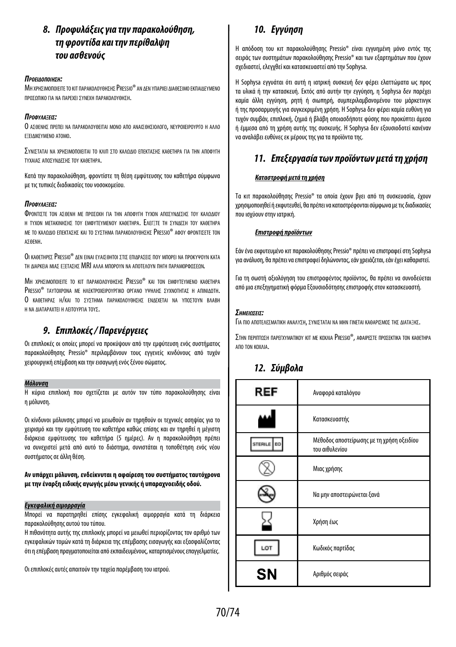## *8. Προφυλάξεις για την παρακολούθηση, τη φροντίδα και την περίθαλψη του ασθενούς*

#### *ΠροείδοΠοίηΣη:*

ΜΗ ΧΡΗΣΙΜΟΠΟΙΕΙΤΕ ΤΟ ΚΙΤ ΠΑΡΑΚΟΛΟΥΘΗΣΗΣ PRESSIO® ΑΝ ΔΕΝ ΥΠΑΡΧΕΙ ΔΙΑΘΕΣΙΜΟ ΕΚΠΑΙΔΕΎΜΕΝΟ προσοπικο Για να παρεχει σχνιεχη παρακολογθηση.

#### *ΠροφύλαξείΣ:*

Ο ΑΣΘΕΝΗΣ ΠΡΕΠΕΙ ΝΑ ΠΑΡΑΚΟΛΟΥΘΕΙΤΑΙ ΜΟΝΟ ΑΠΟ ΑΝΑΙΣΘΗΣΙΟΛΟΓΟ, ΝΕΥΡΟΧΕΙΡΟΥΡΓΟ Η ΑΛΛΟ εξειΔικεγΜΕΝΟ ΑΤΟΜΟ.

ΣΥΝΙΣΤΑΤΑΙ ΝΑ ΧΡΗΣΙΜΟΠΟΙΕΙΤΑΙ ΤΟ ΚΛΙΠ ΣΤΟ ΚΑΛΩΔΙΟ ΕΠΕΚΤΑΣΗΣ ΚΑΘΕΤΗΡΑ ΓΙΑ ΤΗΝ ΑΠΟΦΥΓΗ τύχαιασ αποσύνΔεσησ τού καθετηρα.

Κατά την παρακολούθηση, φροντίστε τη θέση εμφύτευσης του καθετήρα σύμφωνα με τις τυπικές διαδικασίες του νοσοκομείου.

#### *ΠροφύλαξείΣ:*

Φροντιστε τον ασθενη Με προσοχη Για την αποφύτη τύχον αποσύνασε τον καλολιού Η ΤΥΧΟΝ ΜΕΤΑΚΙΝΗΣΗΣ ΤΟΥ ΕΜΦΥΤΕΥΜΕΝΟΥ ΚΑΘΕΤΗΡΑ. ΕΛΕΓΞΤΕ ΤΗ ΣΥΝΛΕΣΗ ΤΟΥ ΚΑΘΕΤΗΡΑ ΜΕ ΤΟ ΚΑΛΟΛΙΟ ΕΠΕΚΤΑΣΗΣ ΚΑΙ ΤΟ ΣΥΣΤΗΜΑ ΠΑΡΑΚΟΛΟΥΘΗΣΗΣ PRESSIO® ΑΦΟΥ ΦΡΟΝΤΙΣΕΤΕ ΤΟΝ ασθενη.

Οι καθετήρες Pressio® Δεν είναι εγάισθητοι στιχ επιΔραχείχ πον Μπορεί να προκγψογή κατα τη Διαρκεια ΜΙΑΣ ΕΞΕΤΑΣΗΣ MRI ΑΛΛΑ ΜΠΟΡΟΥΝ ΝΑ ΑΠΟΤΕΛΟΥΝ ΠΗΓΗ ΠΑΡΑΜΟΡΦΟΣΕΟΝ.

ΜΗ ΧΡΗΣΙΜΟΠΟΙΕΙΤΕ ΤΟ ΚΙΤ ΠΑΡΑΚΟΛΟΥΘΗΣΗΣ PRESSIO® ΚΑΙ ΤΟΝ ΕΜΦΥΤΕΥΜΕΝΟ ΚΑΘΕΤΗΡΑ PRESSIO® ΤΑΥΤΟΧΡΟΝΑ ΜΕ ΗΛΕΚΤΡΟΧΕΙΡΟΥΡΓΙΚΟ ΟΡΓΑΝΟ ΥΨΗΛΗΣ ΣΥΧΝΟΤΗΤΑΣ Η ΑΠΙΝΙΔΩΤΗ. Ο καθετηρασ Η/και το σχετημα παρακολογθησης εναρκεται να χποστοχν Βλαβη Η ΝΑ ΛΙΑΤΑΡΑΧΤΕΙ Η ΛΕΙΤΟΥΡΓΙΑ ΤΟΥΣ.

## *9. Επιπλοκές / Παρενέργειες*

Οι επιπλοκές οι οποίες μπορεί να προκύψουν από την εμφύτευση ενός συστήματος παρακολούθησης Pressio® περιλαμβάνουν τους εγγενείς κινδύνους από τυχόν χειρουργική επέμβαση και την εισαγωγή ενός ξένου σώματος.

#### *Μόλυνση*

Η κύρια επιπλοκή που σχετίζεται με αυτόν τον τύπο παρακολούθησης είναι η μόλυνση.

Οι κίνδυνοι μόλυνσης μπορεί να μειωθούν αν τηρηθούν οι τεχνικές ασηψίας για το χειρισμό και την εμφύτευση του καθετήρα καθώς επίσης και αν τηρηθεί η μέγιστη διάρκεια εμφύτευσης του καθετήρα (5 ημέρες). Αν η παρακολούθηση πρέπει να συνεχιστεί μετά από αυτό το διάστημα, συνιστάται η τοποθέτηση ενός νέου συστήματος σε άλλη θέση.

#### **Αν υπάρχει μόλυνση, ενδείκνυται η αφαίρεση του συστήματος ταυτόχρονα με την έναρξη ειδικής αγωγής μέσω γενικής ή υπαραχνοειδής οδού.**

#### *Εγκεφαλική αιμορραγία*

Μπορεί να παρατηρηθεί επίσης εγκεφαλική αιμορραγία κατά τη διάρκεια παρακολούθησης αυτού του τύπου.

Η πιθανότητα αυτής της επιπλοκής μπορεί να μειωθεί περιορίζοντας τον αριθμό των εγκεφαλικών τομών κατά τη διάρκεια της επέμβασης εισαγωγής και εξασφαλίζοντας ότι η επέμβαση πραγματοποιείται από εκπαιδευμένους, καταρτισμένους επαγγελματίες.

Οι επιπλοκές αυτές απαιτούν την ταχεία παρέμβαση του ιατρού.

## *10. Εγγύηση*

Η απόδοση του κιτ παρακολούθησης Pressio® είναι εγγυημένη μόνο εντός της σειράς των συστημάτων παρακολούθησης Pressio® και των εξαρτημάτων που έχουν σχεδιαστεί, ελεγχθεί και κατασκευαστεί από την Sophysa.

Η Sophysa εγγυάται ότι αυτή η ιατρική συσκευή δεν φέρει ελαττώματα ως προς τα υλικά ή την κατασκευή. Εκτός από αυτήν την εγγύηση, η Sophysa δεν παρέχει καμία άλλη εγγύηση, ρητή ή σιωπηρή, συμπεριλαμβανομένου του μάρκετινγκ ή της προσαρμογής για συγκεκριμένη χρήση. Η Sophysa δεν φέρει καμία ευθύνη για τυχόν συμβάν, επιπλοκή, ζημιά ή βλάβη οποιασδήποτε φύσης που προκύπτει άμεσα ή έμμεσα από τη χρήση αυτής της συσκευής. Η Sophysa δεν εξουσιοδοτεί κανέναν να αναλάβει ευθύνες εκ μέρους της για τα προϊόντα της.

## *11. Επεξεργασία των προϊόντων μετά τη χρήση*

#### *Καταστροφή μετά τη χρήση*

Τα κιτ παρακολούθησης Pressio® τα οποία έχουν βγει από τη συσκευασία, έχουν χρησιμοποιηθεί ή εκφυτευθεί, θα πρέπει να καταστρέφονται σύμφωνα με τις διαδικασίες που ισχύουν στην ιατρική.

#### *Επιστροφή προϊόντων*

Εάν ένα εκφυτευμένο κιτ παρακολούθησης Pressio® πρέπει να επιστραφεί στη Sophysa για ανάλυση, θα πρέπει να επιστραφεί δηλώνοντας, εάν χρειάζεται, εάν έχει καθαριστεί.

Για τη σωστή αξιολόγηση του επιστραφέντος προϊόντος, θα πρέπει να συνοδεύεται από μια επεξηγηματική φόρμα Εξουσιοδότησης επιστροφής στον κατασκευαστή.

#### *ΣημείωΣείΣ:*

Για πιο αποτελεσματική αναλγόμ, σγνισταται να μήνι εινεται καθαρισμοσ της Διαταθήσ.

Στην περιπτοχή παρετχγmatikoy kit me koxaia Pressio®, aφaipexte προχεκτικα τοn kaθethpa απο τον κοχλια.

## *12. Σύμβολα*

| REF       | Αναφορά καταλόγου                                           |
|-----------|-------------------------------------------------------------|
|           | Κατασκευαστής                                               |
|           | Μέθοδος αποστείρωσης με τη χρήση οξειδίου<br>του αιθυλενίου |
|           | Μιας χρήσης                                                 |
|           | Να μην αποστειρώνεται ξανά                                  |
|           | Χρήση έως                                                   |
|           | Κωδικός παρτίδας                                            |
| <b>SN</b> | Αριθμός σειράς                                              |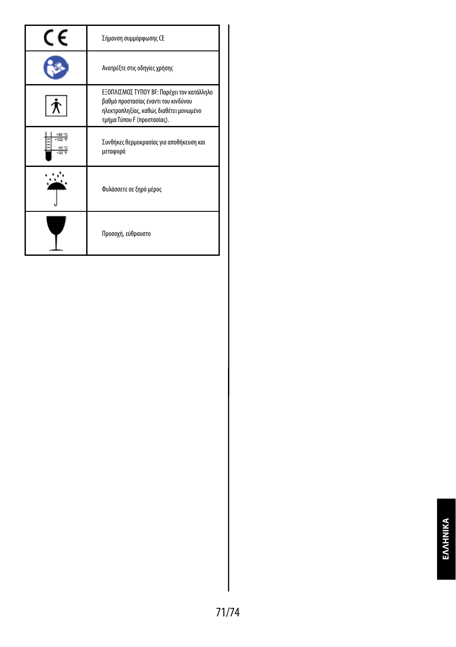| Σήμανση συμμόρφωσης CE                                                                                                                                       |
|--------------------------------------------------------------------------------------------------------------------------------------------------------------|
| Ανατρέξτε στις οδηγίες χρήσης                                                                                                                                |
| ΕΞΟΠΛΙΣΜΟΣ ΤΥΠΟΥ ΒΕ: Παρέχει τον κατάλληλο<br>βαθμό προστασίας έναντι του κινδύνου<br>ηλεκτροπληξίας, καθώς διαθέτει μονωμένο<br>τμήμα Τύπου F (προστασίας). |
| Συνθήκες θερμοκρασίας για αποθήκευση και<br>μεταφορά                                                                                                         |
| Φυλάσσετε σε ξηρό μέρος                                                                                                                                      |
| Προσοχή, εύθραυστο                                                                                                                                           |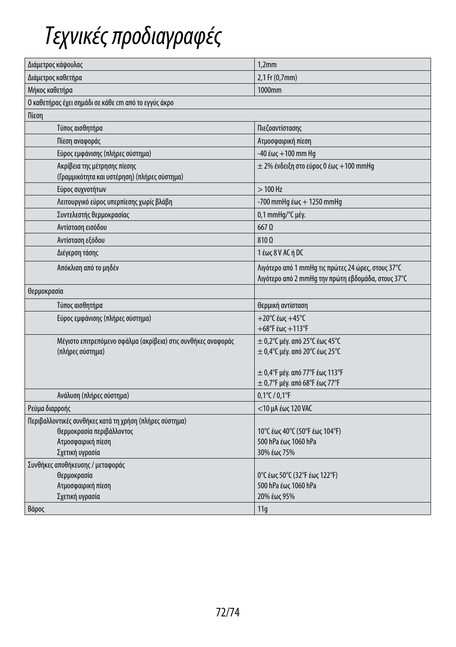## *Τεχνικές προδιαγραφές*

| Διάμετρος κάψουλας                                                                                         | 1,2mm                                                                                                    |
|------------------------------------------------------------------------------------------------------------|----------------------------------------------------------------------------------------------------------|
| Διάμετρος καθετήρα                                                                                         | 2,1 Fr (0,7mm)                                                                                           |
| Μήκος καθετήρα                                                                                             | 1000mm                                                                                                   |
| Ο καθετήρας έχει σημάδι σε κάθε cm από το εγγύς άκρο                                                       |                                                                                                          |
| Πίεση                                                                                                      |                                                                                                          |
| Τύπος αισθητήρα                                                                                            | Πιεζοαντίστασης                                                                                          |
| Πίεση αναφοράς                                                                                             | Ατμοσφαιρική πίεση                                                                                       |
| Εύρος εμφάνισης (πλήρες σύστημα)                                                                           | $-40$ έως $+100$ mm Hq                                                                                   |
| Ακρίβεια της μέτρησης πίεσης<br>(Γραμμικότητα και υστέρηση) (πλήρες σύστημα)                               | ± 2% ένδειξη στο εύρος 0 έως +100 mmHg                                                                   |
| Εύρος συχνοτήτων                                                                                           | $>100$ Hz                                                                                                |
| Λειτουργικό εύρος υπερπίεσης χωρίς βλάβη                                                                   | $-700$ mmHg έως + 1250 mmHg                                                                              |
| Συντελεστής θερμοκρασίας                                                                                   | 0,1 mmHg/°C μέγ.                                                                                         |
| Αντίσταση εισόδου                                                                                          | $667$ $\Omega$                                                                                           |
| Αντίσταση εξόδου                                                                                           | $810\Omega$                                                                                              |
| Διέγερση τάσης                                                                                             | 1 έως 8 V AC ή DC                                                                                        |
| Απόκλιση από το μηδέν                                                                                      | Λιγότερο από 1 mmHg τις πρώτες 24 ώρες, στους 37°C<br>Λιγότερο από 2 mmHg την πρώτη εβδομάδα, στους 37°C |
| θερμοκρασία                                                                                                |                                                                                                          |
| Τύπος αισθητήρα                                                                                            | θερμική αντίσταση                                                                                        |
| Εύρος εμφάνισης (πλήρες σύστημα)                                                                           | $+20^{\circ}$ C έως $+45^{\circ}$ C<br>$+68^{\circ}$ F έως $+113^{\circ}$ F                              |
| Μέγιστο επιτρεπόμενο σφάλμα (ακρίβεια) στις συνθήκες αναφοράς<br>(πλήρες σύστημα)                          | $\pm$ 0,2° (μέγ. από 25° (έως 45° (<br>± 0,4° Cμέγ. από 20° Cέως 25° C                                   |
|                                                                                                            | ± 0,4°F μέγ. από 77°F έως 113°F<br>$\pm$ 0,7°F μέγ. από 68°F έως 77°F                                    |
| Ανάλυση (πλήρες σύστημα)                                                                                   | $0,1^{\circ}$ C / $0,1^{\circ}$ F                                                                        |
| Ρεύμα διαρροής                                                                                             | <10 μΑ έως 120 VAC                                                                                       |
| Περιβαλλοντικές συνθήκες κατά τη χρήση (πλήρες σύστημα)<br>Θερμοκρασία περιβάλλοντος<br>Ατμοσφαιρική πίεση | 10°C έως 40°C (50°F έως 104°F)<br>500 hPa έως 1060 hPa                                                   |
| Σχετική υγρασία                                                                                            | 30% έως 75%                                                                                              |
| Συνθήκες αποθήκευσης / μεταφοράς                                                                           |                                                                                                          |
| Θερμοκρασία                                                                                                | 0°C έως 50°C (32°F έως 122°F)                                                                            |
| Ατμοσφαιρική πίεση                                                                                         | 500 hPa έως 1060 hPa                                                                                     |
| Σχετική υγρασία                                                                                            | 20% έως 95%                                                                                              |
| Βάρος                                                                                                      | 11q                                                                                                      |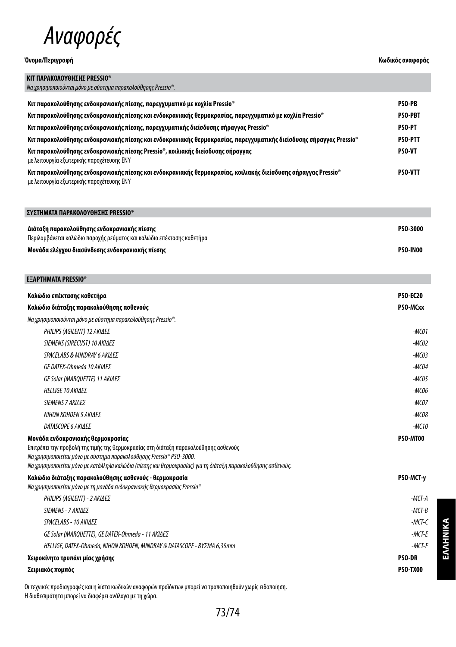

## **Όνομα/Περιγραφή Κωδικός αναφοράς**

| ΚΙΤ ΠΑΡΑΚΟΛΟΥΘΗΣΗΣ PRESSIO®                                                                                                                                 |                |
|-------------------------------------------------------------------------------------------------------------------------------------------------------------|----------------|
| Να χρησιμοποιούνται μόνο με σύστημα παρακολούθησης Pressio®.                                                                                                |                |
| Κιτ παρακολούθησης ενδοκρανιακής πίεσης, παρεγχυματικό με κοχλία Pressio®                                                                                   | <b>PSO-PB</b>  |
| «Κιτ παρακολούθησης ενδοκρανιακής πίεσης και ενδοκρανιακής θερμοκρασίας, παρεγχυματικό με κοχλία Pressio                                                    | <b>PSO-PBT</b> |
| Κιτ παρακολούθησης ενδοκρανιακής πίεσης, παρεγχυματικής διείσδυσης σήραγγας Pressio®                                                                        | <b>PSO-PT</b>  |
| Κιτ παρακολούθησης ενδοκρανιακής πίεσης και ενδοκρανιακής θερμοκρασίας, παρεγχυματικής διείσδυσης σήραγγας Pressio®                                         | <b>PSO-PTT</b> |
| Κιτ παρακολούθησης ενδοκρανιακής πίεσης Pressio®, κοιλιακής διείσδυσης σήραγγας<br>με λειτουργία εξωτερικής παροχέτευσης ΕΝΥ                                | <b>PSO-VT</b>  |
| Κιτ παρακολούθησης ενδοκρανιακής πίεσης και ενδοκρανιακής θερμοκρασίας, κοιλιακής διείσδυσης σήραγγας Pressio®<br>με λειτουργία εξωτερικής παροχέτευσης ΕΝΥ | <b>PSO-VTT</b> |

| ΣΥΣΤΗΜΑΤΑ ΠΑΡΑΚΟΛΟΥΘΗΣΗΣ PRESSIO®                                                                                     |                 |
|-----------------------------------------------------------------------------------------------------------------------|-----------------|
| Διάταξη παρακολούθησης ενδοκρανιακής πίεσης<br>Περιλαμβάνεται καλώδιο παροχής ρεύματος και καλώδιο επέκτασης καθετήρα | <b>PSO-3000</b> |
| Μονάδα ελέγχου διασύνδεσης ενδοκρανιακής πίεσης                                                                       | <b>PSO-IN00</b> |

| <b>EEAPTHMATA PRESSIO<sup>®</sup></b>                                                                                                                                                                                                                                                                               |                 |
|---------------------------------------------------------------------------------------------------------------------------------------------------------------------------------------------------------------------------------------------------------------------------------------------------------------------|-----------------|
| Καλώδιο επέκτασης καθετήρα                                                                                                                                                                                                                                                                                          | <b>PSO-EC20</b> |
| Καλώδιο διάταξης παρακολούθησης ασθενούς                                                                                                                                                                                                                                                                            | PSO-MCxx        |
| Na χρησιμοποιούνται μόνο με σύστημα παρακολούθησης Pressio®.                                                                                                                                                                                                                                                        |                 |
| PHILIPS (AGILENT) 12 ΑΚΙΔΕΣ                                                                                                                                                                                                                                                                                         | $-MCO1$         |
| SIEMENS (SIRECUST) 10 ΑΚΙΔΕΣ                                                                                                                                                                                                                                                                                        | $-MCO2$         |
| SPACELABS & MINDRAY 6 AKIAES                                                                                                                                                                                                                                                                                        | $-MCO3$         |
| GE DATEX-Ohmeda 10 ΑΚΙΔΕΣ                                                                                                                                                                                                                                                                                           | $-MCO4$         |
| GE Solar (MARQUETTE) 11 ΑΚΙΔΕΣ                                                                                                                                                                                                                                                                                      | $-MCO5$         |
| <b>HELLIGE 10 ΑΚΙΔΕΣ</b>                                                                                                                                                                                                                                                                                            | $-MCO6$         |
| SIEMENS 7 AKIAES                                                                                                                                                                                                                                                                                                    | $-MCOZ$         |
| ΝΙΗΟΝ ΚΟΗDΕΝ 5 ΑΚΙΔΕΣ                                                                                                                                                                                                                                                                                               | $-MCO8$         |
| <b>DATASCOPE 6 ΑΚΙΛΕΣ</b>                                                                                                                                                                                                                                                                                           | $-MC10$         |
| Μονάδα ενδοκρανιακής θερμοκρασίας<br>Επιτρέπει την προβολή της τιμής της θερμοκρασίας στη διάταξη παρακολούθησης ασθενούς<br>Na χρησιμοποιείται μόνο με σύστημα παρακολούθησης Pressio® PSO-3000.<br>Να χρησιμοποιείται μόνο με κατάλληλα καλώδια (πίεσης και θερμοκρασίας) για τη διάταξη παρακολούθησης ασθενούς. | PSO-MT00        |
| Καλώδιο διάταξης παρακολούθησης ασθενούς - θερμοκρασία<br>Na χρησιμοποιείται μόνο με τη μονάδα ενδοκρανιακής θερμοκρασίας Pressio®                                                                                                                                                                                  | PSO-MCT-y       |
| PHILIPS (AGILENT) - 2 ΑΚΙΔΕΣ                                                                                                                                                                                                                                                                                        | $-MCT-A$        |
| SIEMENS - 7 ΑΚΙΛΕΣ                                                                                                                                                                                                                                                                                                  | $-MCT-B$        |
| SPACELABS - 10 ΑΚΙΔΕΣ                                                                                                                                                                                                                                                                                               | $-MCT-C$        |
| GE Solar (MAROUETTE), GE DATEX-Ohmeda - 11 ΑΚΙΔΕΣ                                                                                                                                                                                                                                                                   | $-MCT-E$        |
| HELLIGE, DATEX-Ohmeda, NIHON KOHDEN, MINDRAY & DATASCOPE - ΒΥΣΜΑ 6,35mm                                                                                                                                                                                                                                             | $-MCT-F$        |
| Χειροκίνητο τρυπάνι μίας χρήσης                                                                                                                                                                                                                                                                                     | <b>PSO-DR</b>   |
| Σειριακός πομπός                                                                                                                                                                                                                                                                                                    | <b>PSO-TX00</b> |

Οι τεχνικές προδιαγραφές και η λίστα κωδικών αναφορών προϊόντων μπορεί να τροποποιηθούν χωρίς ειδοποίηση. Η διαθεσιμότητα μπορεί να διαφέρει ανάλογα με τη χώρα.